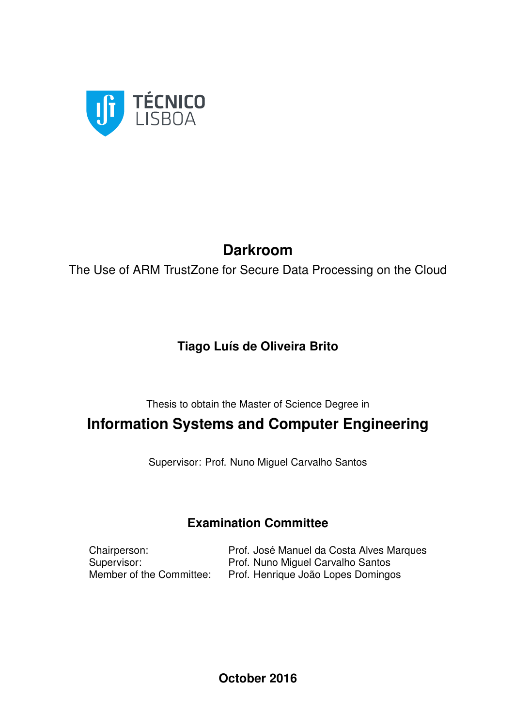

## **Darkroom**

The Use of ARM TrustZone for Secure Data Processing on the Cloud

## **Tiago Luís de Oliveira Brito**

Thesis to obtain the Master of Science Degree in

## **Information Systems and Computer Engineering**

Supervisor: Prof. Nuno Miguel Carvalho Santos

## **Examination Committee**

Chairperson: Prof. José Manuel da Costa Alves Marques Supervisor: Prof. Nuno Miguel Carvalho Santos<br>
Member of the Committee: Prof. Henrique João Lopes Domingo Prof. Henrique João Lopes Domingos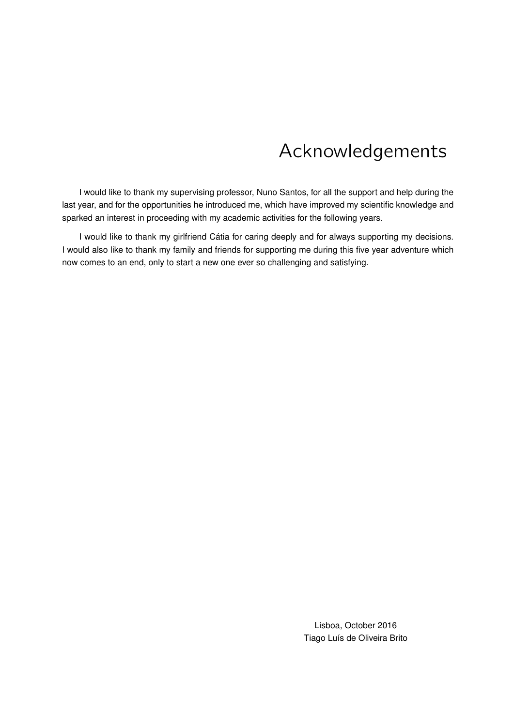# Acknowledgements

I would like to thank my supervising professor, Nuno Santos, for all the support and help during the last year, and for the opportunities he introduced me, which have improved my scientific knowledge and sparked an interest in proceeding with my academic activities for the following years.

I would like to thank my girlfriend Catia for caring deeply and for always supporting my decisions. ´ I would also like to thank my family and friends for supporting me during this five year adventure which now comes to an end, only to start a new one ever so challenging and satisfying.

> Lisboa, October 2016 Tiago Luís de Oliveira Brito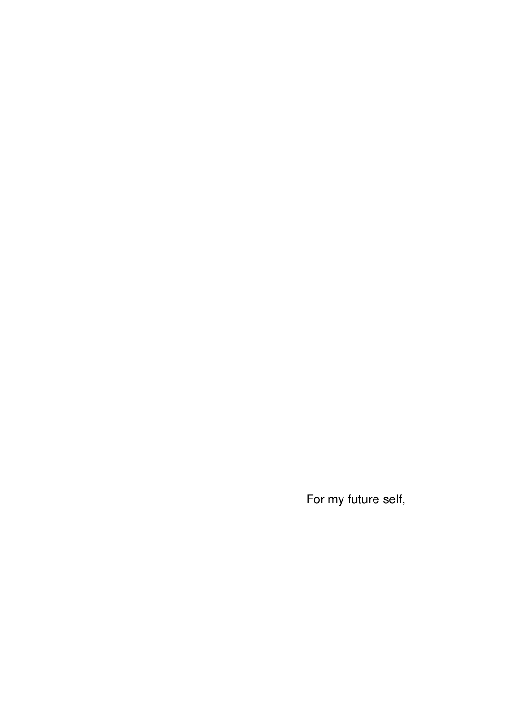For my future self,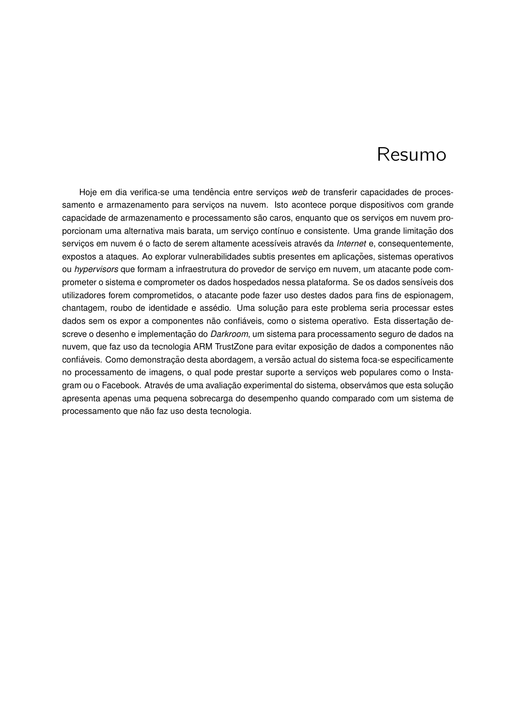# Resumo

Hoje em dia verifica-se uma tendência entre serviços web de transferir capacidades de processamento e armazenamento para servicos na nuvem. Isto acontece porque dispositivos com grande capacidade de armazenamento e processamento são caros, enquanto que os serviços em nuvem proporcionam uma alternativa mais barata, um serviço contínuo e consistente. Uma grande limitação dos serviços em nuvem é o facto de serem altamente acessíveis através da *Internet* e, consequentemente, expostos a ataques. Ao explorar vulnerabilidades subtis presentes em aplicações, sistemas operativos ou *hypervisors* que formam a infraestrutura do provedor de servico em nuvem, um atacante pode comprometer o sistema e comprometer os dados hospedados nessa plataforma. Se os dados sensíveis dos utilizadores forem comprometidos, o atacante pode fazer uso destes dados para fins de espionagem, chantagem, roubo de identidade e assédio. Uma solução para este problema seria processar estes dados sem os expor a componentes não confiáveis, como o sistema operativo. Esta dissertação descreve o desenho e implementação do *Darkroom*, um sistema para processamento seguro de dados na nuvem, que faz uso da tecnologia ARM TrustZone para evitar exposição de dados a componentes não confiáveis. Como demonstração desta abordagem, a versão actual do sistema foca-se especificamente no processamento de imagens, o qual pode prestar suporte a serviços web populares como o Instagram ou o Facebook. Através de uma avaliação experimental do sistema, observámos que esta solução apresenta apenas uma pequena sobrecarga do desempenho quando comparado com um sistema de processamento que não faz uso desta tecnologia.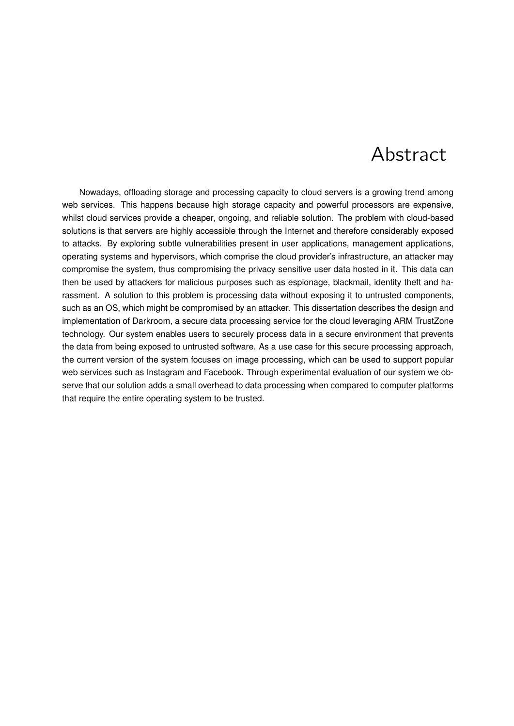# Abstract

Nowadays, offloading storage and processing capacity to cloud servers is a growing trend among web services. This happens because high storage capacity and powerful processors are expensive, whilst cloud services provide a cheaper, ongoing, and reliable solution. The problem with cloud-based solutions is that servers are highly accessible through the Internet and therefore considerably exposed to attacks. By exploring subtle vulnerabilities present in user applications, management applications, operating systems and hypervisors, which comprise the cloud provider's infrastructure, an attacker may compromise the system, thus compromising the privacy sensitive user data hosted in it. This data can then be used by attackers for malicious purposes such as espionage, blackmail, identity theft and harassment. A solution to this problem is processing data without exposing it to untrusted components, such as an OS, which might be compromised by an attacker. This dissertation describes the design and implementation of Darkroom, a secure data processing service for the cloud leveraging ARM TrustZone technology. Our system enables users to securely process data in a secure environment that prevents the data from being exposed to untrusted software. As a use case for this secure processing approach, the current version of the system focuses on image processing, which can be used to support popular web services such as Instagram and Facebook. Through experimental evaluation of our system we observe that our solution adds a small overhead to data processing when compared to computer platforms that require the entire operating system to be trusted.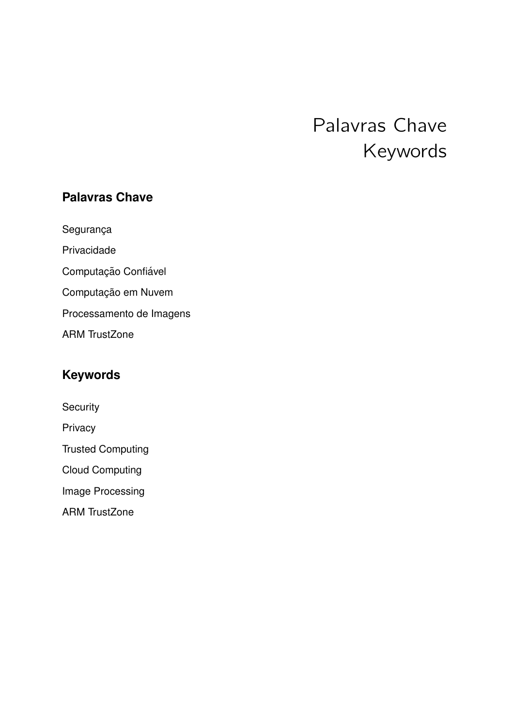# Palavras Chave Keywords

### **Palavras Chave**

Segurança

Privacidade

Computação Confiável

Computação em Nuvem

Processamento de Imagens

ARM TrustZone

## **Keywords**

**Security** 

Privacy

Trusted Computing

Cloud Computing

Image Processing

ARM TrustZone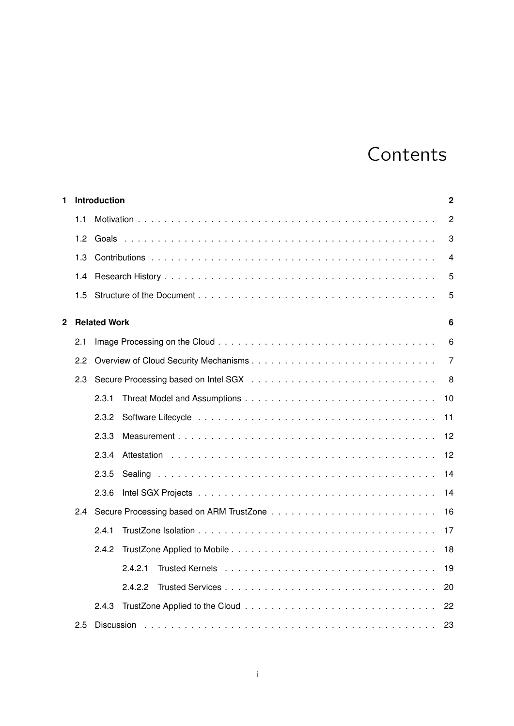# Contents

| 1                       |               | Introduction<br>$\overline{2}$ |                |  |
|-------------------------|---------------|--------------------------------|----------------|--|
|                         | 1.1           |                                | $\overline{2}$ |  |
|                         | 1.2           |                                | 3              |  |
|                         | 1.3           |                                | 4              |  |
|                         | 1.4           |                                | 5              |  |
|                         | 1.5           |                                | 5              |  |
| $\overline{\mathbf{2}}$ |               | <b>Related Work</b>            | 6              |  |
|                         | 2.1           |                                | 6              |  |
|                         | 2.2           |                                | 7              |  |
|                         | 2.3           |                                | 8              |  |
|                         |               | 2.3.1<br>10                    |                |  |
|                         |               | 2.3.2<br>11                    |                |  |
|                         |               | 2.3.3<br>12                    |                |  |
|                         |               | 12<br>2.3.4                    |                |  |
|                         |               | 2.3.5<br>14                    |                |  |
|                         |               | 2.3.6<br>14                    |                |  |
|                         | $2.4^{\circ}$ | 16                             |                |  |
|                         |               | 2.4.1<br>17                    |                |  |
|                         |               | 2.4.2<br>18                    |                |  |
|                         |               | 19<br>2.4.2.1                  |                |  |
|                         |               | 2.4.2.2<br>20                  |                |  |
|                         |               | 22<br>2.4.3                    |                |  |
|                         | $2.5\,$       | 23<br><b>Discussion</b>        |                |  |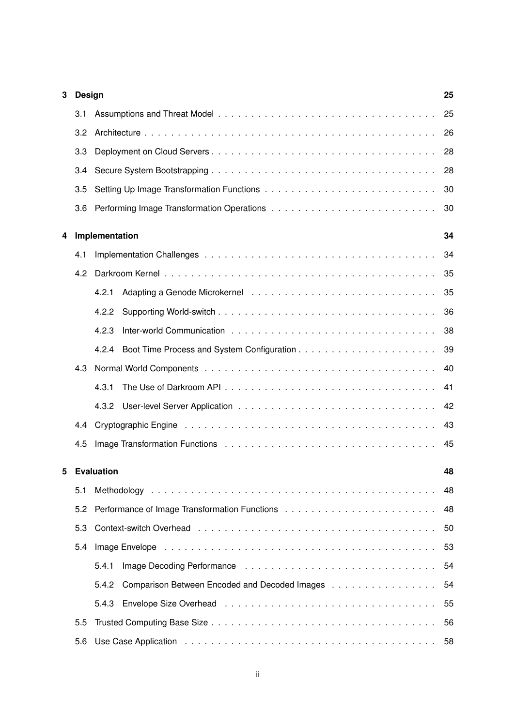| 3 | <b>Design</b> | 25                                                     |    |  |  |  |
|---|---------------|--------------------------------------------------------|----|--|--|--|
|   | 3.1           |                                                        | 25 |  |  |  |
|   | 3.2           |                                                        | 26 |  |  |  |
|   | 3.3           |                                                        | 28 |  |  |  |
|   | 3.4           |                                                        | 28 |  |  |  |
|   | 3.5           |                                                        | 30 |  |  |  |
|   | 3.6           |                                                        | 30 |  |  |  |
| 4 |               | Implementation                                         | 34 |  |  |  |
|   | 4.1           |                                                        | 34 |  |  |  |
|   | 4.2           |                                                        | 35 |  |  |  |
|   |               | 4.2.1                                                  | 35 |  |  |  |
|   |               | 4.2.2                                                  | 36 |  |  |  |
|   |               | 4.2.3                                                  | 38 |  |  |  |
|   |               | 4.2.4                                                  | 39 |  |  |  |
|   | 4.3           | 40                                                     |    |  |  |  |
|   |               | 4.3.1                                                  | 41 |  |  |  |
|   |               |                                                        | 42 |  |  |  |
|   | 4.4           | 43                                                     |    |  |  |  |
|   | 4.5           | 45                                                     |    |  |  |  |
| 5 |               | <b>Evaluation</b>                                      | 48 |  |  |  |
|   | 5.1           |                                                        |    |  |  |  |
|   | 5.2           |                                                        |    |  |  |  |
|   | 5.3           |                                                        |    |  |  |  |
|   | 5.4           |                                                        |    |  |  |  |
|   |               | 5.4.1                                                  | 54 |  |  |  |
|   |               | 5.4.2<br>Comparison Between Encoded and Decoded Images | 54 |  |  |  |
|   |               |                                                        | 55 |  |  |  |
|   | 5.5           | 56                                                     |    |  |  |  |
|   | 5.6           | 58                                                     |    |  |  |  |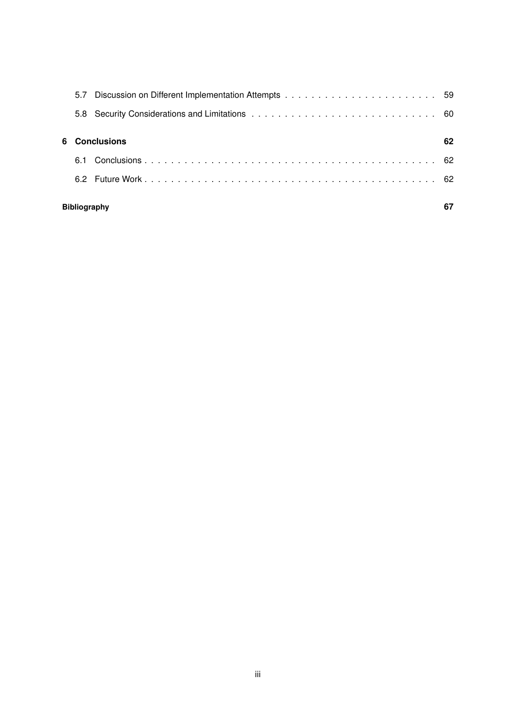| 6 Conclusions       |  |  |
|---------------------|--|--|
| 6.1                 |  |  |
|                     |  |  |
| <b>Bibliography</b> |  |  |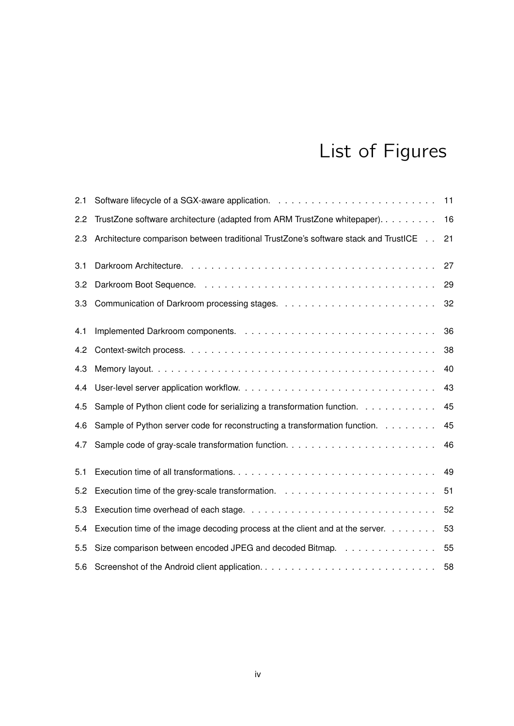# List of Figures

| 2.1 |                                                                                     | 11 |
|-----|-------------------------------------------------------------------------------------|----|
| 2.2 | TrustZone software architecture (adapted from ARM TrustZone whitepaper).            | 16 |
| 2.3 | Architecture comparison between traditional TrustZone's software stack and TrustICE | 21 |
| 3.1 |                                                                                     | 27 |
| 3.2 |                                                                                     | 29 |
| 3.3 |                                                                                     | 32 |
| 4.1 |                                                                                     | 36 |
| 4.2 |                                                                                     | 38 |
| 4.3 |                                                                                     | 40 |
| 4.4 |                                                                                     | 43 |
| 4.5 | Sample of Python client code for serializing a transformation function.             | 45 |
| 4.6 | Sample of Python server code for reconstructing a transformation function.          | 45 |
| 4.7 |                                                                                     | 46 |
| 5.1 |                                                                                     | 49 |
| 5.2 |                                                                                     | 51 |
| 5.3 |                                                                                     | 52 |
| 5.4 | Execution time of the image decoding process at the client and at the server.       | 53 |
| 5.5 | Size comparison between encoded JPEG and decoded Bitmap.                            | 55 |
| 5.6 | Screenshot of the Android client application                                        | 58 |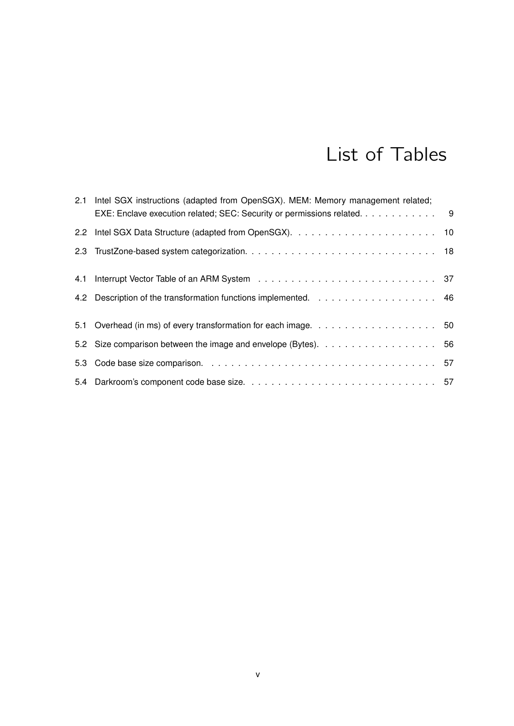# List of Tables

| 2.1 Intel SGX instructions (adapted from OpenSGX). MEM: Memory management related;<br>EXE: Enclave execution related; SEC: Security or permissions related. 9 |  |
|---------------------------------------------------------------------------------------------------------------------------------------------------------------|--|
|                                                                                                                                                               |  |
|                                                                                                                                                               |  |
|                                                                                                                                                               |  |
|                                                                                                                                                               |  |
|                                                                                                                                                               |  |
|                                                                                                                                                               |  |
|                                                                                                                                                               |  |
|                                                                                                                                                               |  |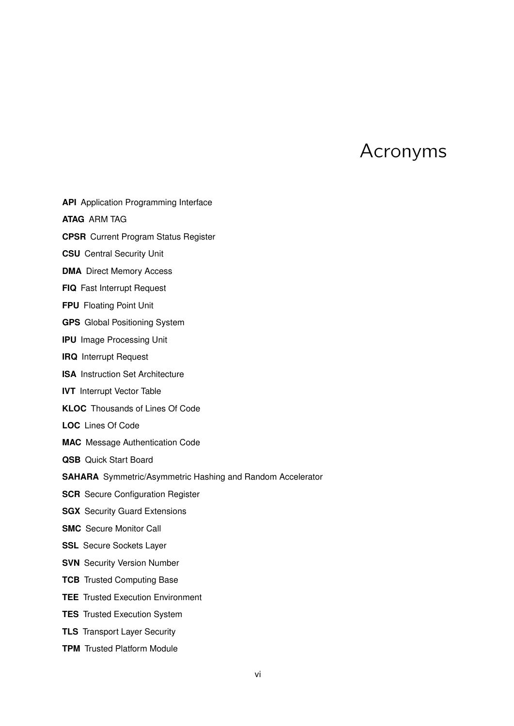# Acronyms

- **API** Application Programming Interface
- **ATAG** ARM TAG
- **CPSR** Current Program Status Register
- **CSU** Central Security Unit
- **DMA** Direct Memory Access
- **FIQ** Fast Interrupt Request
- **FPU** Floating Point Unit
- **GPS** Global Positioning System
- **IPU** Image Processing Unit
- **IRQ** Interrupt Request
- **ISA** Instruction Set Architecture
- **IVT** Interrupt Vector Table
- **KLOC** Thousands of Lines Of Code
- **LOC** Lines Of Code
- **MAC** Message Authentication Code
- **QSB** Quick Start Board
- **SAHARA** Symmetric/Asymmetric Hashing and Random Accelerator
- **SCR** Secure Configuration Register
- **SGX** Security Guard Extensions
- **SMC** Secure Monitor Call
- **SSL** Secure Sockets Layer
- **SVN** Security Version Number
- **TCB** Trusted Computing Base
- **TEE** Trusted Execution Environment
- **TES** Trusted Execution System
- **TLS** Transport Layer Security
- **TPM** Trusted Platform Module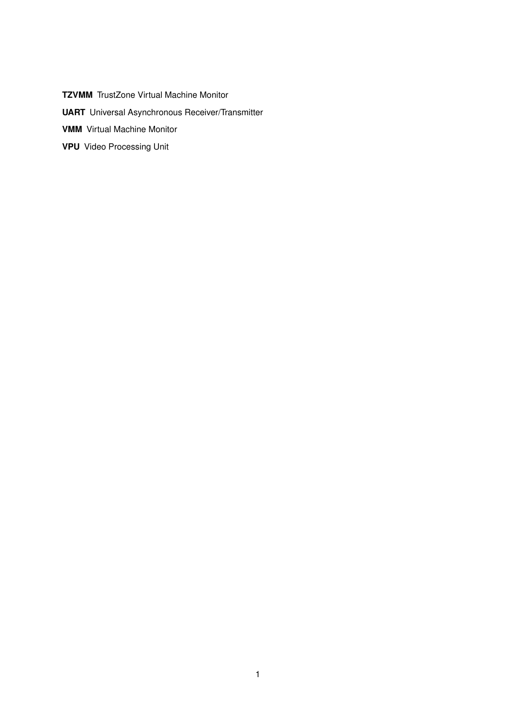**TZVMM** TrustZone Virtual Machine Monitor **UART** Universal Asynchronous Receiver/Transmitter **VMM** Virtual Machine Monitor **VPU** Video Processing Unit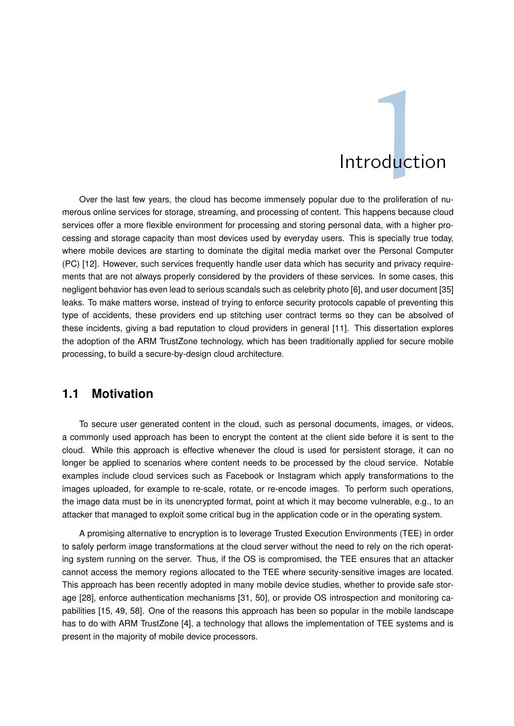# **Introduction**

Over the last few years, the cloud has become immensely popular due to the proliferation of numerous online services for storage, streaming, and processing of content. This happens because cloud services offer a more flexible environment for processing and storing personal data, with a higher processing and storage capacity than most devices used by everyday users. This is specially true today, where mobile devices are starting to dominate the digital media market over the Personal Computer (PC) [12]. However, such services frequently handle user data which has security and privacy requirements that are not always properly considered by the providers of these services. In some cases, this negligent behavior has even lead to serious scandals such as celebrity photo [6], and user document [35] leaks. To make matters worse, instead of trying to enforce security protocols capable of preventing this type of accidents, these providers end up stitching user contract terms so they can be absolved of these incidents, giving a bad reputation to cloud providers in general [11]. This dissertation explores the adoption of the ARM TrustZone technology, which has been traditionally applied for secure mobile processing, to build a secure-by-design cloud architecture.

#### **1.1 Motivation**

To secure user generated content in the cloud, such as personal documents, images, or videos, a commonly used approach has been to encrypt the content at the client side before it is sent to the cloud. While this approach is effective whenever the cloud is used for persistent storage, it can no longer be applied to scenarios where content needs to be processed by the cloud service. Notable examples include cloud services such as Facebook or Instagram which apply transformations to the images uploaded, for example to re-scale, rotate, or re-encode images. To perform such operations, the image data must be in its unencrypted format, point at which it may become vulnerable, e.g., to an attacker that managed to exploit some critical bug in the application code or in the operating system.

A promising alternative to encryption is to leverage Trusted Execution Environments (TEE) in order to safely perform image transformations at the cloud server without the need to rely on the rich operating system running on the server. Thus, if the OS is compromised, the TEE ensures that an attacker cannot access the memory regions allocated to the TEE where security-sensitive images are located. This approach has been recently adopted in many mobile device studies, whether to provide safe storage [28], enforce authentication mechanisms [31, 50], or provide OS introspection and monitoring capabilities [15, 49, 58]. One of the reasons this approach has been so popular in the mobile landscape has to do with ARM TrustZone [4], a technology that allows the implementation of TEE systems and is present in the majority of mobile device processors.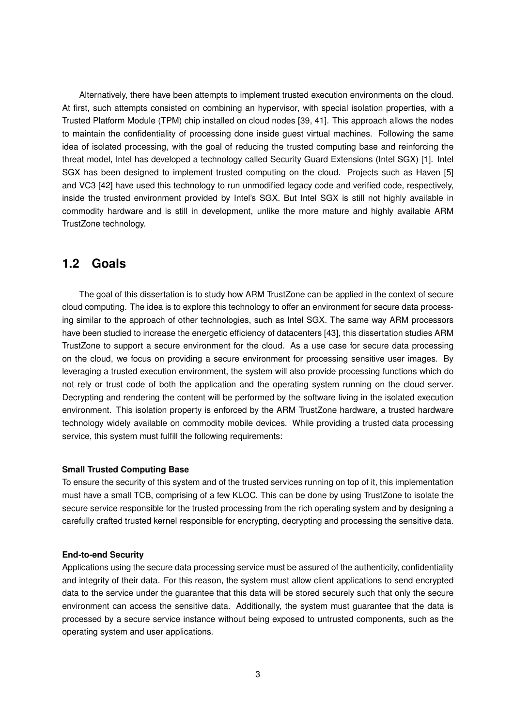Alternatively, there have been attempts to implement trusted execution environments on the cloud. At first, such attempts consisted on combining an hypervisor, with special isolation properties, with a Trusted Platform Module (TPM) chip installed on cloud nodes [39, 41]. This approach allows the nodes to maintain the confidentiality of processing done inside guest virtual machines. Following the same idea of isolated processing, with the goal of reducing the trusted computing base and reinforcing the threat model, Intel has developed a technology called Security Guard Extensions (Intel SGX) [1]. Intel SGX has been designed to implement trusted computing on the cloud. Projects such as Haven [5] and VC3 [42] have used this technology to run unmodified legacy code and verified code, respectively, inside the trusted environment provided by Intel's SGX. But Intel SGX is still not highly available in commodity hardware and is still in development, unlike the more mature and highly available ARM TrustZone technology.

#### **1.2 Goals**

The goal of this dissertation is to study how ARM TrustZone can be applied in the context of secure cloud computing. The idea is to explore this technology to offer an environment for secure data processing similar to the approach of other technologies, such as Intel SGX. The same way ARM processors have been studied to increase the energetic efficiency of datacenters [43], this dissertation studies ARM TrustZone to support a secure environment for the cloud. As a use case for secure data processing on the cloud, we focus on providing a secure environment for processing sensitive user images. By leveraging a trusted execution environment, the system will also provide processing functions which do not rely or trust code of both the application and the operating system running on the cloud server. Decrypting and rendering the content will be performed by the software living in the isolated execution environment. This isolation property is enforced by the ARM TrustZone hardware, a trusted hardware technology widely available on commodity mobile devices. While providing a trusted data processing service, this system must fulfill the following requirements:

#### **Small Trusted Computing Base**

To ensure the security of this system and of the trusted services running on top of it, this implementation must have a small TCB, comprising of a few KLOC. This can be done by using TrustZone to isolate the secure service responsible for the trusted processing from the rich operating system and by designing a carefully crafted trusted kernel responsible for encrypting, decrypting and processing the sensitive data.

#### **End-to-end Security**

Applications using the secure data processing service must be assured of the authenticity, confidentiality and integrity of their data. For this reason, the system must allow client applications to send encrypted data to the service under the guarantee that this data will be stored securely such that only the secure environment can access the sensitive data. Additionally, the system must guarantee that the data is processed by a secure service instance without being exposed to untrusted components, such as the operating system and user applications.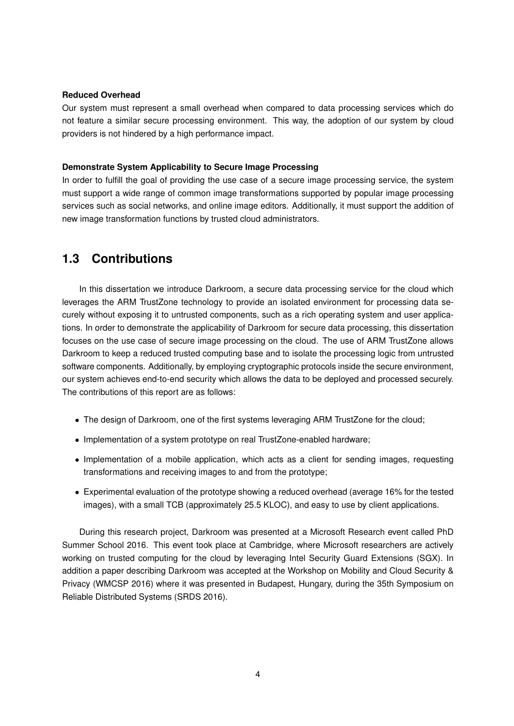#### **Reduced Overhead**

Our system must represent a small overhead when compared to data processing services which do not feature a similar secure processing environment. This way, the adoption of our system by cloud providers is not hindered by a high performance impact.

#### **Demonstrate System Applicability to Secure Image Processing**

In order to fulfill the goal of providing the use case of a secure image processing service, the system must support a wide range of common image transformations supported by popular image processing services such as social networks, and online image editors. Additionally, it must support the addition of new image transformation functions by trusted cloud administrators.

#### **1.3 Contributions**

In this dissertation we introduce Darkroom, a secure data processing service for the cloud which leverages the ARM TrustZone technology to provide an isolated environment for processing data securely without exposing it to untrusted components, such as a rich operating system and user applications. In order to demonstrate the applicability of Darkroom for secure data processing, this dissertation focuses on the use case of secure image processing on the cloud. The use of ARM TrustZone allows Darkroom to keep a reduced trusted computing base and to isolate the processing logic from untrusted software components. Additionally, by employing cryptographic protocols inside the secure environment, our system achieves end-to-end security which allows the data to be deployed and processed securely. The contributions of this report are as follows:

- The design of Darkroom, one of the first systems leveraging ARM TrustZone for the cloud;
- Implementation of a system prototype on real TrustZone-enabled hardware;
- Implementation of a mobile application, which acts as a client for sending images, requesting transformations and receiving images to and from the prototype;
- Experimental evaluation of the prototype showing a reduced overhead (average 16% for the tested images), with a small TCB (approximately 25.5 KLOC), and easy to use by client applications.

During this research project, Darkroom was presented at a Microsoft Research event called PhD Summer School 2016. This event took place at Cambridge, where Microsoft researchers are actively working on trusted computing for the cloud by leveraging Intel Security Guard Extensions (SGX). In addition a paper describing Darkroom was accepted at the Workshop on Mobility and Cloud Security & Privacy (WMCSP 2016) where it was presented in Budapest, Hungary, during the 35th Symposium on Reliable Distributed Systems (SRDS 2016).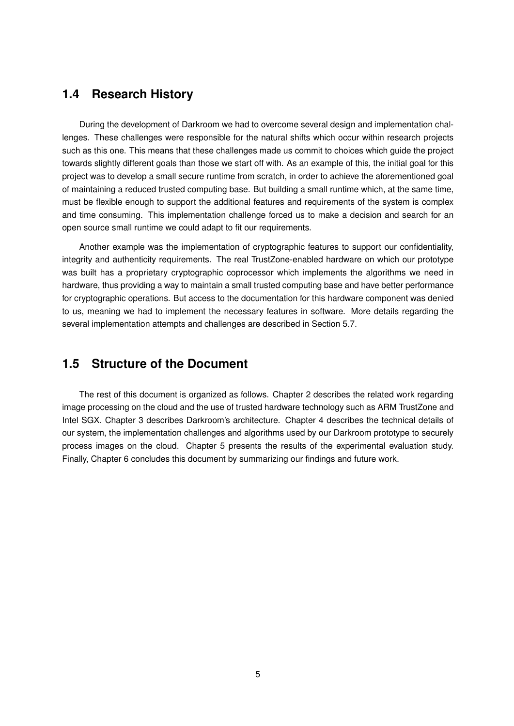#### **1.4 Research History**

During the development of Darkroom we had to overcome several design and implementation challenges. These challenges were responsible for the natural shifts which occur within research projects such as this one. This means that these challenges made us commit to choices which guide the project towards slightly different goals than those we start off with. As an example of this, the initial goal for this project was to develop a small secure runtime from scratch, in order to achieve the aforementioned goal of maintaining a reduced trusted computing base. But building a small runtime which, at the same time, must be flexible enough to support the additional features and requirements of the system is complex and time consuming. This implementation challenge forced us to make a decision and search for an open source small runtime we could adapt to fit our requirements.

Another example was the implementation of cryptographic features to support our confidentiality, integrity and authenticity requirements. The real TrustZone-enabled hardware on which our prototype was built has a proprietary cryptographic coprocessor which implements the algorithms we need in hardware, thus providing a way to maintain a small trusted computing base and have better performance for cryptographic operations. But access to the documentation for this hardware component was denied to us, meaning we had to implement the necessary features in software. More details regarding the several implementation attempts and challenges are described in Section 5.7.

#### **1.5 Structure of the Document**

The rest of this document is organized as follows. Chapter 2 describes the related work regarding image processing on the cloud and the use of trusted hardware technology such as ARM TrustZone and Intel SGX. Chapter 3 describes Darkroom's architecture. Chapter 4 describes the technical details of our system, the implementation challenges and algorithms used by our Darkroom prototype to securely process images on the cloud. Chapter 5 presents the results of the experimental evaluation study. Finally, Chapter 6 concludes this document by summarizing our findings and future work.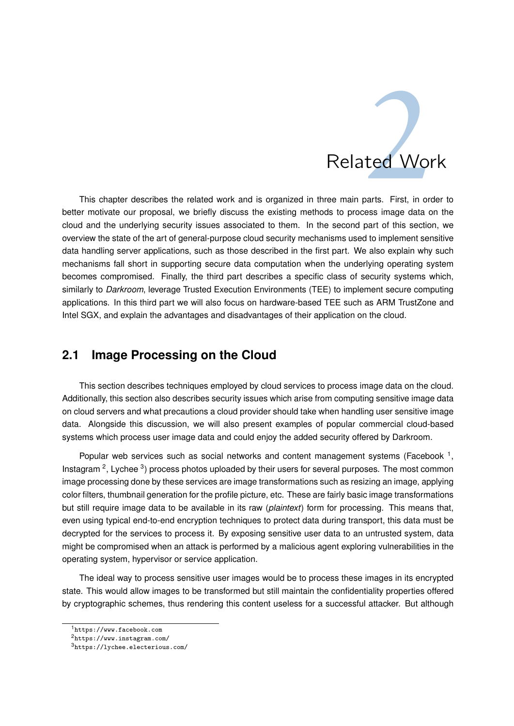

This chapter describes the related work and is organized in three main parts. First, in order to better motivate our proposal, we briefly discuss the existing methods to process image data on the cloud and the underlying security issues associated to them. In the second part of this section, we overview the state of the art of general-purpose cloud security mechanisms used to implement sensitive data handling server applications, such as those described in the first part. We also explain why such mechanisms fall short in supporting secure data computation when the underlying operating system becomes compromised. Finally, the third part describes a specific class of security systems which, similarly to *Darkroom*, leverage Trusted Execution Environments (TEE) to implement secure computing applications. In this third part we will also focus on hardware-based TEE such as ARM TrustZone and Intel SGX, and explain the advantages and disadvantages of their application on the cloud.

#### **2.1 Image Processing on the Cloud**

This section describes techniques employed by cloud services to process image data on the cloud. Additionally, this section also describes security issues which arise from computing sensitive image data on cloud servers and what precautions a cloud provider should take when handling user sensitive image data. Alongside this discussion, we will also present examples of popular commercial cloud-based systems which process user image data and could enjoy the added security offered by Darkroom.

Popular web services such as social networks and content management systems (Facebook  $<sup>1</sup>$ ,</sup> Instagram<sup>2</sup>, Lychee<sup>3</sup>) process photos uploaded by their users for several purposes. The most common image processing done by these services are image transformations such as resizing an image, applying color filters, thumbnail generation for the profile picture, etc. These are fairly basic image transformations but still require image data to be available in its raw (*plaintext*) form for processing. This means that, even using typical end-to-end encryption techniques to protect data during transport, this data must be decrypted for the services to process it. By exposing sensitive user data to an untrusted system, data might be compromised when an attack is performed by a malicious agent exploring vulnerabilities in the operating system, hypervisor or service application.

The ideal way to process sensitive user images would be to process these images in its encrypted state. This would allow images to be transformed but still maintain the confidentiality properties offered by cryptographic schemes, thus rendering this content useless for a successful attacker. But although

<sup>1</sup>https://www.facebook.com

<sup>2</sup>https://www.instagram.com/

<sup>3</sup>https://lychee.electerious.com/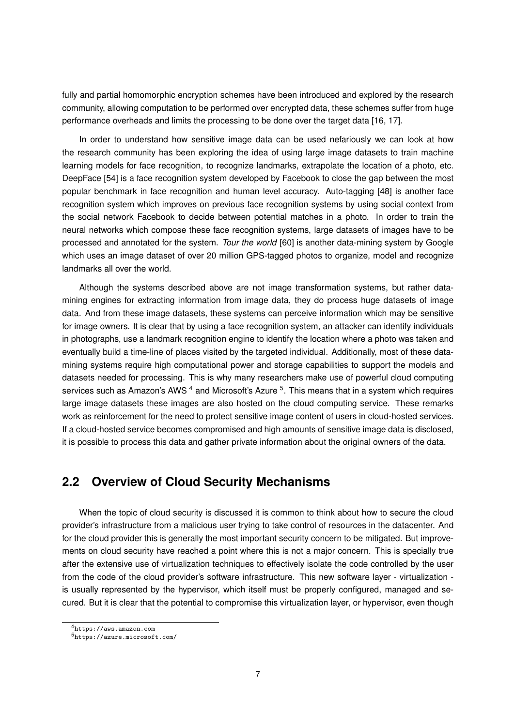fully and partial homomorphic encryption schemes have been introduced and explored by the research community, allowing computation to be performed over encrypted data, these schemes suffer from huge performance overheads and limits the processing to be done over the target data [16, 17].

In order to understand how sensitive image data can be used nefariously we can look at how the research community has been exploring the idea of using large image datasets to train machine learning models for face recognition, to recognize landmarks, extrapolate the location of a photo, etc. DeepFace [54] is a face recognition system developed by Facebook to close the gap between the most popular benchmark in face recognition and human level accuracy. Auto-tagging [48] is another face recognition system which improves on previous face recognition systems by using social context from the social network Facebook to decide between potential matches in a photo. In order to train the neural networks which compose these face recognition systems, large datasets of images have to be processed and annotated for the system. *Tour the world* [60] is another data-mining system by Google which uses an image dataset of over 20 million GPS-tagged photos to organize, model and recognize landmarks all over the world.

Although the systems described above are not image transformation systems, but rather datamining engines for extracting information from image data, they do process huge datasets of image data. And from these image datasets, these systems can perceive information which may be sensitive for image owners. It is clear that by using a face recognition system, an attacker can identify individuals in photographs, use a landmark recognition engine to identify the location where a photo was taken and eventually build a time-line of places visited by the targeted individual. Additionally, most of these datamining systems require high computational power and storage capabilities to support the models and datasets needed for processing. This is why many researchers make use of powerful cloud computing services such as Amazon's AWS<sup>4</sup> and Microsoft's Azure <sup>5</sup>. This means that in a system which requires large image datasets these images are also hosted on the cloud computing service. These remarks work as reinforcement for the need to protect sensitive image content of users in cloud-hosted services. If a cloud-hosted service becomes compromised and high amounts of sensitive image data is disclosed, it is possible to process this data and gather private information about the original owners of the data.

#### **2.2 Overview of Cloud Security Mechanisms**

When the topic of cloud security is discussed it is common to think about how to secure the cloud provider's infrastructure from a malicious user trying to take control of resources in the datacenter. And for the cloud provider this is generally the most important security concern to be mitigated. But improvements on cloud security have reached a point where this is not a major concern. This is specially true after the extensive use of virtualization techniques to effectively isolate the code controlled by the user from the code of the cloud provider's software infrastructure. This new software layer - virtualization is usually represented by the hypervisor, which itself must be properly configured, managed and secured. But it is clear that the potential to compromise this virtualization layer, or hypervisor, even though

<sup>4</sup>https://aws.amazon.com

<sup>5</sup>https://azure.microsoft.com/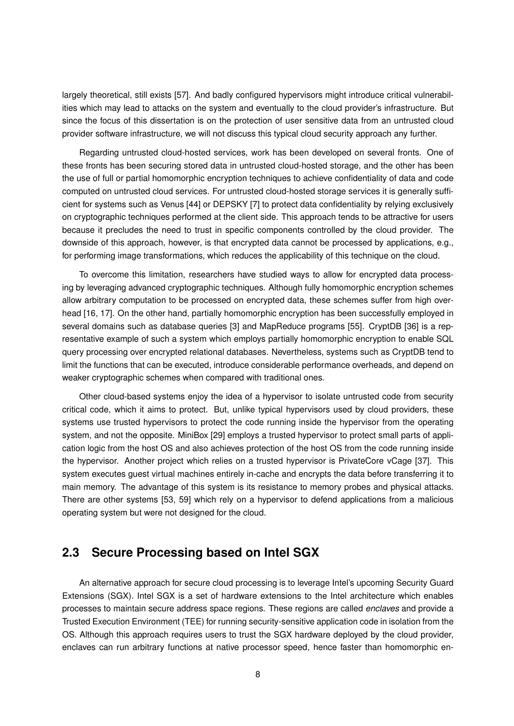largely theoretical, still exists [57]. And badly configured hypervisors might introduce critical vulnerabilities which may lead to attacks on the system and eventually to the cloud provider's infrastructure. But since the focus of this dissertation is on the protection of user sensitive data from an untrusted cloud provider software infrastructure, we will not discuss this typical cloud security approach any further.

Regarding untrusted cloud-hosted services, work has been developed on several fronts. One of these fronts has been securing stored data in untrusted cloud-hosted storage, and the other has been the use of full or partial homomorphic encryption techniques to achieve confidentiality of data and code computed on untrusted cloud services. For untrusted cloud-hosted storage services it is generally sufficient for systems such as Venus [44] or DEPSKY [7] to protect data confidentiality by relying exclusively on cryptographic techniques performed at the client side. This approach tends to be attractive for users because it precludes the need to trust in specific components controlled by the cloud provider. The downside of this approach, however, is that encrypted data cannot be processed by applications, e.g., for performing image transformations, which reduces the applicability of this technique on the cloud.

To overcome this limitation, researchers have studied ways to allow for encrypted data processing by leveraging advanced cryptographic techniques. Although fully homomorphic encryption schemes allow arbitrary computation to be processed on encrypted data, these schemes suffer from high overhead [16, 17]. On the other hand, partially homomorphic encryption has been successfully employed in several domains such as database queries [3] and MapReduce programs [55]. CryptDB [36] is a representative example of such a system which employs partially homomorphic encryption to enable SQL query processing over encrypted relational databases. Nevertheless, systems such as CryptDB tend to limit the functions that can be executed, introduce considerable performance overheads, and depend on weaker cryptographic schemes when compared with traditional ones.

Other cloud-based systems enjoy the idea of a hypervisor to isolate untrusted code from security critical code, which it aims to protect. But, unlike typical hypervisors used by cloud providers, these systems use trusted hypervisors to protect the code running inside the hypervisor from the operating system, and not the opposite. MiniBox [29] employs a trusted hypervisor to protect small parts of application logic from the host OS and also achieves protection of the host OS from the code running inside the hypervisor. Another project which relies on a trusted hypervisor is PrivateCore vCage [37]. This system executes guest virtual machines entirely in-cache and encrypts the data before transferring it to main memory. The advantage of this system is its resistance to memory probes and physical attacks. There are other systems [53, 59] which rely on a hypervisor to defend applications from a malicious operating system but were not designed for the cloud.

#### **2.3 Secure Processing based on Intel SGX**

An alternative approach for secure cloud processing is to leverage Intel's upcoming Security Guard Extensions (SGX). Intel SGX is a set of hardware extensions to the Intel architecture which enables processes to maintain secure address space regions. These regions are called *enclaves* and provide a Trusted Execution Environment (TEE) for running security-sensitive application code in isolation from the OS. Although this approach requires users to trust the SGX hardware deployed by the cloud provider, enclaves can run arbitrary functions at native processor speed, hence faster than homomorphic en-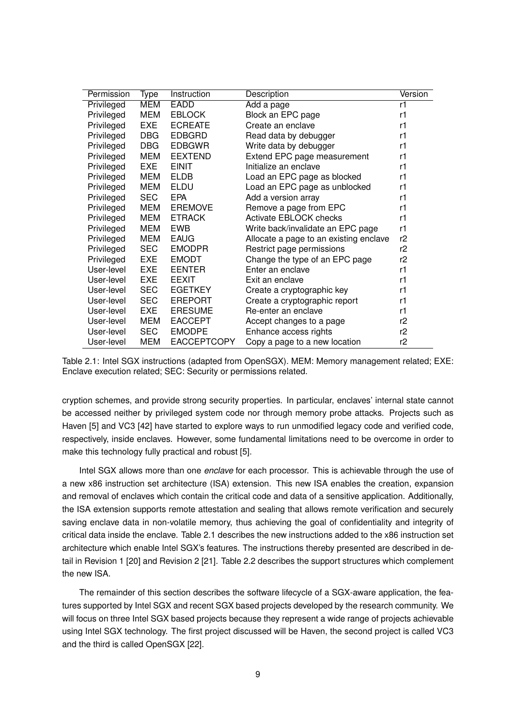| Permission | Type       | Instruction        | Description                            | Version |
|------------|------------|--------------------|----------------------------------------|---------|
| Privileged | <b>MEM</b> | EADD               | Add a page                             | r1      |
| Privileged | <b>MEM</b> | <b>EBLOCK</b>      | Block an EPC page                      | r1      |
| Privileged | <b>EXE</b> | <b>ECREATE</b>     | Create an enclave                      | r1      |
| Privileged | <b>DBG</b> | <b>EDBGRD</b>      | Read data by debugger                  | r1      |
| Privileged | <b>DBG</b> | <b>EDBGWR</b>      | Write data by debugger                 | r1      |
| Privileged | MEM        | <b>EEXTEND</b>     | Extend EPC page measurement            | r1      |
| Privileged | <b>EXE</b> | <b>EINIT</b>       | Initialize an enclave                  | r1      |
| Privileged | <b>MEM</b> | <b>ELDB</b>        | Load an EPC page as blocked            | r1      |
| Privileged | <b>MEM</b> | ELDU               | Load an EPC page as unblocked          | r1      |
| Privileged | <b>SEC</b> | <b>EPA</b>         | Add a version array                    | r1      |
| Privileged | <b>MEM</b> | <b>EREMOVE</b>     | Remove a page from EPC                 | r1      |
| Privileged | MEM        | <b>ETRACK</b>      | Activate EBLOCK checks                 | r1      |
| Privileged | <b>MEM</b> | <b>EWB</b>         | Write back/invalidate an EPC page      | r1      |
| Privileged | <b>MEM</b> | <b>EAUG</b>        | Allocate a page to an existing enclave | r2      |
| Privileged | <b>SEC</b> | <b>EMODPR</b>      | Restrict page permissions              | r2      |
| Privileged | <b>EXE</b> | <b>EMODT</b>       | Change the type of an EPC page         | r2      |
| User-level | <b>EXE</b> | <b>EENTER</b>      | Enter an enclave                       | r1      |
| User-level | EXE        | <b>EEXIT</b>       | Exit an enclave                        | r1      |
| User-level | <b>SEC</b> | <b>EGETKEY</b>     | Create a cryptographic key             | r1      |
| User-level | <b>SEC</b> | <b>EREPORT</b>     | Create a cryptographic report          | r1      |
| User-level | <b>EXE</b> | <b>ERESUME</b>     | Re-enter an enclave                    | r1      |
| User-level | <b>MEM</b> | <b>EACCEPT</b>     | Accept changes to a page               | r2      |
| User-level | <b>SEC</b> | <b>EMODPE</b>      | Enhance access rights                  | r2      |
| User-level | <b>MEM</b> | <b>EACCEPTCOPY</b> | Copy a page to a new location          | r2      |



cryption schemes, and provide strong security properties. In particular, enclaves' internal state cannot be accessed neither by privileged system code nor through memory probe attacks. Projects such as Haven [5] and VC3 [42] have started to explore ways to run unmodified legacy code and verified code, respectively, inside enclaves. However, some fundamental limitations need to be overcome in order to make this technology fully practical and robust [5].

Intel SGX allows more than one *enclave* for each processor. This is achievable through the use of a new x86 instruction set architecture (ISA) extension. This new ISA enables the creation, expansion and removal of enclaves which contain the critical code and data of a sensitive application. Additionally, the ISA extension supports remote attestation and sealing that allows remote verification and securely saving enclave data in non-volatile memory, thus achieving the goal of confidentiality and integrity of critical data inside the enclave. Table 2.1 describes the new instructions added to the x86 instruction set architecture which enable Intel SGX's features. The instructions thereby presented are described in detail in Revision 1 [20] and Revision 2 [21]. Table 2.2 describes the support structures which complement the new ISA.

The remainder of this section describes the software lifecycle of a SGX-aware application, the features supported by Intel SGX and recent SGX based projects developed by the research community. We will focus on three Intel SGX based projects because they represent a wide range of projects achievable using Intel SGX technology. The first project discussed will be Haven, the second project is called VC3 and the third is called OpenSGX [22].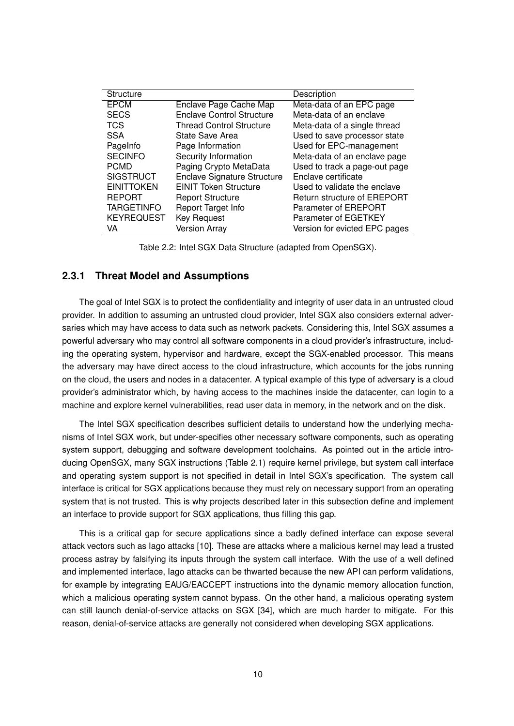| <b>Structure</b>  |                                    | Description                   |
|-------------------|------------------------------------|-------------------------------|
| <b>EPCM</b>       | Enclave Page Cache Map             | Meta-data of an EPC page      |
| <b>SECS</b>       | Enclave Control Structure          | Meta-data of an enclave       |
| <b>TCS</b>        | <b>Thread Control Structure</b>    | Meta-data of a single thread  |
| <b>SSA</b>        | <b>State Save Area</b>             | Used to save processor state  |
| PageInfo          | Page Information                   | Used for EPC-management       |
| <b>SECINFO</b>    | Security Information               | Meta-data of an enclave page  |
| <b>PCMD</b>       | Paging Crypto MetaData             | Used to track a page-out page |
| <b>SIGSTRUCT</b>  | <b>Enclave Signature Structure</b> | Enclave certificate           |
| <b>EINITTOKEN</b> | <b>EINIT Token Structure</b>       | Used to validate the enclave  |
| <b>REPORT</b>     | <b>Report Structure</b>            | Return structure of EREPORT   |
| <b>TARGETINFO</b> | Report Target Info                 | Parameter of EREPORT          |
| <b>KEYREQUEST</b> | <b>Key Request</b>                 | Parameter of EGETKEY          |
| VA                | <b>Version Array</b>               | Version for evicted EPC pages |

Table 2.2: Intel SGX Data Structure (adapted from OpenSGX).

#### **2.3.1 Threat Model and Assumptions**

The goal of Intel SGX is to protect the confidentiality and integrity of user data in an untrusted cloud provider. In addition to assuming an untrusted cloud provider, Intel SGX also considers external adversaries which may have access to data such as network packets. Considering this, Intel SGX assumes a powerful adversary who may control all software components in a cloud provider's infrastructure, including the operating system, hypervisor and hardware, except the SGX-enabled processor. This means the adversary may have direct access to the cloud infrastructure, which accounts for the jobs running on the cloud, the users and nodes in a datacenter. A typical example of this type of adversary is a cloud provider's administrator which, by having access to the machines inside the datacenter, can login to a machine and explore kernel vulnerabilities, read user data in memory, in the network and on the disk.

The Intel SGX specification describes sufficient details to understand how the underlying mechanisms of Intel SGX work, but under-specifies other necessary software components, such as operating system support, debugging and software development toolchains. As pointed out in the article introducing OpenSGX, many SGX instructions (Table 2.1) require kernel privilege, but system call interface and operating system support is not specified in detail in Intel SGX's specification. The system call interface is critical for SGX applications because they must rely on necessary support from an operating system that is not trusted. This is why projects described later in this subsection define and implement an interface to provide support for SGX applications, thus filling this gap.

This is a critical gap for secure applications since a badly defined interface can expose several attack vectors such as Iago attacks [10]. These are attacks where a malicious kernel may lead a trusted process astray by falsifying its inputs through the system call interface. With the use of a well defined and implemented interface, Iago attacks can be thwarted because the new API can perform validations, for example by integrating EAUG/EACCEPT instructions into the dynamic memory allocation function, which a malicious operating system cannot bypass. On the other hand, a malicious operating system can still launch denial-of-service attacks on SGX [34], which are much harder to mitigate. For this reason, denial-of-service attacks are generally not considered when developing SGX applications.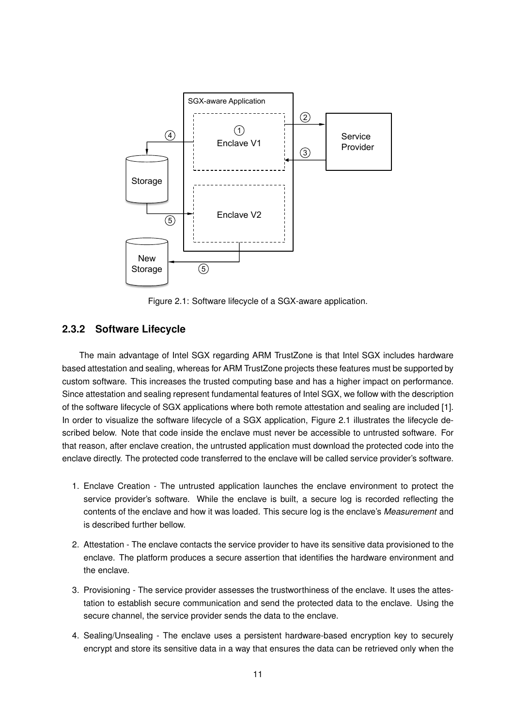

Figure 2.1: Software lifecycle of a SGX-aware application.

#### **2.3.2 Software Lifecycle**

The main advantage of Intel SGX regarding ARM TrustZone is that Intel SGX includes hardware based attestation and sealing, whereas for ARM TrustZone projects these features must be supported by custom software. This increases the trusted computing base and has a higher impact on performance. Since attestation and sealing represent fundamental features of Intel SGX, we follow with the description of the software lifecycle of SGX applications where both remote attestation and sealing are included [1]. In order to visualize the software lifecycle of a SGX application, Figure 2.1 illustrates the lifecycle described below. Note that code inside the enclave must never be accessible to untrusted software. For that reason, after enclave creation, the untrusted application must download the protected code into the enclave directly. The protected code transferred to the enclave will be called service provider's software.

- 1. Enclave Creation The untrusted application launches the enclave environment to protect the service provider's software. While the enclave is built, a secure log is recorded reflecting the contents of the enclave and how it was loaded. This secure log is the enclave's *Measurement* and is described further bellow.
- 2. Attestation The enclave contacts the service provider to have its sensitive data provisioned to the enclave. The platform produces a secure assertion that identifies the hardware environment and the enclave.
- 3. Provisioning The service provider assesses the trustworthiness of the enclave. It uses the attestation to establish secure communication and send the protected data to the enclave. Using the secure channel, the service provider sends the data to the enclave.
- 4. Sealing/Unsealing The enclave uses a persistent hardware-based encryption key to securely encrypt and store its sensitive data in a way that ensures the data can be retrieved only when the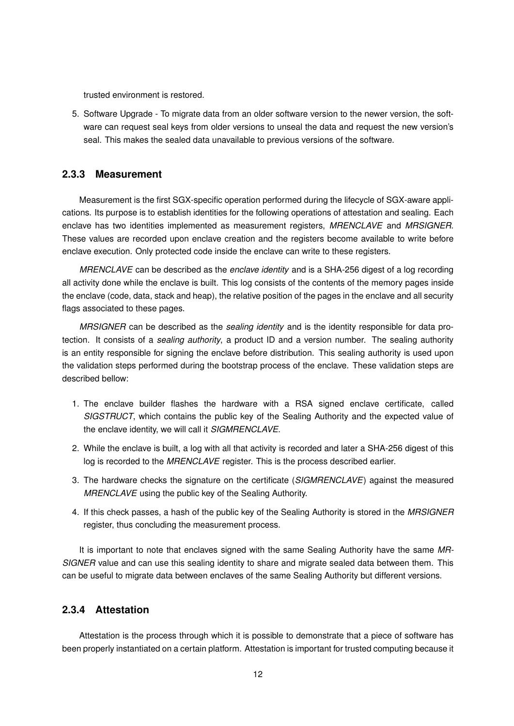trusted environment is restored.

5. Software Upgrade - To migrate data from an older software version to the newer version, the software can request seal keys from older versions to unseal the data and request the new version's seal. This makes the sealed data unavailable to previous versions of the software.

#### **2.3.3 Measurement**

Measurement is the first SGX-specific operation performed during the lifecycle of SGX-aware applications. Its purpose is to establish identities for the following operations of attestation and sealing. Each enclave has two identities implemented as measurement registers, *MRENCLAVE* and *MRSIGNER*. These values are recorded upon enclave creation and the registers become available to write before enclave execution. Only protected code inside the enclave can write to these registers.

*MRENCLAVE* can be described as the *enclave identity* and is a SHA-256 digest of a log recording all activity done while the enclave is built. This log consists of the contents of the memory pages inside the enclave (code, data, stack and heap), the relative position of the pages in the enclave and all security flags associated to these pages.

*MRSIGNER* can be described as the *sealing identity* and is the identity responsible for data protection. It consists of a *sealing authority*, a product ID and a version number. The sealing authority is an entity responsible for signing the enclave before distribution. This sealing authority is used upon the validation steps performed during the bootstrap process of the enclave. These validation steps are described bellow:

- 1. The enclave builder flashes the hardware with a RSA signed enclave certificate, called *SIGSTRUCT*, which contains the public key of the Sealing Authority and the expected value of the enclave identity, we will call it *SIGMRENCLAVE*.
- 2. While the enclave is built, a log with all that activity is recorded and later a SHA-256 digest of this log is recorded to the *MRENCLAVE* register. This is the process described earlier.
- 3. The hardware checks the signature on the certificate (*SIGMRENCLAVE*) against the measured *MRENCLAVE* using the public key of the Sealing Authority.
- 4. If this check passes, a hash of the public key of the Sealing Authority is stored in the *MRSIGNER* register, thus concluding the measurement process.

It is important to note that enclaves signed with the same Sealing Authority have the same *MR-SIGNER* value and can use this sealing identity to share and migrate sealed data between them. This can be useful to migrate data between enclaves of the same Sealing Authority but different versions.

#### **2.3.4 Attestation**

Attestation is the process through which it is possible to demonstrate that a piece of software has been properly instantiated on a certain platform. Attestation is important for trusted computing because it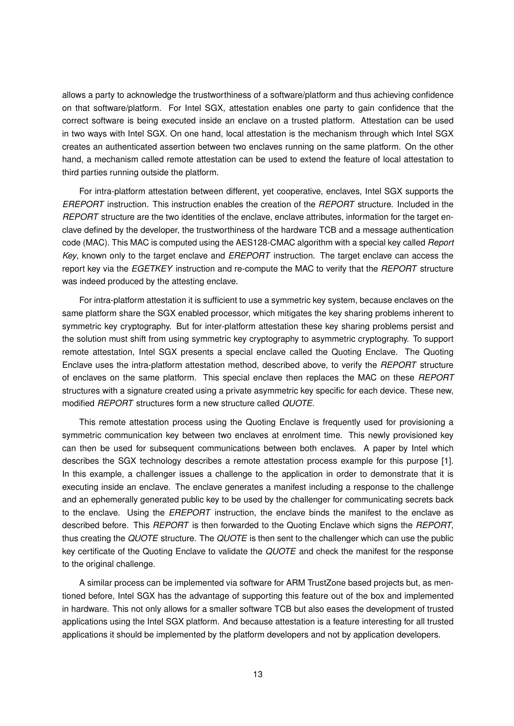allows a party to acknowledge the trustworthiness of a software/platform and thus achieving confidence on that software/platform. For Intel SGX, attestation enables one party to gain confidence that the correct software is being executed inside an enclave on a trusted platform. Attestation can be used in two ways with Intel SGX. On one hand, local attestation is the mechanism through which Intel SGX creates an authenticated assertion between two enclaves running on the same platform. On the other hand, a mechanism called remote attestation can be used to extend the feature of local attestation to third parties running outside the platform.

For intra-platform attestation between different, yet cooperative, enclaves, Intel SGX supports the *EREPORT* instruction. This instruction enables the creation of the *REPORT* structure. Included in the *REPORT* structure are the two identities of the enclave, enclave attributes, information for the target enclave defined by the developer, the trustworthiness of the hardware TCB and a message authentication code (MAC). This MAC is computed using the AES128-CMAC algorithm with a special key called *Report Key*, known only to the target enclave and *EREPORT* instruction. The target enclave can access the report key via the *EGETKEY* instruction and re-compute the MAC to verify that the *REPORT* structure was indeed produced by the attesting enclave.

For intra-platform attestation it is sufficient to use a symmetric key system, because enclaves on the same platform share the SGX enabled processor, which mitigates the key sharing problems inherent to symmetric key cryptography. But for inter-platform attestation these key sharing problems persist and the solution must shift from using symmetric key cryptography to asymmetric cryptography. To support remote attestation, Intel SGX presents a special enclave called the Quoting Enclave. The Quoting Enclave uses the intra-platform attestation method, described above, to verify the *REPORT* structure of enclaves on the same platform. This special enclave then replaces the MAC on these *REPORT* structures with a signature created using a private asymmetric key specific for each device. These new, modified *REPORT* structures form a new structure called *QUOTE*.

This remote attestation process using the Quoting Enclave is frequently used for provisioning a symmetric communication key between two enclaves at enrolment time. This newly provisioned key can then be used for subsequent communications between both enclaves. A paper by Intel which describes the SGX technology describes a remote attestation process example for this purpose [1]. In this example, a challenger issues a challenge to the application in order to demonstrate that it is executing inside an enclave. The enclave generates a manifest including a response to the challenge and an ephemerally generated public key to be used by the challenger for communicating secrets back to the enclave. Using the *EREPORT* instruction, the enclave binds the manifest to the enclave as described before. This *REPORT* is then forwarded to the Quoting Enclave which signs the *REPORT*, thus creating the *QUOTE* structure. The *QUOTE* is then sent to the challenger which can use the public key certificate of the Quoting Enclave to validate the *QUOTE* and check the manifest for the response to the original challenge.

A similar process can be implemented via software for ARM TrustZone based projects but, as mentioned before, Intel SGX has the advantage of supporting this feature out of the box and implemented in hardware. This not only allows for a smaller software TCB but also eases the development of trusted applications using the Intel SGX platform. And because attestation is a feature interesting for all trusted applications it should be implemented by the platform developers and not by application developers.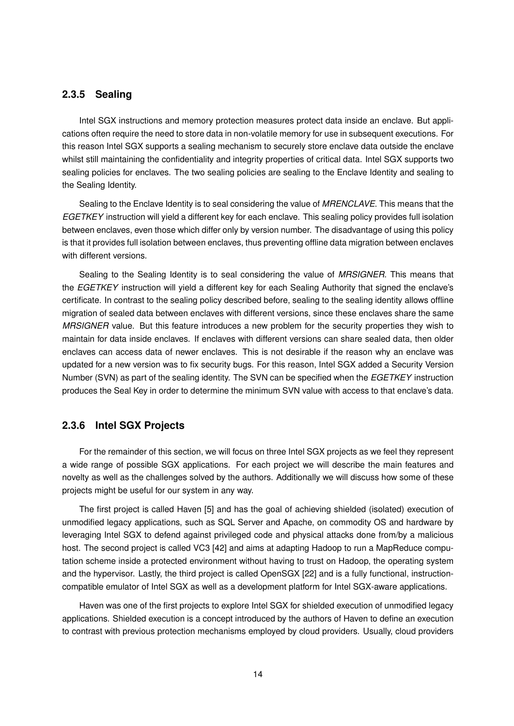#### **2.3.5 Sealing**

Intel SGX instructions and memory protection measures protect data inside an enclave. But applications often require the need to store data in non-volatile memory for use in subsequent executions. For this reason Intel SGX supports a sealing mechanism to securely store enclave data outside the enclave whilst still maintaining the confidentiality and integrity properties of critical data. Intel SGX supports two sealing policies for enclaves. The two sealing policies are sealing to the Enclave Identity and sealing to the Sealing Identity.

Sealing to the Enclave Identity is to seal considering the value of *MRENCLAVE*. This means that the *EGETKEY* instruction will yield a different key for each enclave. This sealing policy provides full isolation between enclaves, even those which differ only by version number. The disadvantage of using this policy is that it provides full isolation between enclaves, thus preventing offline data migration between enclaves with different versions.

Sealing to the Sealing Identity is to seal considering the value of *MRSIGNER*. This means that the *EGETKEY* instruction will yield a different key for each Sealing Authority that signed the enclave's certificate. In contrast to the sealing policy described before, sealing to the sealing identity allows offline migration of sealed data between enclaves with different versions, since these enclaves share the same *MRSIGNER* value. But this feature introduces a new problem for the security properties they wish to maintain for data inside enclaves. If enclaves with different versions can share sealed data, then older enclaves can access data of newer enclaves. This is not desirable if the reason why an enclave was updated for a new version was to fix security bugs. For this reason, Intel SGX added a Security Version Number (SVN) as part of the sealing identity. The SVN can be specified when the *EGETKEY* instruction produces the Seal Key in order to determine the minimum SVN value with access to that enclave's data.

#### **2.3.6 Intel SGX Projects**

For the remainder of this section, we will focus on three Intel SGX projects as we feel they represent a wide range of possible SGX applications. For each project we will describe the main features and novelty as well as the challenges solved by the authors. Additionally we will discuss how some of these projects might be useful for our system in any way.

The first project is called Haven [5] and has the goal of achieving shielded (isolated) execution of unmodified legacy applications, such as SQL Server and Apache, on commodity OS and hardware by leveraging Intel SGX to defend against privileged code and physical attacks done from/by a malicious host. The second project is called VC3 [42] and aims at adapting Hadoop to run a MapReduce computation scheme inside a protected environment without having to trust on Hadoop, the operating system and the hypervisor. Lastly, the third project is called OpenSGX [22] and is a fully functional, instructioncompatible emulator of Intel SGX as well as a development platform for Intel SGX-aware applications.

Haven was one of the first projects to explore Intel SGX for shielded execution of unmodified legacy applications. Shielded execution is a concept introduced by the authors of Haven to define an execution to contrast with previous protection mechanisms employed by cloud providers. Usually, cloud providers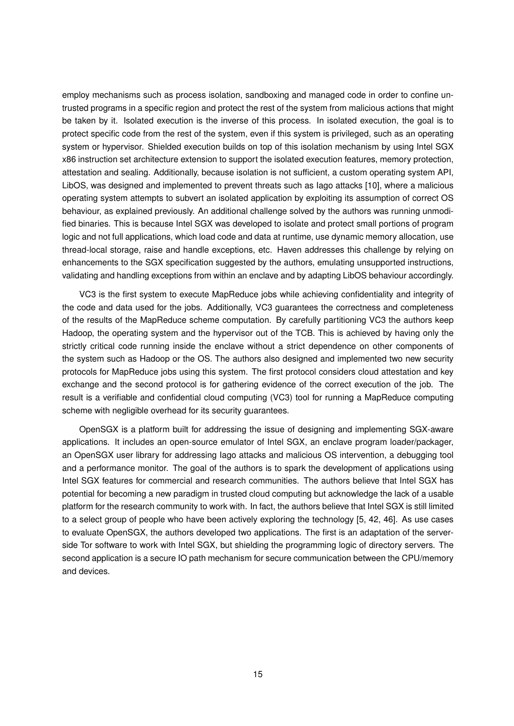employ mechanisms such as process isolation, sandboxing and managed code in order to confine untrusted programs in a specific region and protect the rest of the system from malicious actions that might be taken by it. Isolated execution is the inverse of this process. In isolated execution, the goal is to protect specific code from the rest of the system, even if this system is privileged, such as an operating system or hypervisor. Shielded execution builds on top of this isolation mechanism by using Intel SGX x86 instruction set architecture extension to support the isolated execution features, memory protection, attestation and sealing. Additionally, because isolation is not sufficient, a custom operating system API, LibOS, was designed and implemented to prevent threats such as Iago attacks [10], where a malicious operating system attempts to subvert an isolated application by exploiting its assumption of correct OS behaviour, as explained previously. An additional challenge solved by the authors was running unmodified binaries. This is because Intel SGX was developed to isolate and protect small portions of program logic and not full applications, which load code and data at runtime, use dynamic memory allocation, use thread-local storage, raise and handle exceptions, etc. Haven addresses this challenge by relying on enhancements to the SGX specification suggested by the authors, emulating unsupported instructions, validating and handling exceptions from within an enclave and by adapting LibOS behaviour accordingly.

VC3 is the first system to execute MapReduce jobs while achieving confidentiality and integrity of the code and data used for the jobs. Additionally, VC3 guarantees the correctness and completeness of the results of the MapReduce scheme computation. By carefully partitioning VC3 the authors keep Hadoop, the operating system and the hypervisor out of the TCB. This is achieved by having only the strictly critical code running inside the enclave without a strict dependence on other components of the system such as Hadoop or the OS. The authors also designed and implemented two new security protocols for MapReduce jobs using this system. The first protocol considers cloud attestation and key exchange and the second protocol is for gathering evidence of the correct execution of the job. The result is a verifiable and confidential cloud computing (VC3) tool for running a MapReduce computing scheme with negligible overhead for its security guarantees.

OpenSGX is a platform built for addressing the issue of designing and implementing SGX-aware applications. It includes an open-source emulator of Intel SGX, an enclave program loader/packager, an OpenSGX user library for addressing Iago attacks and malicious OS intervention, a debugging tool and a performance monitor. The goal of the authors is to spark the development of applications using Intel SGX features for commercial and research communities. The authors believe that Intel SGX has potential for becoming a new paradigm in trusted cloud computing but acknowledge the lack of a usable platform for the research community to work with. In fact, the authors believe that Intel SGX is still limited to a select group of people who have been actively exploring the technology [5, 42, 46]. As use cases to evaluate OpenSGX, the authors developed two applications. The first is an adaptation of the serverside Tor software to work with Intel SGX, but shielding the programming logic of directory servers. The second application is a secure IO path mechanism for secure communication between the CPU/memory and devices.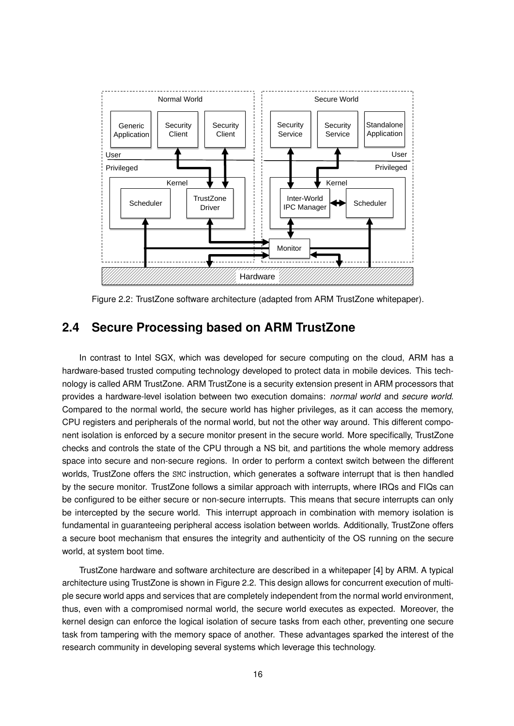

Figure 2.2: TrustZone software architecture (adapted from ARM TrustZone whitepaper).

# **2.4 Secure Processing based on ARM TrustZone**

In contrast to Intel SGX, which was developed for secure computing on the cloud, ARM has a hardware-based trusted computing technology developed to protect data in mobile devices. This technology is called ARM TrustZone. ARM TrustZone is a security extension present in ARM processors that provides a hardware-level isolation between two execution domains: *normal world* and *secure world*. Compared to the normal world, the secure world has higher privileges, as it can access the memory, CPU registers and peripherals of the normal world, but not the other way around. This different component isolation is enforced by a secure monitor present in the secure world. More specifically, TrustZone checks and controls the state of the CPU through a NS bit, and partitions the whole memory address space into secure and non-secure regions. In order to perform a context switch between the different worlds, TrustZone offers the SMC instruction, which generates a software interrupt that is then handled by the secure monitor. TrustZone follows a similar approach with interrupts, where IRQs and FIQs can be configured to be either secure or non-secure interrupts. This means that secure interrupts can only be intercepted by the secure world. This interrupt approach in combination with memory isolation is fundamental in guaranteeing peripheral access isolation between worlds. Additionally, TrustZone offers a secure boot mechanism that ensures the integrity and authenticity of the OS running on the secure world, at system boot time.

TrustZone hardware and software architecture are described in a whitepaper [4] by ARM. A typical architecture using TrustZone is shown in Figure 2.2. This design allows for concurrent execution of multiple secure world apps and services that are completely independent from the normal world environment, thus, even with a compromised normal world, the secure world executes as expected. Moreover, the kernel design can enforce the logical isolation of secure tasks from each other, preventing one secure task from tampering with the memory space of another. These advantages sparked the interest of the research community in developing several systems which leverage this technology.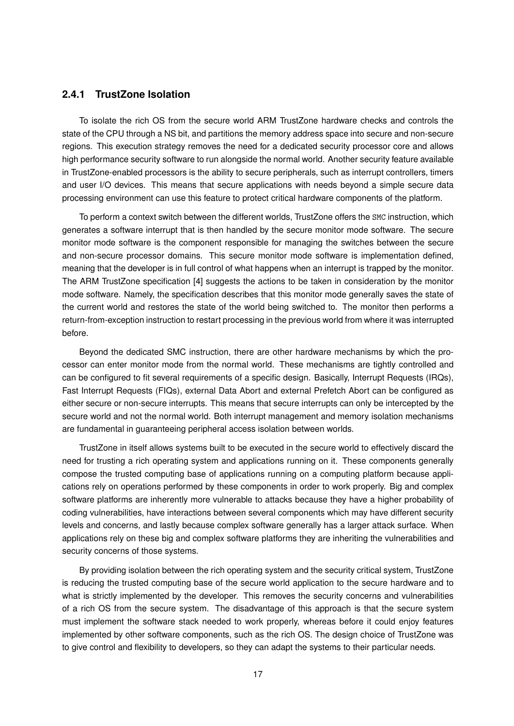#### **2.4.1 TrustZone Isolation**

To isolate the rich OS from the secure world ARM TrustZone hardware checks and controls the state of the CPU through a NS bit, and partitions the memory address space into secure and non-secure regions. This execution strategy removes the need for a dedicated security processor core and allows high performance security software to run alongside the normal world. Another security feature available in TrustZone-enabled processors is the ability to secure peripherals, such as interrupt controllers, timers and user I/O devices. This means that secure applications with needs beyond a simple secure data processing environment can use this feature to protect critical hardware components of the platform.

To perform a context switch between the different worlds, TrustZone offers the SMC instruction, which generates a software interrupt that is then handled by the secure monitor mode software. The secure monitor mode software is the component responsible for managing the switches between the secure and non-secure processor domains. This secure monitor mode software is implementation defined, meaning that the developer is in full control of what happens when an interrupt is trapped by the monitor. The ARM TrustZone specification [4] suggests the actions to be taken in consideration by the monitor mode software. Namely, the specification describes that this monitor mode generally saves the state of the current world and restores the state of the world being switched to. The monitor then performs a return-from-exception instruction to restart processing in the previous world from where it was interrupted before.

Beyond the dedicated SMC instruction, there are other hardware mechanisms by which the processor can enter monitor mode from the normal world. These mechanisms are tightly controlled and can be configured to fit several requirements of a specific design. Basically, Interrupt Requests (IRQs), Fast Interrupt Requests (FIQs), external Data Abort and external Prefetch Abort can be configured as either secure or non-secure interrupts. This means that secure interrupts can only be intercepted by the secure world and not the normal world. Both interrupt management and memory isolation mechanisms are fundamental in guaranteeing peripheral access isolation between worlds.

TrustZone in itself allows systems built to be executed in the secure world to effectively discard the need for trusting a rich operating system and applications running on it. These components generally compose the trusted computing base of applications running on a computing platform because applications rely on operations performed by these components in order to work properly. Big and complex software platforms are inherently more vulnerable to attacks because they have a higher probability of coding vulnerabilities, have interactions between several components which may have different security levels and concerns, and lastly because complex software generally has a larger attack surface. When applications rely on these big and complex software platforms they are inheriting the vulnerabilities and security concerns of those systems.

By providing isolation between the rich operating system and the security critical system, TrustZone is reducing the trusted computing base of the secure world application to the secure hardware and to what is strictly implemented by the developer. This removes the security concerns and vulnerabilities of a rich OS from the secure system. The disadvantage of this approach is that the secure system must implement the software stack needed to work properly, whereas before it could enjoy features implemented by other software components, such as the rich OS. The design choice of TrustZone was to give control and flexibility to developers, so they can adapt the systems to their particular needs.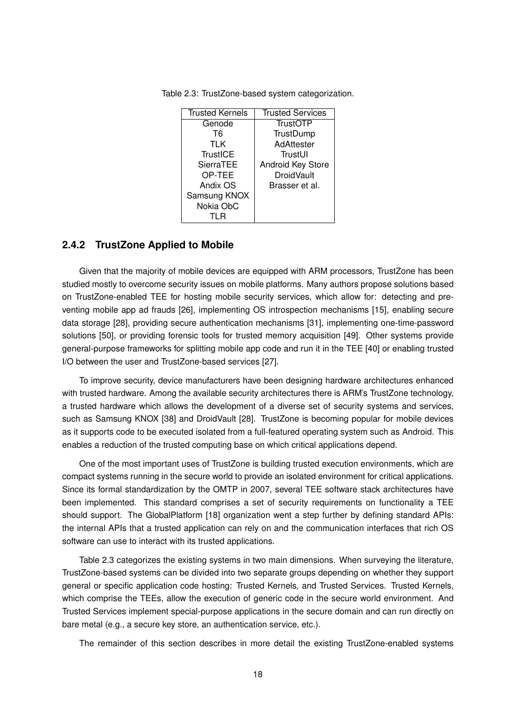| <b>Trusted Kernels</b> | <b>Trusted Services</b> |
|------------------------|-------------------------|
| Genode                 | <b>TrustOTP</b>         |
| T6                     | TrustDump               |
| TLK                    | AdAttester              |
| <b>TrustICE</b>        | TrustUI                 |
| <b>SierraTEE</b>       | Android Key Store       |
| OP-TEE                 | <b>DroidVault</b>       |
| Andix OS               | Brasser et al.          |
| Samsung KNOX           |                         |
| Nokia ObC              |                         |
| TI R                   |                         |

Table 2.3: TrustZone-based system categorization.

#### **2.4.2 TrustZone Applied to Mobile**

Given that the majority of mobile devices are equipped with ARM processors, TrustZone has been studied mostly to overcome security issues on mobile platforms. Many authors propose solutions based on TrustZone-enabled TEE for hosting mobile security services, which allow for: detecting and preventing mobile app ad frauds [26], implementing OS introspection mechanisms [15], enabling secure data storage [28], providing secure authentication mechanisms [31], implementing one-time-password solutions [50], or providing forensic tools for trusted memory acquisition [49]. Other systems provide general-purpose frameworks for splitting mobile app code and run it in the TEE [40] or enabling trusted I/O between the user and TrustZone-based services [27].

To improve security, device manufacturers have been designing hardware architectures enhanced with trusted hardware. Among the available security architectures there is ARM's TrustZone technology, a trusted hardware which allows the development of a diverse set of security systems and services, such as Samsung KNOX [38] and DroidVault [28]. TrustZone is becoming popular for mobile devices as it supports code to be executed isolated from a full-featured operating system such as Android. This enables a reduction of the trusted computing base on which critical applications depend.

One of the most important uses of TrustZone is building trusted execution environments, which are compact systems running in the secure world to provide an isolated environment for critical applications. Since its formal standardization by the OMTP in 2007, several TEE software stack architectures have been implemented. This standard comprises a set of security requirements on functionality a TEE should support. The GlobalPlatform [18] organization went a step further by defining standard APIs: the internal APIs that a trusted application can rely on and the communication interfaces that rich OS software can use to interact with its trusted applications.

Table 2.3 categorizes the existing systems in two main dimensions. When surveying the literature, TrustZone-based systems can be divided into two separate groups depending on whether they support general or specific application code hosting: Trusted Kernels, and Trusted Services. Trusted Kernels, which comprise the TEEs, allow the execution of generic code in the secure world environment. And Trusted Services implement special-purpose applications in the secure domain and can run directly on bare metal (e.g., a secure key store, an authentication service, etc.).

The remainder of this section describes in more detail the existing TrustZone-enabled systems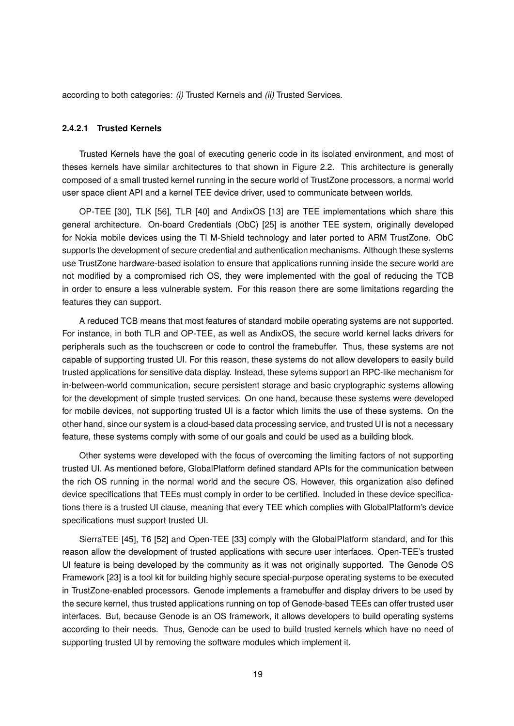according to both categories: *(i)* Trusted Kernels and *(ii)* Trusted Services.

#### **2.4.2.1 Trusted Kernels**

Trusted Kernels have the goal of executing generic code in its isolated environment, and most of theses kernels have similar architectures to that shown in Figure 2.2. This architecture is generally composed of a small trusted kernel running in the secure world of TrustZone processors, a normal world user space client API and a kernel TEE device driver, used to communicate between worlds.

OP-TEE [30], TLK [56], TLR [40] and AndixOS [13] are TEE implementations which share this general architecture. On-board Credentials (ObC) [25] is another TEE system, originally developed for Nokia mobile devices using the TI M-Shield technology and later ported to ARM TrustZone. ObC supports the development of secure credential and authentication mechanisms. Although these systems use TrustZone hardware-based isolation to ensure that applications running inside the secure world are not modified by a compromised rich OS, they were implemented with the goal of reducing the TCB in order to ensure a less vulnerable system. For this reason there are some limitations regarding the features they can support.

A reduced TCB means that most features of standard mobile operating systems are not supported. For instance, in both TLR and OP-TEE, as well as AndixOS, the secure world kernel lacks drivers for peripherals such as the touchscreen or code to control the framebuffer. Thus, these systems are not capable of supporting trusted UI. For this reason, these systems do not allow developers to easily build trusted applications for sensitive data display. Instead, these sytems support an RPC-like mechanism for in-between-world communication, secure persistent storage and basic cryptographic systems allowing for the development of simple trusted services. On one hand, because these systems were developed for mobile devices, not supporting trusted UI is a factor which limits the use of these systems. On the other hand, since our system is a cloud-based data processing service, and trusted UI is not a necessary feature, these systems comply with some of our goals and could be used as a building block.

Other systems were developed with the focus of overcoming the limiting factors of not supporting trusted UI. As mentioned before, GlobalPlatform defined standard APIs for the communication between the rich OS running in the normal world and the secure OS. However, this organization also defined device specifications that TEEs must comply in order to be certified. Included in these device specifications there is a trusted UI clause, meaning that every TEE which complies with GlobalPlatform's device specifications must support trusted UI.

SierraTEE [45], T6 [52] and Open-TEE [33] comply with the GlobalPlatform standard, and for this reason allow the development of trusted applications with secure user interfaces. Open-TEE's trusted UI feature is being developed by the community as it was not originally supported. The Genode OS Framework [23] is a tool kit for building highly secure special-purpose operating systems to be executed in TrustZone-enabled processors. Genode implements a framebuffer and display drivers to be used by the secure kernel, thus trusted applications running on top of Genode-based TEEs can offer trusted user interfaces. But, because Genode is an OS framework, it allows developers to build operating systems according to their needs. Thus, Genode can be used to build trusted kernels which have no need of supporting trusted UI by removing the software modules which implement it.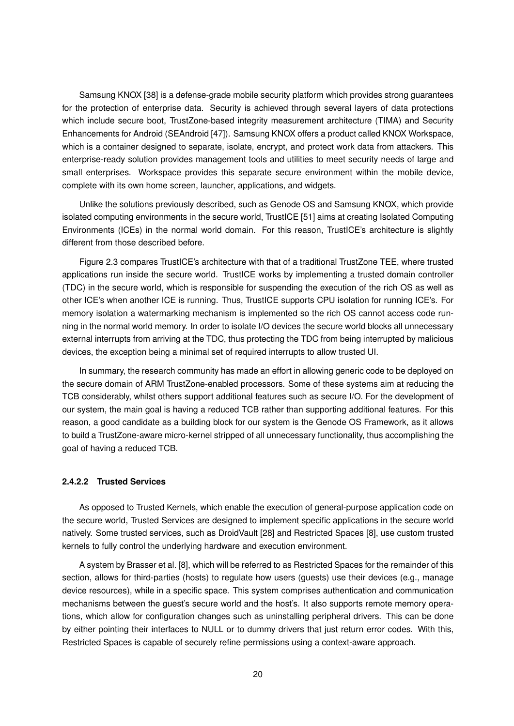Samsung KNOX [38] is a defense-grade mobile security platform which provides strong guarantees for the protection of enterprise data. Security is achieved through several layers of data protections which include secure boot, TrustZone-based integrity measurement architecture (TIMA) and Security Enhancements for Android (SEAndroid [47]). Samsung KNOX offers a product called KNOX Workspace, which is a container designed to separate, isolate, encrypt, and protect work data from attackers. This enterprise-ready solution provides management tools and utilities to meet security needs of large and small enterprises. Workspace provides this separate secure environment within the mobile device, complete with its own home screen, launcher, applications, and widgets.

Unlike the solutions previously described, such as Genode OS and Samsung KNOX, which provide isolated computing environments in the secure world, TrustICE [51] aims at creating Isolated Computing Environments (ICEs) in the normal world domain. For this reason, TrustICE's architecture is slightly different from those described before.

Figure 2.3 compares TrustICE's architecture with that of a traditional TrustZone TEE, where trusted applications run inside the secure world. TrustICE works by implementing a trusted domain controller (TDC) in the secure world, which is responsible for suspending the execution of the rich OS as well as other ICE's when another ICE is running. Thus, TrustICE supports CPU isolation for running ICE's. For memory isolation a watermarking mechanism is implemented so the rich OS cannot access code running in the normal world memory. In order to isolate I/O devices the secure world blocks all unnecessary external interrupts from arriving at the TDC, thus protecting the TDC from being interrupted by malicious devices, the exception being a minimal set of required interrupts to allow trusted UI.

In summary, the research community has made an effort in allowing generic code to be deployed on the secure domain of ARM TrustZone-enabled processors. Some of these systems aim at reducing the TCB considerably, whilst others support additional features such as secure I/O. For the development of our system, the main goal is having a reduced TCB rather than supporting additional features. For this reason, a good candidate as a building block for our system is the Genode OS Framework, as it allows to build a TrustZone-aware micro-kernel stripped of all unnecessary functionality, thus accomplishing the goal of having a reduced TCB.

#### **2.4.2.2 Trusted Services**

As opposed to Trusted Kernels, which enable the execution of general-purpose application code on the secure world, Trusted Services are designed to implement specific applications in the secure world natively. Some trusted services, such as DroidVault [28] and Restricted Spaces [8], use custom trusted kernels to fully control the underlying hardware and execution environment.

A system by Brasser et al. [8], which will be referred to as Restricted Spaces for the remainder of this section, allows for third-parties (hosts) to regulate how users (guests) use their devices (e.g., manage device resources), while in a specific space. This system comprises authentication and communication mechanisms between the guest's secure world and the host's. It also supports remote memory operations, which allow for configuration changes such as uninstalling peripheral drivers. This can be done by either pointing their interfaces to NULL or to dummy drivers that just return error codes. With this, Restricted Spaces is capable of securely refine permissions using a context-aware approach.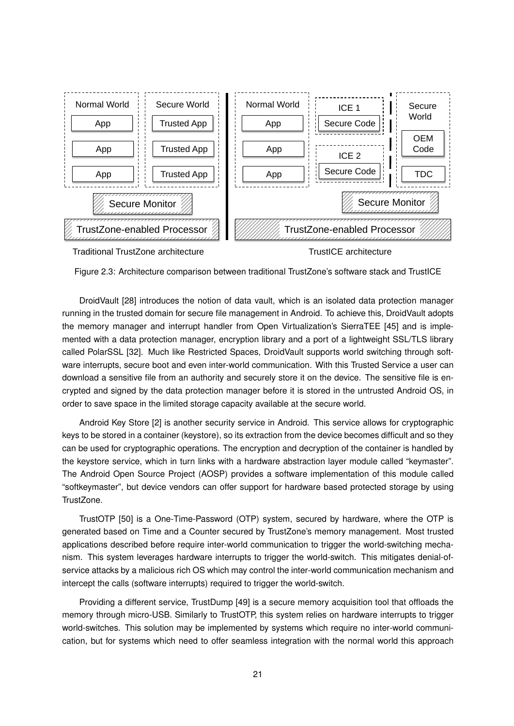

Figure 2.3: Architecture comparison between traditional TrustZone's software stack and TrustICE

DroidVault [28] introduces the notion of data vault, which is an isolated data protection manager running in the trusted domain for secure file management in Android. To achieve this, DroidVault adopts the memory manager and interrupt handler from Open Virtualization's SierraTEE [45] and is implemented with a data protection manager, encryption library and a port of a lightweight SSL/TLS library called PolarSSL [32]. Much like Restricted Spaces, DroidVault supports world switching through software interrupts, secure boot and even inter-world communication. With this Trusted Service a user can download a sensitive file from an authority and securely store it on the device. The sensitive file is encrypted and signed by the data protection manager before it is stored in the untrusted Android OS, in order to save space in the limited storage capacity available at the secure world.

Android Key Store [2] is another security service in Android. This service allows for cryptographic keys to be stored in a container (keystore), so its extraction from the device becomes difficult and so they can be used for cryptographic operations. The encryption and decryption of the container is handled by the keystore service, which in turn links with a hardware abstraction layer module called "keymaster". The Android Open Source Project (AOSP) provides a software implementation of this module called "softkeymaster", but device vendors can offer support for hardware based protected storage by using TrustZone.

TrustOTP [50] is a One-Time-Password (OTP) system, secured by hardware, where the OTP is generated based on Time and a Counter secured by TrustZone's memory management. Most trusted applications described before require inter-world communication to trigger the world-switching mechanism. This system leverages hardware interrupts to trigger the world-switch. This mitigates denial-ofservice attacks by a malicious rich OS which may control the inter-world communication mechanism and intercept the calls (software interrupts) required to trigger the world-switch.

Providing a different service, TrustDump [49] is a secure memory acquisition tool that offloads the memory through micro-USB. Similarly to TrustOTP, this system relies on hardware interrupts to trigger world-switches. This solution may be implemented by systems which require no inter-world communication, but for systems which need to offer seamless integration with the normal world this approach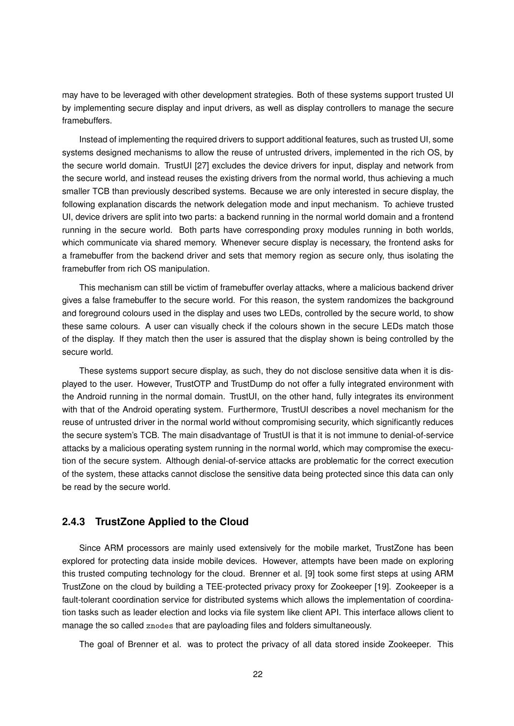may have to be leveraged with other development strategies. Both of these systems support trusted UI by implementing secure display and input drivers, as well as display controllers to manage the secure framebuffers.

Instead of implementing the required drivers to support additional features, such as trusted UI, some systems designed mechanisms to allow the reuse of untrusted drivers, implemented in the rich OS, by the secure world domain. TrustUI [27] excludes the device drivers for input, display and network from the secure world, and instead reuses the existing drivers from the normal world, thus achieving a much smaller TCB than previously described systems. Because we are only interested in secure display, the following explanation discards the network delegation mode and input mechanism. To achieve trusted UI, device drivers are split into two parts: a backend running in the normal world domain and a frontend running in the secure world. Both parts have corresponding proxy modules running in both worlds, which communicate via shared memory. Whenever secure display is necessary, the frontend asks for a framebuffer from the backend driver and sets that memory region as secure only, thus isolating the framebuffer from rich OS manipulation.

This mechanism can still be victim of framebuffer overlay attacks, where a malicious backend driver gives a false framebuffer to the secure world. For this reason, the system randomizes the background and foreground colours used in the display and uses two LEDs, controlled by the secure world, to show these same colours. A user can visually check if the colours shown in the secure LEDs match those of the display. If they match then the user is assured that the display shown is being controlled by the secure world.

These systems support secure display, as such, they do not disclose sensitive data when it is displayed to the user. However, TrustOTP and TrustDump do not offer a fully integrated environment with the Android running in the normal domain. TrustUI, on the other hand, fully integrates its environment with that of the Android operating system. Furthermore, TrustUI describes a novel mechanism for the reuse of untrusted driver in the normal world without compromising security, which significantly reduces the secure system's TCB. The main disadvantage of TrustUI is that it is not immune to denial-of-service attacks by a malicious operating system running in the normal world, which may compromise the execution of the secure system. Although denial-of-service attacks are problematic for the correct execution of the system, these attacks cannot disclose the sensitive data being protected since this data can only be read by the secure world.

#### **2.4.3 TrustZone Applied to the Cloud**

Since ARM processors are mainly used extensively for the mobile market, TrustZone has been explored for protecting data inside mobile devices. However, attempts have been made on exploring this trusted computing technology for the cloud. Brenner et al. [9] took some first steps at using ARM TrustZone on the cloud by building a TEE-protected privacy proxy for Zookeeper [19]. Zookeeper is a fault-tolerant coordination service for distributed systems which allows the implementation of coordination tasks such as leader election and locks via file system like client API. This interface allows client to manage the so called znodes that are payloading files and folders simultaneously.

The goal of Brenner et al. was to protect the privacy of all data stored inside Zookeeper. This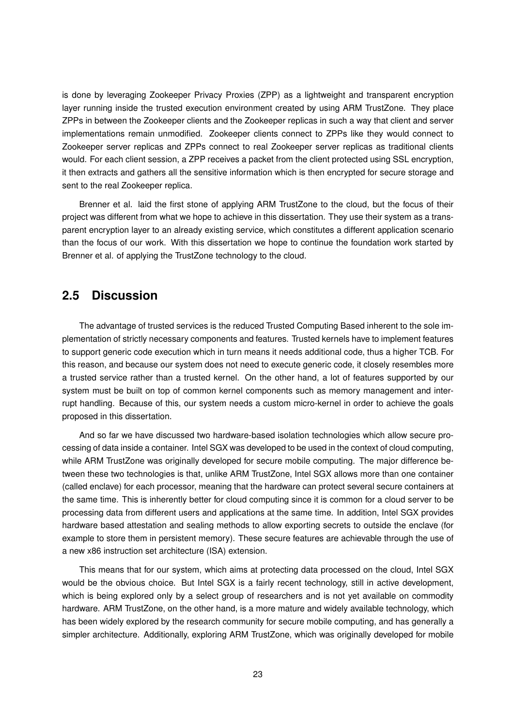is done by leveraging Zookeeper Privacy Proxies (ZPP) as a lightweight and transparent encryption layer running inside the trusted execution environment created by using ARM TrustZone. They place ZPPs in between the Zookeeper clients and the Zookeeper replicas in such a way that client and server implementations remain unmodified. Zookeeper clients connect to ZPPs like they would connect to Zookeeper server replicas and ZPPs connect to real Zookeeper server replicas as traditional clients would. For each client session, a ZPP receives a packet from the client protected using SSL encryption, it then extracts and gathers all the sensitive information which is then encrypted for secure storage and sent to the real Zookeeper replica.

Brenner et al. laid the first stone of applying ARM TrustZone to the cloud, but the focus of their project was different from what we hope to achieve in this dissertation. They use their system as a transparent encryption layer to an already existing service, which constitutes a different application scenario than the focus of our work. With this dissertation we hope to continue the foundation work started by Brenner et al. of applying the TrustZone technology to the cloud.

# **2.5 Discussion**

The advantage of trusted services is the reduced Trusted Computing Based inherent to the sole implementation of strictly necessary components and features. Trusted kernels have to implement features to support generic code execution which in turn means it needs additional code, thus a higher TCB. For this reason, and because our system does not need to execute generic code, it closely resembles more a trusted service rather than a trusted kernel. On the other hand, a lot of features supported by our system must be built on top of common kernel components such as memory management and interrupt handling. Because of this, our system needs a custom micro-kernel in order to achieve the goals proposed in this dissertation.

And so far we have discussed two hardware-based isolation technologies which allow secure processing of data inside a container. Intel SGX was developed to be used in the context of cloud computing, while ARM TrustZone was originally developed for secure mobile computing. The major difference between these two technologies is that, unlike ARM TrustZone, Intel SGX allows more than one container (called enclave) for each processor, meaning that the hardware can protect several secure containers at the same time. This is inherently better for cloud computing since it is common for a cloud server to be processing data from different users and applications at the same time. In addition, Intel SGX provides hardware based attestation and sealing methods to allow exporting secrets to outside the enclave (for example to store them in persistent memory). These secure features are achievable through the use of a new x86 instruction set architecture (ISA) extension.

This means that for our system, which aims at protecting data processed on the cloud, Intel SGX would be the obvious choice. But Intel SGX is a fairly recent technology, still in active development, which is being explored only by a select group of researchers and is not yet available on commodity hardware. ARM TrustZone, on the other hand, is a more mature and widely available technology, which has been widely explored by the research community for secure mobile computing, and has generally a simpler architecture. Additionally, exploring ARM TrustZone, which was originally developed for mobile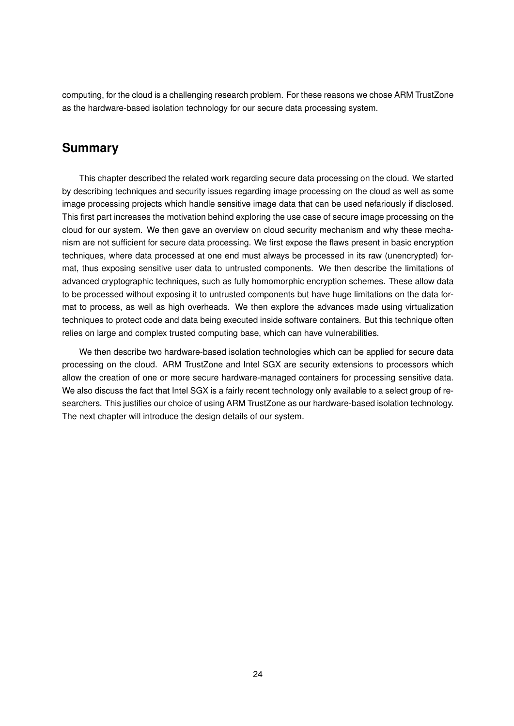computing, for the cloud is a challenging research problem. For these reasons we chose ARM TrustZone as the hardware-based isolation technology for our secure data processing system.

# **Summary**

This chapter described the related work regarding secure data processing on the cloud. We started by describing techniques and security issues regarding image processing on the cloud as well as some image processing projects which handle sensitive image data that can be used nefariously if disclosed. This first part increases the motivation behind exploring the use case of secure image processing on the cloud for our system. We then gave an overview on cloud security mechanism and why these mechanism are not sufficient for secure data processing. We first expose the flaws present in basic encryption techniques, where data processed at one end must always be processed in its raw (unencrypted) format, thus exposing sensitive user data to untrusted components. We then describe the limitations of advanced cryptographic techniques, such as fully homomorphic encryption schemes. These allow data to be processed without exposing it to untrusted components but have huge limitations on the data format to process, as well as high overheads. We then explore the advances made using virtualization techniques to protect code and data being executed inside software containers. But this technique often relies on large and complex trusted computing base, which can have vulnerabilities.

We then describe two hardware-based isolation technologies which can be applied for secure data processing on the cloud. ARM TrustZone and Intel SGX are security extensions to processors which allow the creation of one or more secure hardware-managed containers for processing sensitive data. We also discuss the fact that Intel SGX is a fairly recent technology only available to a select group of researchers. This justifies our choice of using ARM TrustZone as our hardware-based isolation technology. The next chapter will introduce the design details of our system.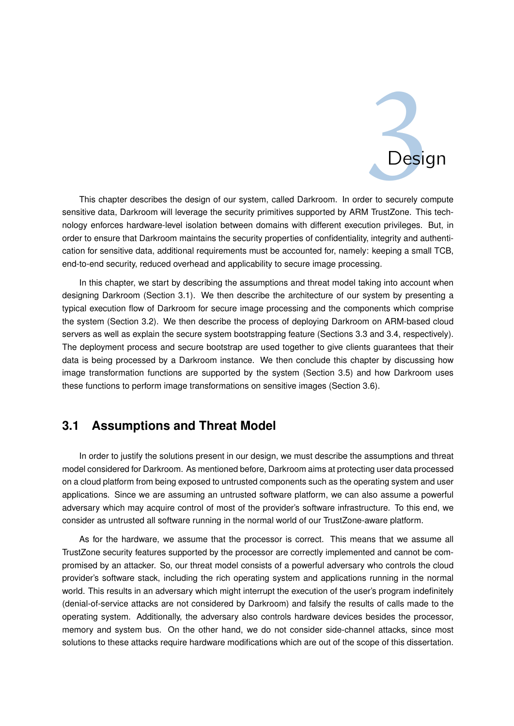

This chapter describes the design of our system, called Darkroom. In order to securely compute sensitive data, Darkroom will leverage the security primitives supported by ARM TrustZone. This technology enforces hardware-level isolation between domains with different execution privileges. But, in order to ensure that Darkroom maintains the security properties of confidentiality, integrity and authentication for sensitive data, additional requirements must be accounted for, namely: keeping a small TCB, end-to-end security, reduced overhead and applicability to secure image processing.

In this chapter, we start by describing the assumptions and threat model taking into account when designing Darkroom (Section 3.1). We then describe the architecture of our system by presenting a typical execution flow of Darkroom for secure image processing and the components which comprise the system (Section 3.2). We then describe the process of deploying Darkroom on ARM-based cloud servers as well as explain the secure system bootstrapping feature (Sections 3.3 and 3.4, respectively). The deployment process and secure bootstrap are used together to give clients guarantees that their data is being processed by a Darkroom instance. We then conclude this chapter by discussing how image transformation functions are supported by the system (Section 3.5) and how Darkroom uses these functions to perform image transformations on sensitive images (Section 3.6).

# **3.1 Assumptions and Threat Model**

In order to justify the solutions present in our design, we must describe the assumptions and threat model considered for Darkroom. As mentioned before, Darkroom aims at protecting user data processed on a cloud platform from being exposed to untrusted components such as the operating system and user applications. Since we are assuming an untrusted software platform, we can also assume a powerful adversary which may acquire control of most of the provider's software infrastructure. To this end, we consider as untrusted all software running in the normal world of our TrustZone-aware platform.

As for the hardware, we assume that the processor is correct. This means that we assume all TrustZone security features supported by the processor are correctly implemented and cannot be compromised by an attacker. So, our threat model consists of a powerful adversary who controls the cloud provider's software stack, including the rich operating system and applications running in the normal world. This results in an adversary which might interrupt the execution of the user's program indefinitely (denial-of-service attacks are not considered by Darkroom) and falsify the results of calls made to the operating system. Additionally, the adversary also controls hardware devices besides the processor, memory and system bus. On the other hand, we do not consider side-channel attacks, since most solutions to these attacks require hardware modifications which are out of the scope of this dissertation.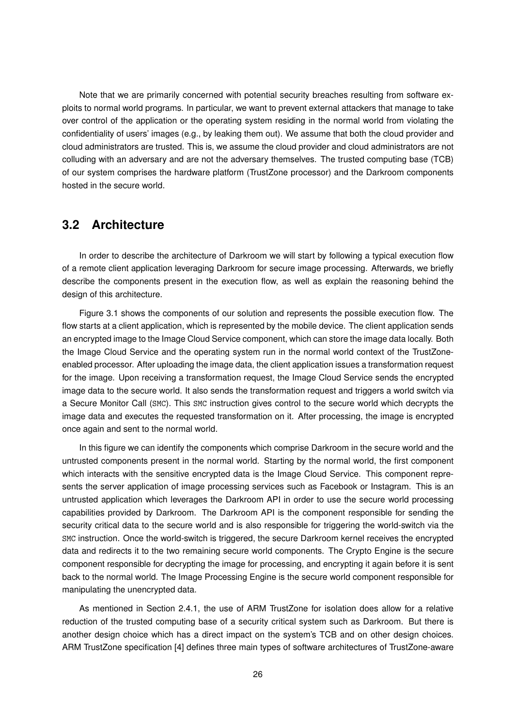Note that we are primarily concerned with potential security breaches resulting from software exploits to normal world programs. In particular, we want to prevent external attackers that manage to take over control of the application or the operating system residing in the normal world from violating the confidentiality of users' images (e.g., by leaking them out). We assume that both the cloud provider and cloud administrators are trusted. This is, we assume the cloud provider and cloud administrators are not colluding with an adversary and are not the adversary themselves. The trusted computing base (TCB) of our system comprises the hardware platform (TrustZone processor) and the Darkroom components hosted in the secure world.

# **3.2 Architecture**

In order to describe the architecture of Darkroom we will start by following a typical execution flow of a remote client application leveraging Darkroom for secure image processing. Afterwards, we briefly describe the components present in the execution flow, as well as explain the reasoning behind the design of this architecture.

Figure 3.1 shows the components of our solution and represents the possible execution flow. The flow starts at a client application, which is represented by the mobile device. The client application sends an encrypted image to the Image Cloud Service component, which can store the image data locally. Both the Image Cloud Service and the operating system run in the normal world context of the TrustZoneenabled processor. After uploading the image data, the client application issues a transformation request for the image. Upon receiving a transformation request, the Image Cloud Service sends the encrypted image data to the secure world. It also sends the transformation request and triggers a world switch via a Secure Monitor Call (SMC). This SMC instruction gives control to the secure world which decrypts the image data and executes the requested transformation on it. After processing, the image is encrypted once again and sent to the normal world.

In this figure we can identify the components which comprise Darkroom in the secure world and the untrusted components present in the normal world. Starting by the normal world, the first component which interacts with the sensitive encrypted data is the Image Cloud Service. This component represents the server application of image processing services such as Facebook or Instagram. This is an untrusted application which leverages the Darkroom API in order to use the secure world processing capabilities provided by Darkroom. The Darkroom API is the component responsible for sending the security critical data to the secure world and is also responsible for triggering the world-switch via the SMC instruction. Once the world-switch is triggered, the secure Darkroom kernel receives the encrypted data and redirects it to the two remaining secure world components. The Crypto Engine is the secure component responsible for decrypting the image for processing, and encrypting it again before it is sent back to the normal world. The Image Processing Engine is the secure world component responsible for manipulating the unencrypted data.

As mentioned in Section 2.4.1, the use of ARM TrustZone for isolation does allow for a relative reduction of the trusted computing base of a security critical system such as Darkroom. But there is another design choice which has a direct impact on the system's TCB and on other design choices. ARM TrustZone specification [4] defines three main types of software architectures of TrustZone-aware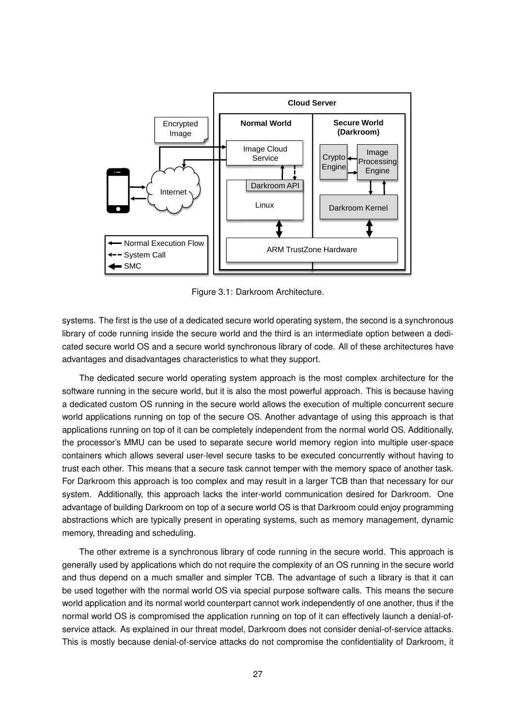

Figure 3.1: Darkroom Architecture.

systems. The first is the use of a dedicated secure world operating system, the second is a synchronous library of code running inside the secure world and the third is an intermediate option between a dedicated secure world OS and a secure world synchronous library of code. All of these architectures have advantages and disadvantages characteristics to what they support.

The dedicated secure world operating system approach is the most complex architecture for the software running in the secure world, but it is also the most powerful approach. This is because having a dedicated custom OS running in the secure world allows the execution of multiple concurrent secure world applications running on top of the secure OS. Another advantage of using this approach is that applications running on top of it can be completely independent from the normal world OS. Additionally, the processor's MMU can be used to separate secure world memory region into multiple user-space containers which allows several user-level secure tasks to be executed concurrently without having to trust each other. This means that a secure task cannot temper with the memory space of another task. For Darkroom this approach is too complex and may result in a larger TCB than that necessary for our system. Additionally, this approach lacks the inter-world communication desired for Darkroom. One advantage of building Darkroom on top of a secure world OS is that Darkroom could enjoy programming abstractions which are typically present in operating systems, such as memory management, dynamic memory, threading and scheduling.

The other extreme is a synchronous library of code running in the secure world. This approach is generally used by applications which do not require the complexity of an OS running in the secure world and thus depend on a much smaller and simpler TCB. The advantage of such a library is that it can be used together with the normal world OS via special purpose software calls. This means the secure world application and its normal world counterpart cannot work independently of one another, thus if the normal world OS is compromised the application running on top of it can effectively launch a denial-ofservice attack. As explained in our threat model, Darkroom does not consider denial-of-service attacks. This is mostly because denial-of-service attacks do not compromise the confidentiality of Darkroom, it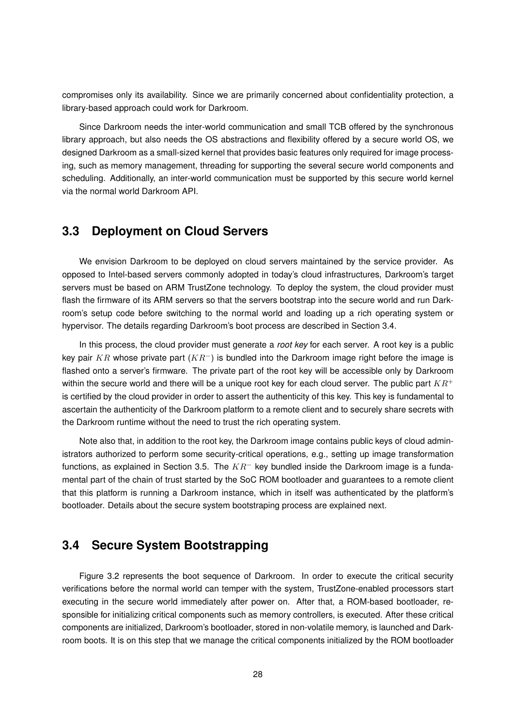compromises only its availability. Since we are primarily concerned about confidentiality protection, a library-based approach could work for Darkroom.

Since Darkroom needs the inter-world communication and small TCB offered by the synchronous library approach, but also needs the OS abstractions and flexibility offered by a secure world OS, we designed Darkroom as a small-sized kernel that provides basic features only required for image processing, such as memory management, threading for supporting the several secure world components and scheduling. Additionally, an inter-world communication must be supported by this secure world kernel via the normal world Darkroom API.

## **3.3 Deployment on Cloud Servers**

We envision Darkroom to be deployed on cloud servers maintained by the service provider. As opposed to Intel-based servers commonly adopted in today's cloud infrastructures, Darkroom's target servers must be based on ARM TrustZone technology. To deploy the system, the cloud provider must flash the firmware of its ARM servers so that the servers bootstrap into the secure world and run Darkroom's setup code before switching to the normal world and loading up a rich operating system or hypervisor. The details regarding Darkroom's boot process are described in Section 3.4.

In this process, the cloud provider must generate a *root key* for each server. A root key is a public key pair KR whose private part  $(KR^-)$  is bundled into the Darkroom image right before the image is flashed onto a server's firmware. The private part of the root key will be accessible only by Darkroom within the secure world and there will be a unique root key for each cloud server. The public part  $KR^+$ is certified by the cloud provider in order to assert the authenticity of this key. This key is fundamental to ascertain the authenticity of the Darkroom platform to a remote client and to securely share secrets with the Darkroom runtime without the need to trust the rich operating system.

Note also that, in addition to the root key, the Darkroom image contains public keys of cloud administrators authorized to perform some security-critical operations, e.g., setting up image transformation functions, as explained in Section 3.5. The  $KR^-$  key bundled inside the Darkroom image is a fundamental part of the chain of trust started by the SoC ROM bootloader and guarantees to a remote client that this platform is running a Darkroom instance, which in itself was authenticated by the platform's bootloader. Details about the secure system bootstraping process are explained next.

# **3.4 Secure System Bootstrapping**

Figure 3.2 represents the boot sequence of Darkroom. In order to execute the critical security verifications before the normal world can temper with the system, TrustZone-enabled processors start executing in the secure world immediately after power on. After that, a ROM-based bootloader, responsible for initializing critical components such as memory controllers, is executed. After these critical components are initialized, Darkroom's bootloader, stored in non-volatile memory, is launched and Darkroom boots. It is on this step that we manage the critical components initialized by the ROM bootloader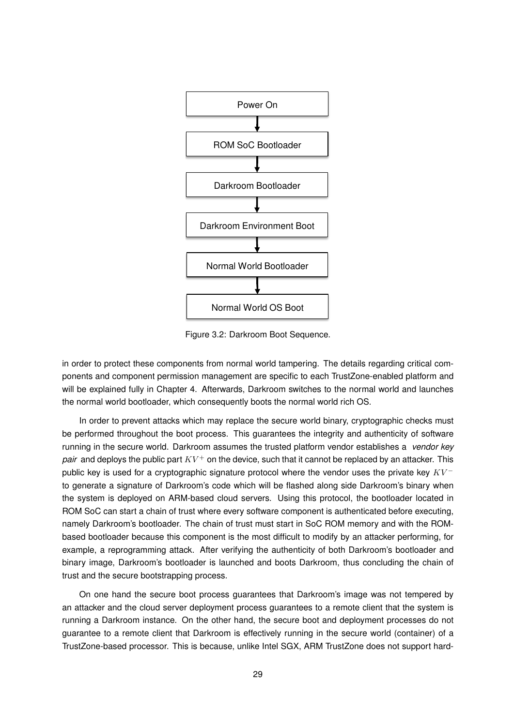

Figure 3.2: Darkroom Boot Sequence.

in order to protect these components from normal world tampering. The details regarding critical components and component permission management are specific to each TrustZone-enabled platform and will be explained fully in Chapter 4. Afterwards, Darkroom switches to the normal world and launches the normal world bootloader, which consequently boots the normal world rich OS.

In order to prevent attacks which may replace the secure world binary, cryptographic checks must be performed throughout the boot process. This guarantees the integrity and authenticity of software running in the secure world. Darkroom assumes the trusted platform vendor establishes a *vendor key pair* and deploys the public part  $KV^+$  on the device, such that it cannot be replaced by an attacker. This public key is used for a cryptographic signature protocol where the vendor uses the private key  $KV^$ to generate a signature of Darkroom's code which will be flashed along side Darkroom's binary when the system is deployed on ARM-based cloud servers. Using this protocol, the bootloader located in ROM SoC can start a chain of trust where every software component is authenticated before executing, namely Darkroom's bootloader. The chain of trust must start in SoC ROM memory and with the ROMbased bootloader because this component is the most difficult to modify by an attacker performing, for example, a reprogramming attack. After verifying the authenticity of both Darkroom's bootloader and binary image, Darkroom's bootloader is launched and boots Darkroom, thus concluding the chain of trust and the secure bootstrapping process.

On one hand the secure boot process guarantees that Darkroom's image was not tempered by an attacker and the cloud server deployment process guarantees to a remote client that the system is running a Darkroom instance. On the other hand, the secure boot and deployment processes do not guarantee to a remote client that Darkroom is effectively running in the secure world (container) of a TrustZone-based processor. This is because, unlike Intel SGX, ARM TrustZone does not support hard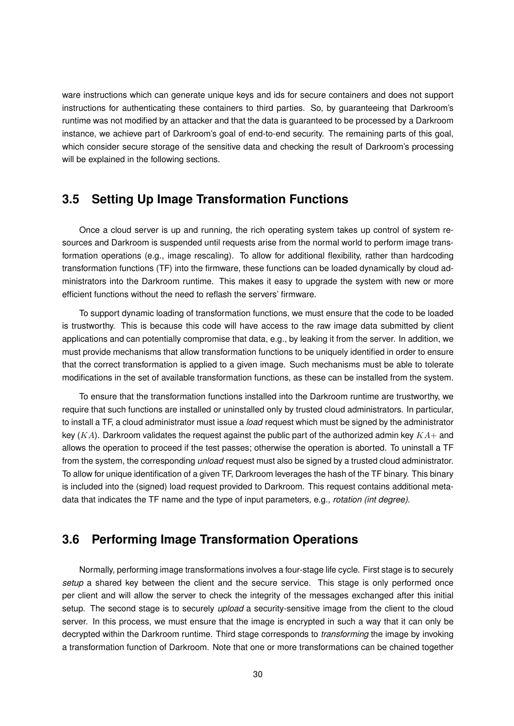ware instructions which can generate unique keys and ids for secure containers and does not support instructions for authenticating these containers to third parties. So, by guaranteeing that Darkroom's runtime was not modified by an attacker and that the data is guaranteed to be processed by a Darkroom instance, we achieve part of Darkroom's goal of end-to-end security. The remaining parts of this goal, which consider secure storage of the sensitive data and checking the result of Darkroom's processing will be explained in the following sections.

## **3.5 Setting Up Image Transformation Functions**

Once a cloud server is up and running, the rich operating system takes up control of system resources and Darkroom is suspended until requests arise from the normal world to perform image transformation operations (e.g., image rescaling). To allow for additional flexibility, rather than hardcoding transformation functions (TF) into the firmware, these functions can be loaded dynamically by cloud administrators into the Darkroom runtime. This makes it easy to upgrade the system with new or more efficient functions without the need to reflash the servers' firmware.

To support dynamic loading of transformation functions, we must ensure that the code to be loaded is trustworthy. This is because this code will have access to the raw image data submitted by client applications and can potentially compromise that data, e.g., by leaking it from the server. In addition, we must provide mechanisms that allow transformation functions to be uniquely identified in order to ensure that the correct transformation is applied to a given image. Such mechanisms must be able to tolerate modifications in the set of available transformation functions, as these can be installed from the system.

To ensure that the transformation functions installed into the Darkroom runtime are trustworthy, we require that such functions are installed or uninstalled only by trusted cloud administrators. In particular, to install a TF, a cloud administrator must issue a *load* request which must be signed by the administrator key  $(KA)$ . Darkroom validates the request against the public part of the authorized admin key  $KA+$  and allows the operation to proceed if the test passes; otherwise the operation is aborted. To uninstall a TF from the system, the corresponding *unload* request must also be signed by a trusted cloud administrator. To allow for unique identification of a given TF, Darkroom leverages the hash of the TF binary. This binary is included into the (signed) load request provided to Darkroom. This request contains additional metadata that indicates the TF name and the type of input parameters, e.g., *rotation (int degree)*.

# **3.6 Performing Image Transformation Operations**

Normally, performing image transformations involves a four-stage life cycle. First stage is to securely *setup* a shared key between the client and the secure service. This stage is only performed once per client and will allow the server to check the integrity of the messages exchanged after this initial setup. The second stage is to securely *upload* a security-sensitive image from the client to the cloud server. In this process, we must ensure that the image is encrypted in such a way that it can only be decrypted within the Darkroom runtime. Third stage corresponds to *transforming* the image by invoking a transformation function of Darkroom. Note that one or more transformations can be chained together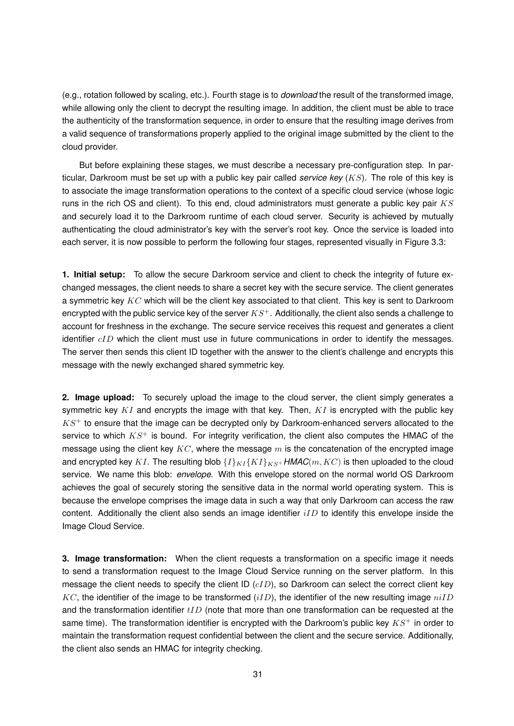(e.g., rotation followed by scaling, etc.). Fourth stage is to *download* the result of the transformed image, while allowing only the client to decrypt the resulting image. In addition, the client must be able to trace the authenticity of the transformation sequence, in order to ensure that the resulting image derives from a valid sequence of transformations properly applied to the original image submitted by the client to the cloud provider.

But before explaining these stages, we must describe a necessary pre-configuration step. In particular, Darkroom must be set up with a public key pair called *service key* (KS). The role of this key is to associate the image transformation operations to the context of a specific cloud service (whose logic runs in the rich OS and client). To this end, cloud administrators must generate a public key pair  $KS$ and securely load it to the Darkroom runtime of each cloud server. Security is achieved by mutually authenticating the cloud administrator's key with the server's root key. Once the service is loaded into each server, it is now possible to perform the following four stages, represented visually in Figure 3.3:

**1. Initial setup:** To allow the secure Darkroom service and client to check the integrity of future exchanged messages, the client needs to share a secret key with the secure service. The client generates a symmetric key  $KC$  which will be the client key associated to that client. This key is sent to Darkroom encrypted with the public service key of the server  $KS^+$ . Additionally, the client also sends a challenge to account for freshness in the exchange. The secure service receives this request and generates a client identifier  $cID$  which the client must use in future communications in order to identify the messages. The server then sends this client ID together with the answer to the client's challenge and encrypts this message with the newly exchanged shared symmetric key.

**2. Image upload:** To securely upload the image to the cloud server, the client simply generates a symmetric key  $KI$  and encrypts the image with that key. Then,  $KI$  is encrypted with the public key  $KS<sup>+</sup>$  to ensure that the image can be decrypted only by Darkroom-enhanced servers allocated to the service to which  $KS^+$  is bound. For integrity verification, the client also computes the HMAC of the message using the client key  $KC$ , where the message m is the concatenation of the encrypted image and encrypted key KI. The resulting blob  ${I}_{K}K$  ${K}$  ${K}$  ${K}$ <sub> $K$ *s*+ *HMAC*(*m*, *KC*) is then uploaded to the cloud</sub> service. We name this blob: *envelope*. With this envelope stored on the normal world OS Darkroom achieves the goal of securely storing the sensitive data in the normal world operating system. This is because the envelope comprises the image data in such a way that only Darkroom can access the raw content. Additionally the client also sends an image identifier  $iID$  to identify this envelope inside the Image Cloud Service.

**3. Image transformation:** When the client requests a transformation on a specific image it needs to send a transformation request to the Image Cloud Service running on the server platform. In this message the client needs to specify the client ID  $(cID)$ , so Darkroom can select the correct client key  $KC$ , the identifier of the image to be transformed  $(iID)$ , the identifier of the new resulting image  $niID$ and the transformation identifier  $tID$  (note that more than one transformation can be requested at the same time). The transformation identifier is encrypted with the Darkroom's public key  $KS^+$  in order to maintain the transformation request confidential between the client and the secure service. Additionally, the client also sends an HMAC for integrity checking.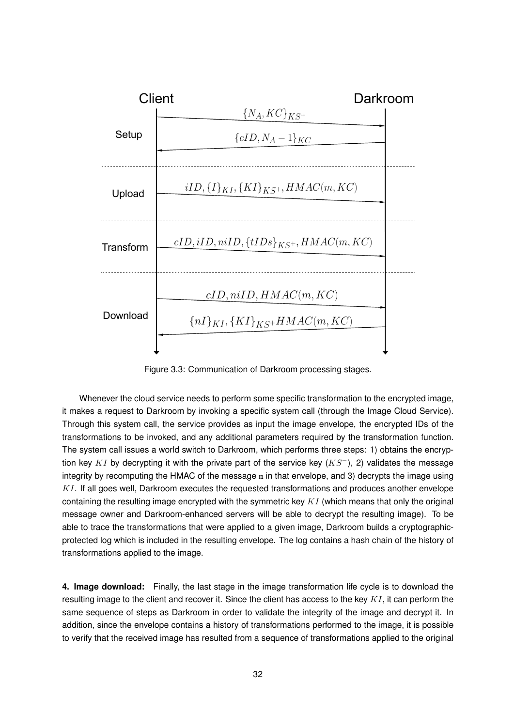

Figure 3.3: Communication of Darkroom processing stages.

Whenever the cloud service needs to perform some specific transformation to the encrypted image, it makes a request to Darkroom by invoking a specific system call (through the Image Cloud Service). Through this system call, the service provides as input the image envelope, the encrypted IDs of the transformations to be invoked, and any additional parameters required by the transformation function. The system call issues a world switch to Darkroom, which performs three steps: 1) obtains the encryption key KI by decrypting it with the private part of the service key ( $KS^-$ ), 2) validates the message integrity by recomputing the HMAC of the message m in that envelope, and 3) decrypts the image using  $KI$ . If all goes well, Darkroom executes the requested transformations and produces another envelope containing the resulting image encrypted with the symmetric key  $KI$  (which means that only the original message owner and Darkroom-enhanced servers will be able to decrypt the resulting image). To be able to trace the transformations that were applied to a given image, Darkroom builds a cryptographicprotected log which is included in the resulting envelope. The log contains a hash chain of the history of transformations applied to the image.

**4. Image download:** Finally, the last stage in the image transformation life cycle is to download the resulting image to the client and recover it. Since the client has access to the key  $KI$ , it can perform the same sequence of steps as Darkroom in order to validate the integrity of the image and decrypt it. In addition, since the envelope contains a history of transformations performed to the image, it is possible to verify that the received image has resulted from a sequence of transformations applied to the original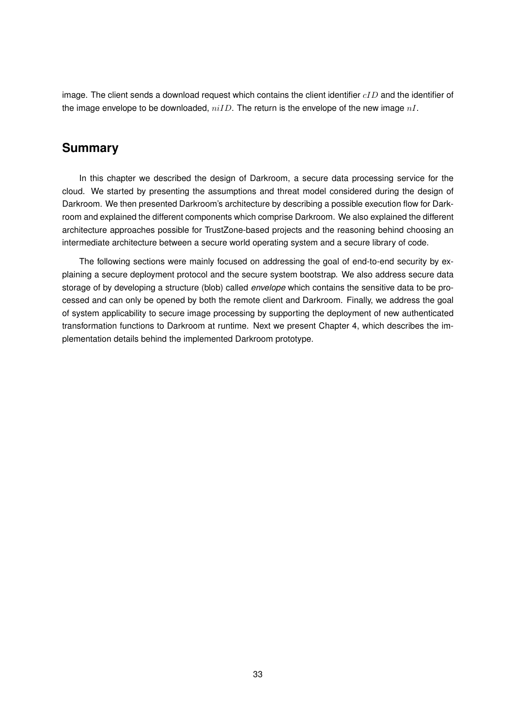image. The client sends a download request which contains the client identifier  $cID$  and the identifier of the image envelope to be downloaded,  $niID$ . The return is the envelope of the new image  $nI$ .

# **Summary**

In this chapter we described the design of Darkroom, a secure data processing service for the cloud. We started by presenting the assumptions and threat model considered during the design of Darkroom. We then presented Darkroom's architecture by describing a possible execution flow for Darkroom and explained the different components which comprise Darkroom. We also explained the different architecture approaches possible for TrustZone-based projects and the reasoning behind choosing an intermediate architecture between a secure world operating system and a secure library of code.

The following sections were mainly focused on addressing the goal of end-to-end security by explaining a secure deployment protocol and the secure system bootstrap. We also address secure data storage of by developing a structure (blob) called *envelope* which contains the sensitive data to be processed and can only be opened by both the remote client and Darkroom. Finally, we address the goal of system applicability to secure image processing by supporting the deployment of new authenticated transformation functions to Darkroom at runtime. Next we present Chapter 4, which describes the implementation details behind the implemented Darkroom prototype.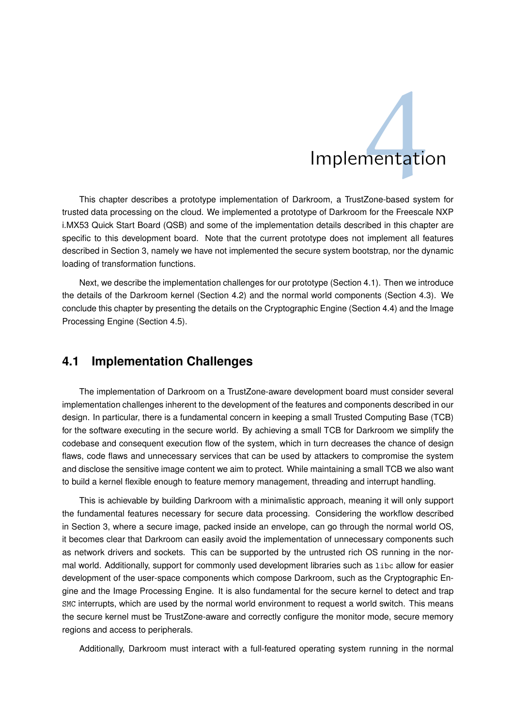# **Implementation**

This chapter describes a prototype implementation of Darkroom, a TrustZone-based system for trusted data processing on the cloud. We implemented a prototype of Darkroom for the Freescale NXP i.MX53 Quick Start Board (QSB) and some of the implementation details described in this chapter are specific to this development board. Note that the current prototype does not implement all features described in Section 3, namely we have not implemented the secure system bootstrap, nor the dynamic loading of transformation functions.

Next, we describe the implementation challenges for our prototype (Section 4.1). Then we introduce the details of the Darkroom kernel (Section 4.2) and the normal world components (Section 4.3). We conclude this chapter by presenting the details on the Cryptographic Engine (Section 4.4) and the Image Processing Engine (Section 4.5).

# **4.1 Implementation Challenges**

The implementation of Darkroom on a TrustZone-aware development board must consider several implementation challenges inherent to the development of the features and components described in our design. In particular, there is a fundamental concern in keeping a small Trusted Computing Base (TCB) for the software executing in the secure world. By achieving a small TCB for Darkroom we simplify the codebase and consequent execution flow of the system, which in turn decreases the chance of design flaws, code flaws and unnecessary services that can be used by attackers to compromise the system and disclose the sensitive image content we aim to protect. While maintaining a small TCB we also want to build a kernel flexible enough to feature memory management, threading and interrupt handling.

This is achievable by building Darkroom with a minimalistic approach, meaning it will only support the fundamental features necessary for secure data processing. Considering the workflow described in Section 3, where a secure image, packed inside an envelope, can go through the normal world OS, it becomes clear that Darkroom can easily avoid the implementation of unnecessary components such as network drivers and sockets. This can be supported by the untrusted rich OS running in the normal world. Additionally, support for commonly used development libraries such as libc allow for easier development of the user-space components which compose Darkroom, such as the Cryptographic Engine and the Image Processing Engine. It is also fundamental for the secure kernel to detect and trap SMC interrupts, which are used by the normal world environment to request a world switch. This means the secure kernel must be TrustZone-aware and correctly configure the monitor mode, secure memory regions and access to peripherals.

Additionally, Darkroom must interact with a full-featured operating system running in the normal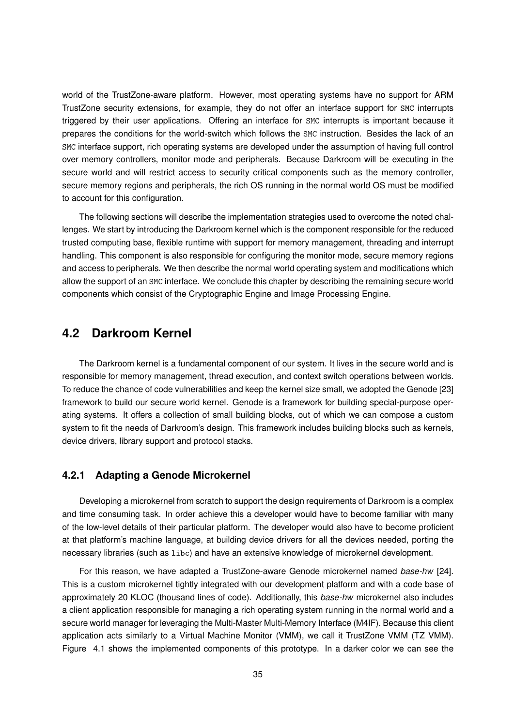world of the TrustZone-aware platform. However, most operating systems have no support for ARM TrustZone security extensions, for example, they do not offer an interface support for SMC interrupts triggered by their user applications. Offering an interface for SMC interrupts is important because it prepares the conditions for the world-switch which follows the SMC instruction. Besides the lack of an SMC interface support, rich operating systems are developed under the assumption of having full control over memory controllers, monitor mode and peripherals. Because Darkroom will be executing in the secure world and will restrict access to security critical components such as the memory controller, secure memory regions and peripherals, the rich OS running in the normal world OS must be modified to account for this configuration.

The following sections will describe the implementation strategies used to overcome the noted challenges. We start by introducing the Darkroom kernel which is the component responsible for the reduced trusted computing base, flexible runtime with support for memory management, threading and interrupt handling. This component is also responsible for configuring the monitor mode, secure memory regions and access to peripherals. We then describe the normal world operating system and modifications which allow the support of an SMC interface. We conclude this chapter by describing the remaining secure world components which consist of the Cryptographic Engine and Image Processing Engine.

# **4.2 Darkroom Kernel**

The Darkroom kernel is a fundamental component of our system. It lives in the secure world and is responsible for memory management, thread execution, and context switch operations between worlds. To reduce the chance of code vulnerabilities and keep the kernel size small, we adopted the Genode [23] framework to build our secure world kernel. Genode is a framework for building special-purpose operating systems. It offers a collection of small building blocks, out of which we can compose a custom system to fit the needs of Darkroom's design. This framework includes building blocks such as kernels, device drivers, library support and protocol stacks.

## **4.2.1 Adapting a Genode Microkernel**

Developing a microkernel from scratch to support the design requirements of Darkroom is a complex and time consuming task. In order achieve this a developer would have to become familiar with many of the low-level details of their particular platform. The developer would also have to become proficient at that platform's machine language, at building device drivers for all the devices needed, porting the necessary libraries (such as libc) and have an extensive knowledge of microkernel development.

For this reason, we have adapted a TrustZone-aware Genode microkernel named *base-hw* [24]. This is a custom microkernel tightly integrated with our development platform and with a code base of approximately 20 KLOC (thousand lines of code). Additionally, this *base-hw* microkernel also includes a client application responsible for managing a rich operating system running in the normal world and a secure world manager for leveraging the Multi-Master Multi-Memory Interface (M4IF). Because this client application acts similarly to a Virtual Machine Monitor (VMM), we call it TrustZone VMM (TZ VMM). Figure 4.1 shows the implemented components of this prototype. In a darker color we can see the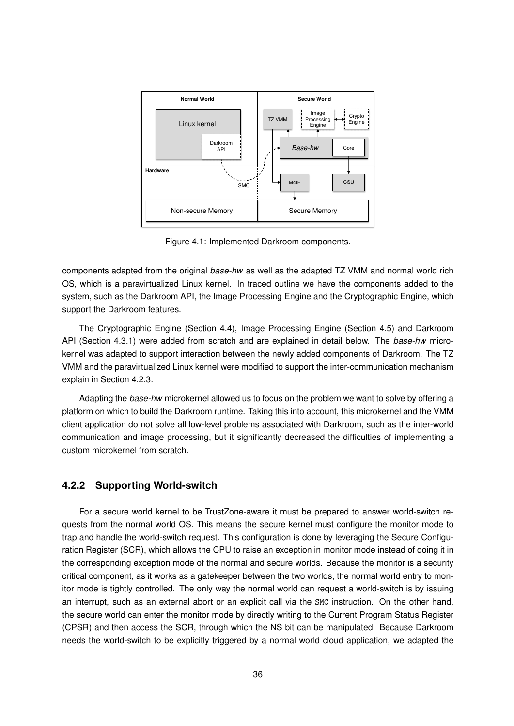

Figure 4.1: Implemented Darkroom components.

components adapted from the original *base-hw* as well as the adapted TZ VMM and normal world rich OS, which is a paravirtualized Linux kernel. In traced outline we have the components added to the system, such as the Darkroom API, the Image Processing Engine and the Cryptographic Engine, which support the Darkroom features.

The Cryptographic Engine (Section 4.4), Image Processing Engine (Section 4.5) and Darkroom API (Section 4.3.1) were added from scratch and are explained in detail below. The *base-hw* microkernel was adapted to support interaction between the newly added components of Darkroom. The TZ VMM and the paravirtualized Linux kernel were modified to support the inter-communication mechanism explain in Section 4.2.3.

Adapting the *base-hw* microkernel allowed us to focus on the problem we want to solve by offering a platform on which to build the Darkroom runtime. Taking this into account, this microkernel and the VMM client application do not solve all low-level problems associated with Darkroom, such as the inter-world communication and image processing, but it significantly decreased the difficulties of implementing a custom microkernel from scratch.

## **4.2.2 Supporting World-switch**

For a secure world kernel to be TrustZone-aware it must be prepared to answer world-switch requests from the normal world OS. This means the secure kernel must configure the monitor mode to trap and handle the world-switch request. This configuration is done by leveraging the Secure Configuration Register (SCR), which allows the CPU to raise an exception in monitor mode instead of doing it in the corresponding exception mode of the normal and secure worlds. Because the monitor is a security critical component, as it works as a gatekeeper between the two worlds, the normal world entry to monitor mode is tightly controlled. The only way the normal world can request a world-switch is by issuing an interrupt, such as an external abort or an explicit call via the SMC instruction. On the other hand, the secure world can enter the monitor mode by directly writing to the Current Program Status Register (CPSR) and then access the SCR, through which the NS bit can be manipulated. Because Darkroom needs the world-switch to be explicitly triggered by a normal world cloud application, we adapted the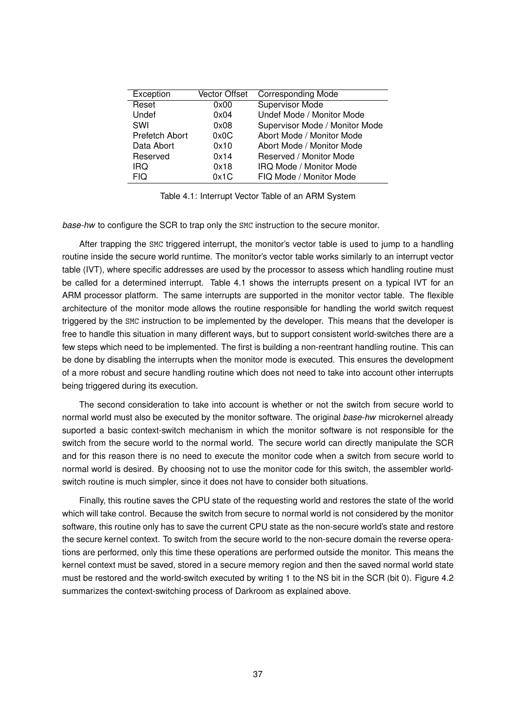| Exception      | Vector Offset | <b>Corresponding Mode</b>      |
|----------------|---------------|--------------------------------|
| Reset          | 0x00          | <b>Supervisor Mode</b>         |
| Undef          | 0x04          | Undef Mode / Monitor Mode      |
| SWI            | 0x08          | Supervisor Mode / Monitor Mode |
| Prefetch Abort | 0x0C          | Abort Mode / Monitor Mode      |
| Data Abort     | 0x10          | Abort Mode / Monitor Mode      |
| Reserved       | 0x14          | Reserved / Monitor Mode        |
| <b>IRQ</b>     | 0x18          | IRQ Mode / Monitor Mode        |
| <b>FIQ</b>     | 0x1C          | FIQ Mode / Monitor Mode        |

Table 4.1: Interrupt Vector Table of an ARM System

*base-hw* to configure the SCR to trap only the SMC instruction to the secure monitor.

After trapping the SMC triggered interrupt, the monitor's vector table is used to jump to a handling routine inside the secure world runtime. The monitor's vector table works similarly to an interrupt vector table (IVT), where specific addresses are used by the processor to assess which handling routine must be called for a determined interrupt. Table 4.1 shows the interrupts present on a typical IVT for an ARM processor platform. The same interrupts are supported in the monitor vector table. The flexible architecture of the monitor mode allows the routine responsible for handling the world switch request triggered by the SMC instruction to be implemented by the developer. This means that the developer is free to handle this situation in many different ways, but to support consistent world-switches there are a few steps which need to be implemented. The first is building a non-reentrant handling routine. This can be done by disabling the interrupts when the monitor mode is executed. This ensures the development of a more robust and secure handling routine which does not need to take into account other interrupts being triggered during its execution.

The second consideration to take into account is whether or not the switch from secure world to normal world must also be executed by the monitor software. The original *base-hw* microkernel already suported a basic context-switch mechanism in which the monitor software is not responsible for the switch from the secure world to the normal world. The secure world can directly manipulate the SCR and for this reason there is no need to execute the monitor code when a switch from secure world to normal world is desired. By choosing not to use the monitor code for this switch, the assembler worldswitch routine is much simpler, since it does not have to consider both situations.

Finally, this routine saves the CPU state of the requesting world and restores the state of the world which will take control. Because the switch from secure to normal world is not considered by the monitor software, this routine only has to save the current CPU state as the non-secure world's state and restore the secure kernel context. To switch from the secure world to the non-secure domain the reverse operations are performed, only this time these operations are performed outside the monitor. This means the kernel context must be saved, stored in a secure memory region and then the saved normal world state must be restored and the world-switch executed by writing 1 to the NS bit in the SCR (bit 0). Figure 4.2 summarizes the context-switching process of Darkroom as explained above.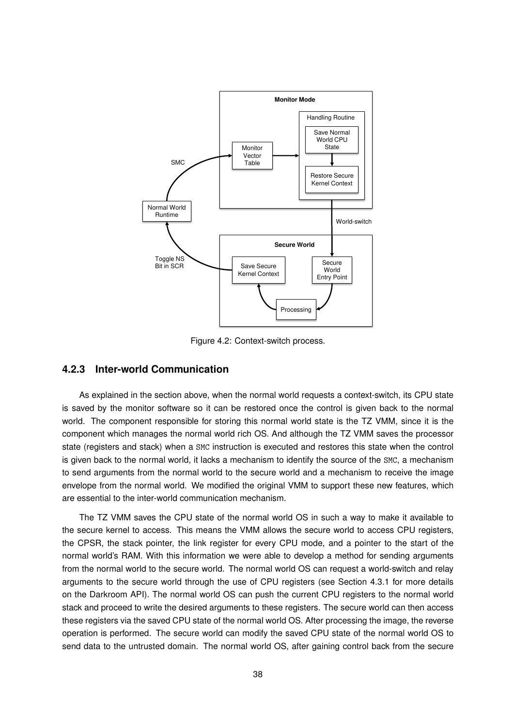

Figure 4.2: Context-switch process.

## **4.2.3 Inter-world Communication**

As explained in the section above, when the normal world requests a context-switch, its CPU state is saved by the monitor software so it can be restored once the control is given back to the normal world. The component responsible for storing this normal world state is the TZ VMM, since it is the component which manages the normal world rich OS. And although the TZ VMM saves the processor state (registers and stack) when a SMC instruction is executed and restores this state when the control is given back to the normal world, it lacks a mechanism to identify the source of the SMC, a mechanism to send arguments from the normal world to the secure world and a mechanism to receive the image envelope from the normal world. We modified the original VMM to support these new features, which are essential to the inter-world communication mechanism.

The TZ VMM saves the CPU state of the normal world OS in such a way to make it available to the secure kernel to access. This means the VMM allows the secure world to access CPU registers, the CPSR, the stack pointer, the link register for every CPU mode, and a pointer to the start of the normal world's RAM. With this information we were able to develop a method for sending arguments from the normal world to the secure world. The normal world OS can request a world-switch and relay arguments to the secure world through the use of CPU registers (see Section 4.3.1 for more details on the Darkroom API). The normal world OS can push the current CPU registers to the normal world stack and proceed to write the desired arguments to these registers. The secure world can then access these registers via the saved CPU state of the normal world OS. After processing the image, the reverse operation is performed. The secure world can modify the saved CPU state of the normal world OS to send data to the untrusted domain. The normal world OS, after gaining control back from the secure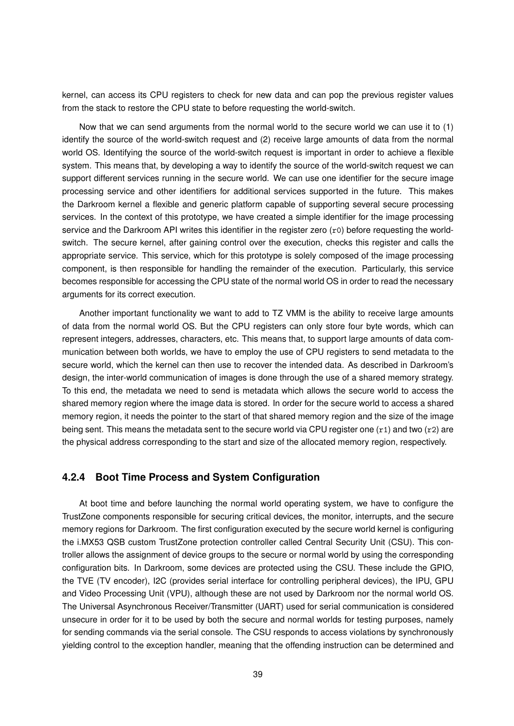kernel, can access its CPU registers to check for new data and can pop the previous register values from the stack to restore the CPU state to before requesting the world-switch.

Now that we can send arguments from the normal world to the secure world we can use it to (1) identify the source of the world-switch request and (2) receive large amounts of data from the normal world OS. Identifying the source of the world-switch request is important in order to achieve a flexible system. This means that, by developing a way to identify the source of the world-switch request we can support different services running in the secure world. We can use one identifier for the secure image processing service and other identifiers for additional services supported in the future. This makes the Darkroom kernel a flexible and generic platform capable of supporting several secure processing services. In the context of this prototype, we have created a simple identifier for the image processing service and the Darkroom API writes this identifier in the register zero (r0) before requesting the worldswitch. The secure kernel, after gaining control over the execution, checks this register and calls the appropriate service. This service, which for this prototype is solely composed of the image processing component, is then responsible for handling the remainder of the execution. Particularly, this service becomes responsible for accessing the CPU state of the normal world OS in order to read the necessary arguments for its correct execution.

Another important functionality we want to add to TZ VMM is the ability to receive large amounts of data from the normal world OS. But the CPU registers can only store four byte words, which can represent integers, addresses, characters, etc. This means that, to support large amounts of data communication between both worlds, we have to employ the use of CPU registers to send metadata to the secure world, which the kernel can then use to recover the intended data. As described in Darkroom's design, the inter-world communication of images is done through the use of a shared memory strategy. To this end, the metadata we need to send is metadata which allows the secure world to access the shared memory region where the image data is stored. In order for the secure world to access a shared memory region, it needs the pointer to the start of that shared memory region and the size of the image being sent. This means the metadata sent to the secure world via CPU register one  $(r1)$  and two  $(r2)$  are the physical address corresponding to the start and size of the allocated memory region, respectively.

## **4.2.4 Boot Time Process and System Configuration**

At boot time and before launching the normal world operating system, we have to configure the TrustZone components responsible for securing critical devices, the monitor, interrupts, and the secure memory regions for Darkroom. The first configuration executed by the secure world kernel is configuring the i.MX53 QSB custom TrustZone protection controller called Central Security Unit (CSU). This controller allows the assignment of device groups to the secure or normal world by using the corresponding configuration bits. In Darkroom, some devices are protected using the CSU. These include the GPIO, the TVE (TV encoder), I2C (provides serial interface for controlling peripheral devices), the IPU, GPU and Video Processing Unit (VPU), although these are not used by Darkroom nor the normal world OS. The Universal Asynchronous Receiver/Transmitter (UART) used for serial communication is considered unsecure in order for it to be used by both the secure and normal worlds for testing purposes, namely for sending commands via the serial console. The CSU responds to access violations by synchronously yielding control to the exception handler, meaning that the offending instruction can be determined and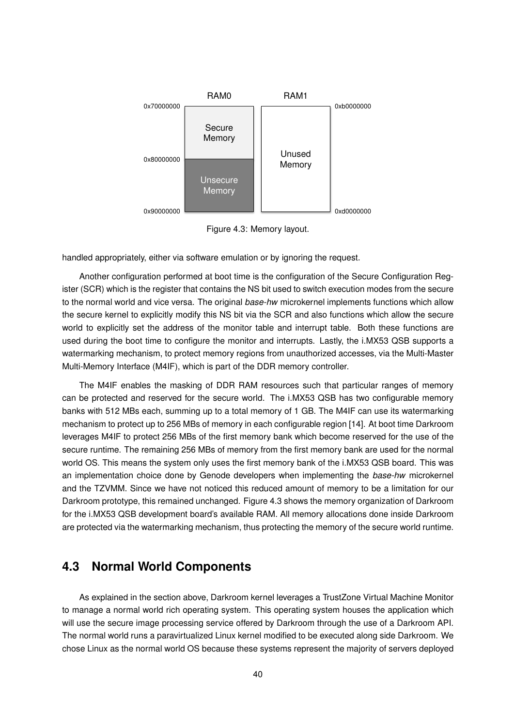

Figure 4.3: Memory layout.

handled appropriately, either via software emulation or by ignoring the request.

Another configuration performed at boot time is the configuration of the Secure Configuration Register (SCR) which is the register that contains the NS bit used to switch execution modes from the secure to the normal world and vice versa. The original *base-hw* microkernel implements functions which allow the secure kernel to explicitly modify this NS bit via the SCR and also functions which allow the secure world to explicitly set the address of the monitor table and interrupt table. Both these functions are used during the boot time to configure the monitor and interrupts. Lastly, the i.MX53 QSB supports a watermarking mechanism, to protect memory regions from unauthorized accesses, via the Multi-Master Multi-Memory Interface (M4IF), which is part of the DDR memory controller.

The M4IF enables the masking of DDR RAM resources such that particular ranges of memory can be protected and reserved for the secure world. The i.MX53 QSB has two configurable memory banks with 512 MBs each, summing up to a total memory of 1 GB. The M4IF can use its watermarking mechanism to protect up to 256 MBs of memory in each configurable region [14]. At boot time Darkroom leverages M4IF to protect 256 MBs of the first memory bank which become reserved for the use of the secure runtime. The remaining 256 MBs of memory from the first memory bank are used for the normal world OS. This means the system only uses the first memory bank of the i.MX53 QSB board. This was an implementation choice done by Genode developers when implementing the *base-hw* microkernel and the TZVMM. Since we have not noticed this reduced amount of memory to be a limitation for our Darkroom prototype, this remained unchanged. Figure 4.3 shows the memory organization of Darkroom for the i.MX53 QSB development board's available RAM. All memory allocations done inside Darkroom are protected via the watermarking mechanism, thus protecting the memory of the secure world runtime.

# **4.3 Normal World Components**

As explained in the section above, Darkroom kernel leverages a TrustZone Virtual Machine Monitor to manage a normal world rich operating system. This operating system houses the application which will use the secure image processing service offered by Darkroom through the use of a Darkroom API. The normal world runs a paravirtualized Linux kernel modified to be executed along side Darkroom. We chose Linux as the normal world OS because these systems represent the majority of servers deployed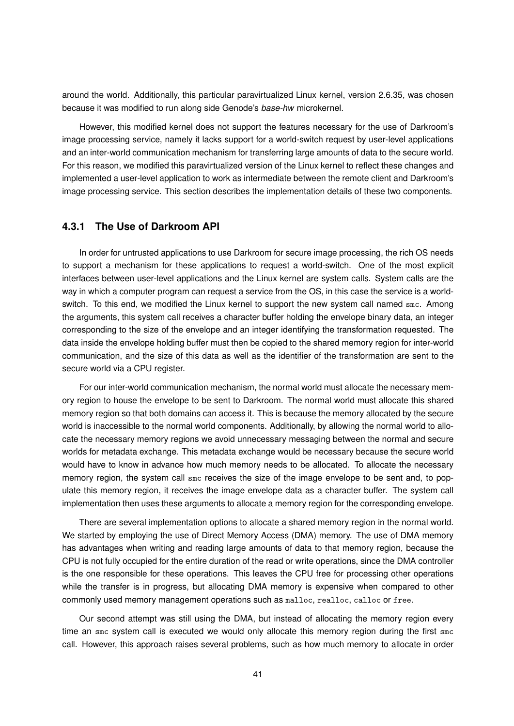around the world. Additionally, this particular paravirtualized Linux kernel, version 2.6.35, was chosen because it was modified to run along side Genode's *base-hw* microkernel.

However, this modified kernel does not support the features necessary for the use of Darkroom's image processing service, namely it lacks support for a world-switch request by user-level applications and an inter-world communication mechanism for transferring large amounts of data to the secure world. For this reason, we modified this paravirtualized version of the Linux kernel to reflect these changes and implemented a user-level application to work as intermediate between the remote client and Darkroom's image processing service. This section describes the implementation details of these two components.

## **4.3.1 The Use of Darkroom API**

In order for untrusted applications to use Darkroom for secure image processing, the rich OS needs to support a mechanism for these applications to request a world-switch. One of the most explicit interfaces between user-level applications and the Linux kernel are system calls. System calls are the way in which a computer program can request a service from the OS, in this case the service is a worldswitch. To this end, we modified the Linux kernel to support the new system call named smc. Among the arguments, this system call receives a character buffer holding the envelope binary data, an integer corresponding to the size of the envelope and an integer identifying the transformation requested. The data inside the envelope holding buffer must then be copied to the shared memory region for inter-world communication, and the size of this data as well as the identifier of the transformation are sent to the secure world via a CPU register.

For our inter-world communication mechanism, the normal world must allocate the necessary memory region to house the envelope to be sent to Darkroom. The normal world must allocate this shared memory region so that both domains can access it. This is because the memory allocated by the secure world is inaccessible to the normal world components. Additionally, by allowing the normal world to allocate the necessary memory regions we avoid unnecessary messaging between the normal and secure worlds for metadata exchange. This metadata exchange would be necessary because the secure world would have to know in advance how much memory needs to be allocated. To allocate the necessary memory region, the system call smc receives the size of the image envelope to be sent and, to populate this memory region, it receives the image envelope data as a character buffer. The system call implementation then uses these arguments to allocate a memory region for the corresponding envelope.

There are several implementation options to allocate a shared memory region in the normal world. We started by employing the use of Direct Memory Access (DMA) memory. The use of DMA memory has advantages when writing and reading large amounts of data to that memory region, because the CPU is not fully occupied for the entire duration of the read or write operations, since the DMA controller is the one responsible for these operations. This leaves the CPU free for processing other operations while the transfer is in progress, but allocating DMA memory is expensive when compared to other commonly used memory management operations such as malloc, realloc, calloc or free.

Our second attempt was still using the DMA, but instead of allocating the memory region every time an smc system call is executed we would only allocate this memory region during the first smc call. However, this approach raises several problems, such as how much memory to allocate in order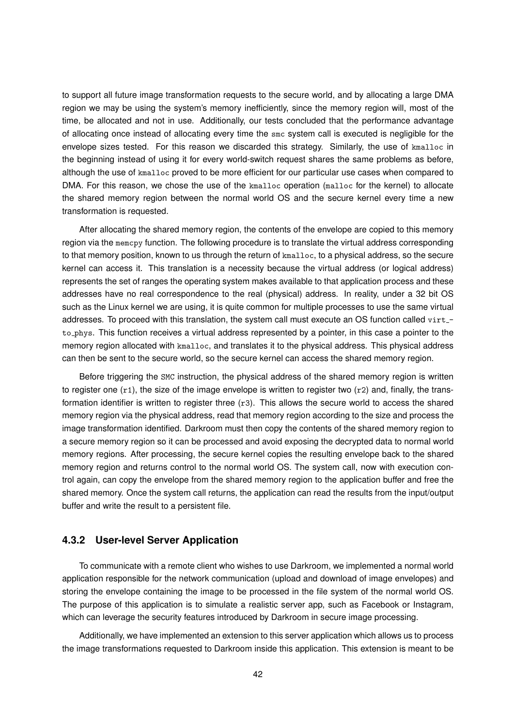to support all future image transformation requests to the secure world, and by allocating a large DMA region we may be using the system's memory inefficiently, since the memory region will, most of the time, be allocated and not in use. Additionally, our tests concluded that the performance advantage of allocating once instead of allocating every time the smc system call is executed is negligible for the envelope sizes tested. For this reason we discarded this strategy. Similarly, the use of kmalloc in the beginning instead of using it for every world-switch request shares the same problems as before, although the use of kmalloc proved to be more efficient for our particular use cases when compared to DMA. For this reason, we chose the use of the kmalloc operation (malloc for the kernel) to allocate the shared memory region between the normal world OS and the secure kernel every time a new transformation is requested.

After allocating the shared memory region, the contents of the envelope are copied to this memory region via the memcpy function. The following procedure is to translate the virtual address corresponding to that memory position, known to us through the return of kmalloc, to a physical address, so the secure kernel can access it. This translation is a necessity because the virtual address (or logical address) represents the set of ranges the operating system makes available to that application process and these addresses have no real correspondence to the real (physical) address. In reality, under a 32 bit OS such as the Linux kernel we are using, it is quite common for multiple processes to use the same virtual addresses. To proceed with this translation, the system call must execute an OS function called virtto phys. This function receives a virtual address represented by a pointer, in this case a pointer to the memory region allocated with kmalloc, and translates it to the physical address. This physical address can then be sent to the secure world, so the secure kernel can access the shared memory region.

Before triggering the SMC instruction, the physical address of the shared memory region is written to register one  $(r1)$ , the size of the image envelope is written to register two  $(r2)$  and, finally, the transformation identifier is written to register three  $(r3)$ . This allows the secure world to access the shared memory region via the physical address, read that memory region according to the size and process the image transformation identified. Darkroom must then copy the contents of the shared memory region to a secure memory region so it can be processed and avoid exposing the decrypted data to normal world memory regions. After processing, the secure kernel copies the resulting envelope back to the shared memory region and returns control to the normal world OS. The system call, now with execution control again, can copy the envelope from the shared memory region to the application buffer and free the shared memory. Once the system call returns, the application can read the results from the input/output buffer and write the result to a persistent file.

#### **4.3.2 User-level Server Application**

To communicate with a remote client who wishes to use Darkroom, we implemented a normal world application responsible for the network communication (upload and download of image envelopes) and storing the envelope containing the image to be processed in the file system of the normal world OS. The purpose of this application is to simulate a realistic server app, such as Facebook or Instagram, which can leverage the security features introduced by Darkroom in secure image processing.

Additionally, we have implemented an extension to this server application which allows us to process the image transformations requested to Darkroom inside this application. This extension is meant to be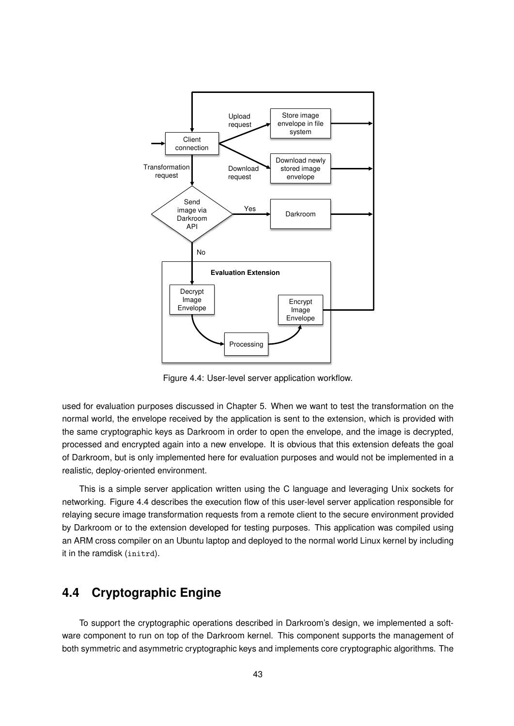

Figure 4.4: User-level server application workflow.

used for evaluation purposes discussed in Chapter 5. When we want to test the transformation on the normal world, the envelope received by the application is sent to the extension, which is provided with the same cryptographic keys as Darkroom in order to open the envelope, and the image is decrypted, processed and encrypted again into a new envelope. It is obvious that this extension defeats the goal of Darkroom, but is only implemented here for evaluation purposes and would not be implemented in a realistic, deploy-oriented environment.

This is a simple server application written using the C language and leveraging Unix sockets for networking. Figure 4.4 describes the execution flow of this user-level server application responsible for relaying secure image transformation requests from a remote client to the secure environment provided by Darkroom or to the extension developed for testing purposes. This application was compiled using an ARM cross compiler on an Ubuntu laptop and deployed to the normal world Linux kernel by including it in the ramdisk (initrd).

# **4.4 Cryptographic Engine**

To support the cryptographic operations described in Darkroom's design, we implemented a software component to run on top of the Darkroom kernel. This component supports the management of both symmetric and asymmetric cryptographic keys and implements core cryptographic algorithms. The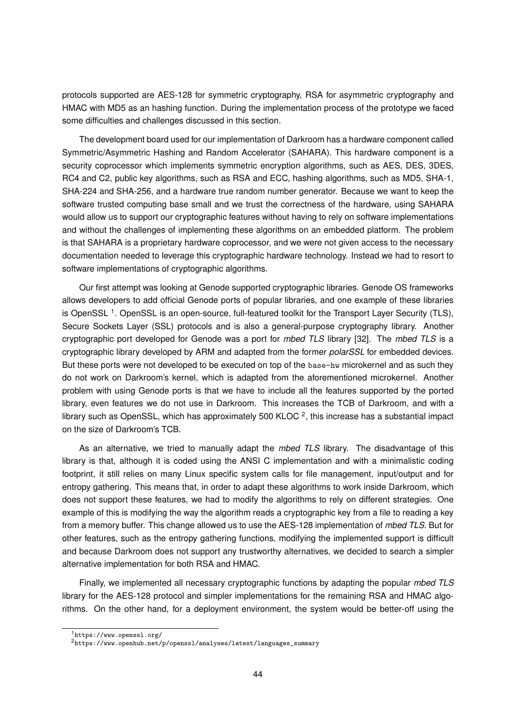protocols supported are AES-128 for symmetric cryptography, RSA for asymmetric cryptography and HMAC with MD5 as an hashing function. During the implementation process of the prototype we faced some difficulties and challenges discussed in this section.

The development board used for our implementation of Darkroom has a hardware component called Symmetric/Asymmetric Hashing and Random Accelerator (SAHARA). This hardware component is a security coprocessor which implements symmetric encryption algorithms, such as AES, DES, 3DES, RC4 and C2, public key algorithms, such as RSA and ECC, hashing algorithms, such as MD5, SHA-1, SHA-224 and SHA-256, and a hardware true random number generator. Because we want to keep the software trusted computing base small and we trust the correctness of the hardware, using SAHARA would allow us to support our cryptographic features without having to rely on software implementations and without the challenges of implementing these algorithms on an embedded platform. The problem is that SAHARA is a proprietary hardware coprocessor, and we were not given access to the necessary documentation needed to leverage this cryptographic hardware technology. Instead we had to resort to software implementations of cryptographic algorithms.

Our first attempt was looking at Genode supported cryptographic libraries. Genode OS frameworks allows developers to add official Genode ports of popular libraries, and one example of these libraries is OpenSSL<sup>1</sup>. OpenSSL is an open-source, full-featured toolkit for the Transport Layer Security (TLS), Secure Sockets Layer (SSL) protocols and is also a general-purpose cryptography library. Another cryptographic port developed for Genode was a port for *mbed TLS* library [32]. The *mbed TLS* is a cryptographic library developed by ARM and adapted from the former *polarSSL* for embedded devices. But these ports were not developed to be executed on top of the base-hw microkernel and as such they do not work on Darkroom's kernel, which is adapted from the aforementioned microkernel. Another problem with using Genode ports is that we have to include all the features supported by the ported library, even features we do not use in Darkroom. This increases the TCB of Darkroom, and with a library such as OpenSSL, which has approximately 500 KLOC  $^2$ , this increase has a substantial impact on the size of Darkroom's TCB.

As an alternative, we tried to manually adapt the *mbed TLS* library. The disadvantage of this library is that, although it is coded using the ANSI C implementation and with a minimalistic coding footprint, it still relies on many Linux specific system calls for file management, input/output and for entropy gathering. This means that, in order to adapt these algorithms to work inside Darkroom, which does not support these features, we had to modify the algorithms to rely on different strategies. One example of this is modifying the way the algorithm reads a cryptographic key from a file to reading a key from a memory buffer. This change allowed us to use the AES-128 implementation of *mbed TLS*. But for other features, such as the entropy gathering functions, modifying the implemented support is difficult and because Darkroom does not support any trustworthy alternatives, we decided to search a simpler alternative implementation for both RSA and HMAC.

Finally, we implemented all necessary cryptographic functions by adapting the popular *mbed TLS* library for the AES-128 protocol and simpler implementations for the remaining RSA and HMAC algorithms. On the other hand, for a deployment environment, the system would be better-off using the

<sup>1</sup>https://www.openssl.org/

<sup>2</sup>https://www.openhub.net/p/openssl/analyses/latest/languages\_summary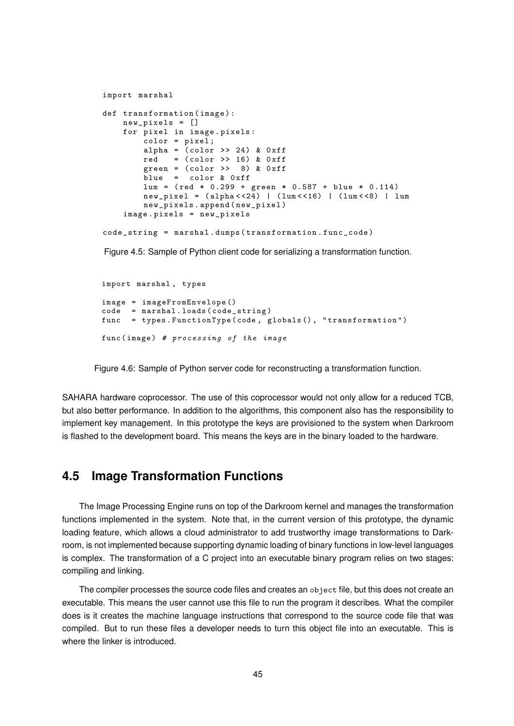```
import marshal
def transformation (image):
    new_pixels = []
    for pixel in image . pixels :
        color = pixel ;
        alpha = (color \gg 24) & 0xffred = (color \gg 16) \& 0xffgreen = \text{(color } > > 8) \& \text{0xff}blue = color & 0 xff
        lum = ( red * 0.299 + green * 0.587 + blue * 0.114)
        new\_pixel = (alpha << 24) | (lum << 16) | (lum << 8) | lum
        new_pixels . append ( new_pixel )
    image . pixels = new_pixels
code_string = marshal . dumps ( transformation . func_code )
```
Figure 4.5: Sample of Python client code for serializing a transformation function.

```
import marshal , types
image = imageFromEnvelope ()
code = marshal . loads ( code_string )
func = types . FunctionType ( code , globals () , " transformation ")
func (image) # processing of the image
```
Figure 4.6: Sample of Python server code for reconstructing a transformation function.

... but also better performance. In addition to the algorithms, this component also has the responsibility to Implement key management. In this prototype the keys are provisioned to the system when Darkrod<br>is flashed to the development board. This means the keys are in the binary loaded to the hardware. SAHARA hardware coprocessor. The use of this coprocessor would not only allow for a reduced TCB, implement key management. In this prototype the keys are provisioned to the system when Darkroom

#### **4.5 Image Transformation Functions**  $\overline{a}$  . In the matrix  $\overline{a}$  . In the matrix  $\overline{a}$  ,  $\overline{b}$  ,  $\overline{c}$  ,  $\overline{c}$  ,  $\overline{c}$  ,  $\overline{c}$  ,  $\overline{c}$  ,  $\overline{c}$  ,  $\overline{c}$  ,  $\overline{c}$  ,  $\overline{c}$  ,  $\overline{c}$  ,  $\overline{c}$  ,  $\overline{c}$  ,  $\overline{c}$  ,  $\overline{c$

functions implemented in the system. Note that, in the current version of this prototype, the dynamic loading feature, which allows a cloud administrator to add trustworthy image transformations to Dark-The Image Processing Engine runs on top of the Darkroom kernel and manages the transformation room, is not implemented because supporting dynamic loading of binary functions in low-level languages is complex. The transformation of a C project into an executable binary program relies on two stages: compiling and linking.

The compiler processes the source code files and creates an object file, but this does not create an executable. This means the user cannot use this file to run the program it describes. What the compiler does is it creates the machine language instructions that correspond to the source code file that was compiled. But to run these files a developer needs to turn this object file into an executable. This is where the linker is introduced.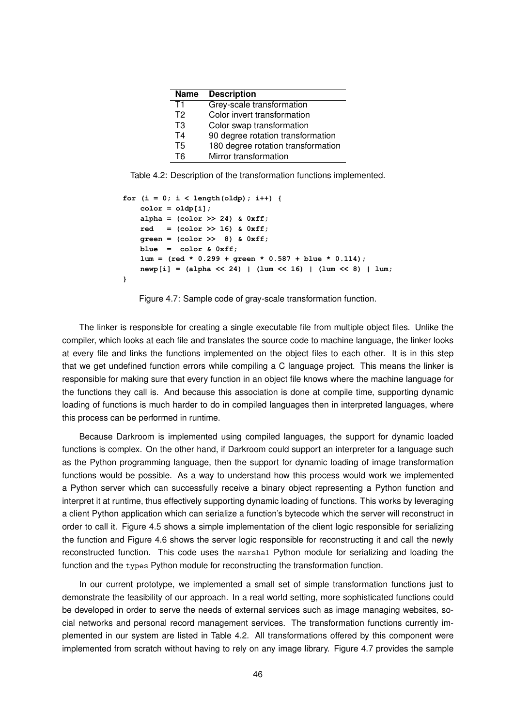| <b>Name</b> | <b>Description</b>                 |
|-------------|------------------------------------|
| T1          | Grey-scale transformation          |
| T2          | Color invert transformation        |
| T3          | Color swap transformation          |
| T4          | 90 degree rotation transformation  |
| T5          | 180 degree rotation transformation |
| T6          | Mirror transformation              |

Table 4.2: Description of the transformation functions implemented.

```
for (i = 0; i < length(oldp); i++) {
    color = oldpi[i];    alpha = (color >> 24) & 0xff;
        red   = (color >> 16) & 0xff;
        green = (color >>  8) & 0xff;
        blue  =  color & 0xff;
        lum = (red * 0.299 + green * 0.587 + blue * 0.114);
        newp[i] = (alpha << 24) | (lum << 16) | (lum << 8) | lum;
}
```
Figure 4.7: Sample code of gray-scale transformation function.

The linker is responsible for creating a single executable file from multiple object files. Unlike the compiler, which looks at each file and translates the source code to machine language, the linker looks at every file and links the functions implemented on the object files to each other. It is in this step that we get undefined function errors while compiling a C language project. This means the linker is responsible for making sure that every function in an object file knows where the machine language for the functions they call is. And because this association is done at compile time, supporting dynamic loading of functions is much harder to do in compiled languages then in interpreted languages, where this process can be performed in runtime.

Because Darkroom is implemented using compiled languages, the support for dynamic loaded functions is complex. On the other hand, if Darkroom could support an interpreter for a language such as the Python programming language, then the support for dynamic loading of image transformation functions would be possible. As a way to understand how this process would work we implemented a Python server which can successfully receive a binary object representing a Python function and interpret it at runtime, thus effectively supporting dynamic loading of functions. This works by leveraging a client Python application which can serialize a function's bytecode which the server will reconstruct in order to call it. Figure 4.5 shows a simple implementation of the client logic responsible for serializing the function and Figure 4.6 shows the server logic responsible for reconstructing it and call the newly reconstructed function. This code uses the marshal Python module for serializing and loading the function and the types Python module for reconstructing the transformation function.

In our current prototype, we implemented a small set of simple transformation functions just to demonstrate the feasibility of our approach. In a real world setting, more sophisticated functions could be developed in order to serve the needs of external services such as image managing websites, social networks and personal record management services. The transformation functions currently implemented in our system are listed in Table 4.2. All transformations offered by this component were implemented from scratch without having to rely on any image library. Figure 4.7 provides the sample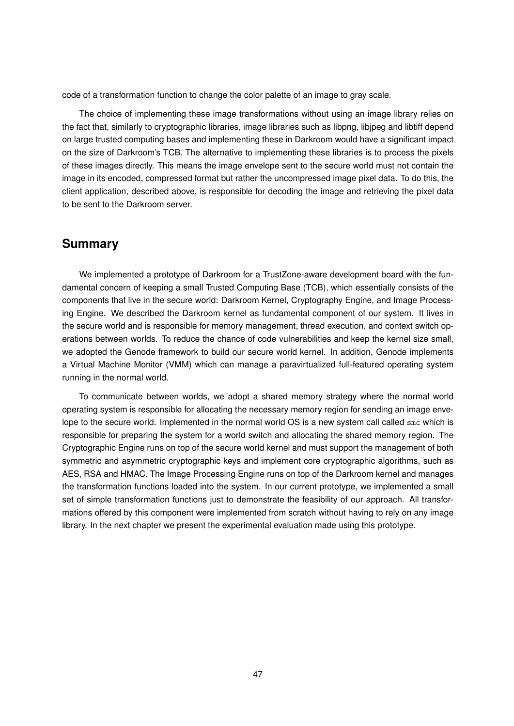code of a transformation function to change the color palette of an image to gray scale.

The choice of implementing these image transformations without using an image library relies on the fact that, similarly to cryptographic libraries, image libraries such as libpng, libjpeg and libtiff depend on large trusted computing bases and implementing these in Darkroom would have a significant impact on the size of Darkroom's TCB. The alternative to implementing these libraries is to process the pixels of these images directly. This means the image envelope sent to the secure world must not contain the image in its encoded, compressed format but rather the uncompressed image pixel data. To do this, the client application, described above, is responsible for decoding the image and retrieving the pixel data to be sent to the Darkroom server.

## **Summary**

We implemented a prototype of Darkroom for a TrustZone-aware development board with the fundamental concern of keeping a small Trusted Computing Base (TCB), which essentially consists of the components that live in the secure world: Darkroom Kernel, Cryptography Engine, and Image Processing Engine. We described the Darkroom kernel as fundamental component of our system. It lives in the secure world and is responsible for memory management, thread execution, and context switch operations between worlds. To reduce the chance of code vulnerabilities and keep the kernel size small, we adopted the Genode framework to build our secure world kernel. In addition, Genode implements a Virtual Machine Monitor (VMM) which can manage a paravirtualized full-featured operating system running in the normal world.

To communicate between worlds, we adopt a shared memory strategy where the normal world operating system is responsible for allocating the necessary memory region for sending an image envelope to the secure world. Implemented in the normal world OS is a new system call called smc which is responsible for preparing the system for a world switch and allocating the shared memory region. The Cryptographic Engine runs on top of the secure world kernel and must support the management of both symmetric and asymmetric cryptographic keys and implement core cryptographic algorithms, such as AES, RSA and HMAC. The Image Processing Engine runs on top of the Darkroom kernel and manages the transformation functions loaded into the system. In our current prototype, we implemented a small set of simple transformation functions just to demonstrate the feasibility of our approach. All transformations offered by this component were implemented from scratch without having to rely on any image library. In the next chapter we present the experimental evaluation made using this prototype.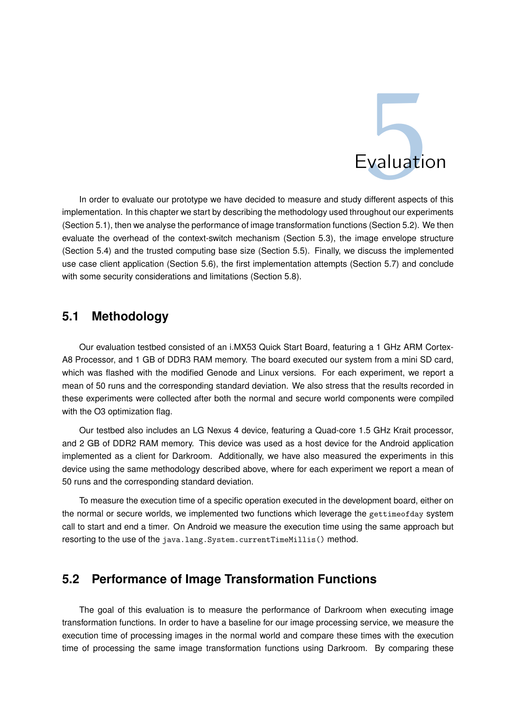

In order to evaluate our prototype we have decided to measure and study different aspects of this implementation. In this chapter we start by describing the methodology used throughout our experiments (Section 5.1), then we analyse the performance of image transformation functions (Section 5.2). We then evaluate the overhead of the context-switch mechanism (Section 5.3), the image envelope structure (Section 5.4) and the trusted computing base size (Section 5.5). Finally, we discuss the implemented use case client application (Section 5.6), the first implementation attempts (Section 5.7) and conclude with some security considerations and limitations (Section 5.8).

# **5.1 Methodology**

Our evaluation testbed consisted of an i.MX53 Quick Start Board, featuring a 1 GHz ARM Cortex-A8 Processor, and 1 GB of DDR3 RAM memory. The board executed our system from a mini SD card, which was flashed with the modified Genode and Linux versions. For each experiment, we report a mean of 50 runs and the corresponding standard deviation. We also stress that the results recorded in these experiments were collected after both the normal and secure world components were compiled with the O3 optimization flag.

Our testbed also includes an LG Nexus 4 device, featuring a Quad-core 1.5 GHz Krait processor, and 2 GB of DDR2 RAM memory. This device was used as a host device for the Android application implemented as a client for Darkroom. Additionally, we have also measured the experiments in this device using the same methodology described above, where for each experiment we report a mean of 50 runs and the corresponding standard deviation.

To measure the execution time of a specific operation executed in the development board, either on the normal or secure worlds, we implemented two functions which leverage the gettimeofday system call to start and end a timer. On Android we measure the execution time using the same approach but resorting to the use of the java.lang. System.currentTimeMillis() method.

# **5.2 Performance of Image Transformation Functions**

The goal of this evaluation is to measure the performance of Darkroom when executing image transformation functions. In order to have a baseline for our image processing service, we measure the execution time of processing images in the normal world and compare these times with the execution time of processing the same image transformation functions using Darkroom. By comparing these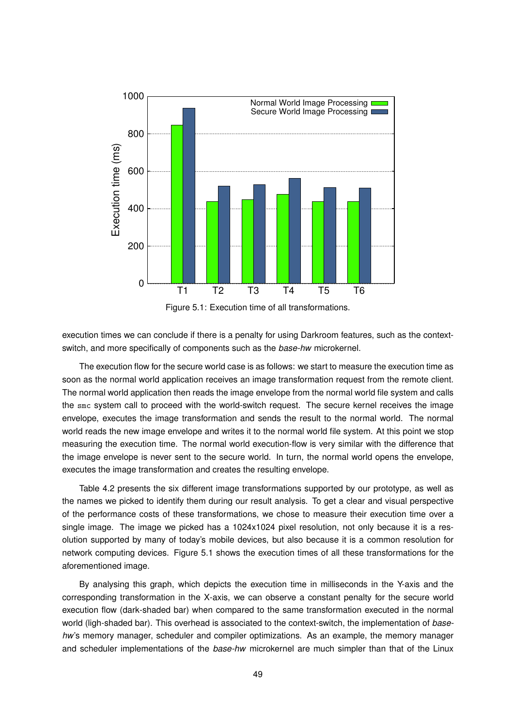

Figure 5.1: Execution time of all transformations.

execution times we can conclude if there is a penalty for using Darkroom features, such as the contextswitch, and more specifically of components such as the *base-hw* microkernel.

The execution flow for the secure world case is as follows: we start to measure the execution time as soon as the normal world application receives an image transformation request from the remote client. The normal world application then reads the image envelope from the normal world file system and calls the smc system call to proceed with the world-switch request. The secure kernel receives the image envelope, executes the image transformation and sends the result to the normal world. The normal world reads the new image envelope and writes it to the normal world file system. At this point we stop measuring the execution time. The normal world execution-flow is very similar with the difference that the image envelope is never sent to the secure world. In turn, the normal world opens the envelope, executes the image transformation and creates the resulting envelope.

Table 4.2 presents the six different image transformations supported by our prototype, as well as the names we picked to identify them during our result analysis. To get a clear and visual perspective of the performance costs of these transformations, we chose to measure their execution time over a single image. The image we picked has a 1024x1024 pixel resolution, not only because it is a resolution supported by many of today's mobile devices, but also because it is a common resolution for network computing devices. Figure 5.1 shows the execution times of all these transformations for the aforementioned image.

By analysing this graph, which depicts the execution time in milliseconds in the Y-axis and the corresponding transformation in the X-axis, we can observe a constant penalty for the secure world execution flow (dark-shaded bar) when compared to the same transformation executed in the normal world (ligh-shaded bar). This overhead is associated to the context-switch, the implementation of *basehw*'s memory manager, scheduler and compiler optimizations. As an example, the memory manager and scheduler implementations of the *base-hw* microkernel are much simpler than that of the Linux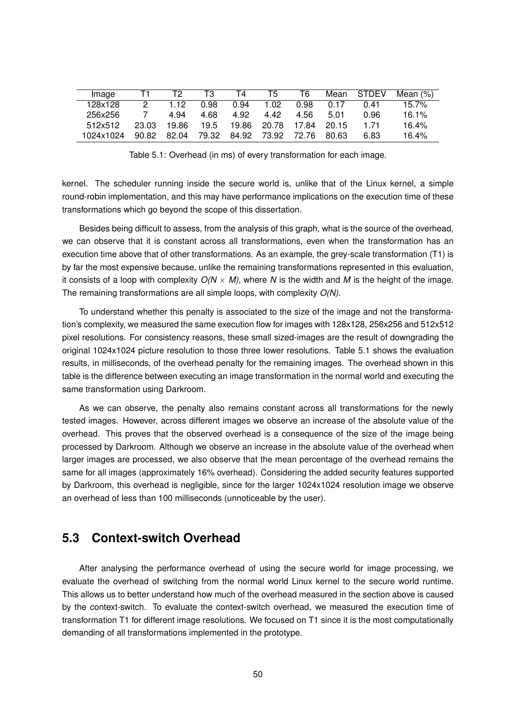| Image     |               |       | T3    | Τ4    | 15          | T6          |       | Mean STDEV | Mean $(%)$ |
|-----------|---------------|-------|-------|-------|-------------|-------------|-------|------------|------------|
| 128x128   | $\mathcal{P}$ | 1 12  | 0.98  | 0.94  | 1.02.       | 0.98        | 0.17  | በ 41       | 15.7%      |
| 256x256   |               | 4.94  | 4.68  | 4.92  | 4.42        | 4.56        | 5.01  | 0.96       | 16.1%      |
| 512x512   | 23.03         | 19.86 | 19.5  |       | 19.86 20.78 | 17.84 20.15 |       | 171        | 16.4%      |
| 1024x1024 | 90.82         | 82.04 | 79.32 | 84.92 | 73.92       | 72.76       | 80.63 | 6.83       | 16.4%      |

Table 5.1: Overhead (in ms) of every transformation for each image.

kernel. The scheduler running inside the secure world is, unlike that of the Linux kernel, a simple round-robin implementation, and this may have performance implications on the execution time of these transformations which go beyond the scope of this dissertation.

Besides being difficult to assess, from the analysis of this graph, what is the source of the overhead, we can observe that it is constant across all transformations, even when the transformation has an execution time above that of other transformations. As an example, the grey-scale transformation (T1) is by far the most expensive because, unlike the remaining transformations represented in this evaluation, it consists of a loop with complexity  $O(N \times M)$ , where N is the width and M is the height of the image. The remaining transformations are all simple loops, with complexity *O(N)*.

To understand whether this penalty is associated to the size of the image and not the transformation's complexity, we measured the same execution flow for images with 128x128, 256x256 and 512x512 pixel resolutions. For consistency reasons, these small sized-images are the result of downgrading the original 1024x1024 picture resolution to those three lower resolutions. Table 5.1 shows the evaluation results, in milliseconds, of the overhead penalty for the remaining images. The overhead shown in this table is the difference between executing an image transformation in the normal world and executing the same transformation using Darkroom.

As we can observe, the penalty also remains constant across all transformations for the newly tested images. However, across different images we observe an increase of the absolute value of the overhead. This proves that the observed overhead is a consequence of the size of the image being processed by Darkroom. Although we observe an increase in the absolute value of the overhead when larger images are processed, we also observe that the mean percentage of the overhead remains the same for all images (approximately 16% overhead). Considering the added security features supported by Darkroom, this overhead is negligible, since for the larger 1024x1024 resolution image we observe an overhead of less than 100 milliseconds (unnoticeable by the user).

#### **5.3 Context-switch Overhead**

After analysing the performance overhead of using the secure world for image processing, we evaluate the overhead of switching from the normal world Linux kernel to the secure world runtime. This allows us to better understand how much of the overhead measured in the section above is caused by the context-switch. To evaluate the context-switch overhead, we measured the execution time of transformation T1 for different image resolutions. We focused on T1 since it is the most computationally demanding of all transformations implemented in the prototype.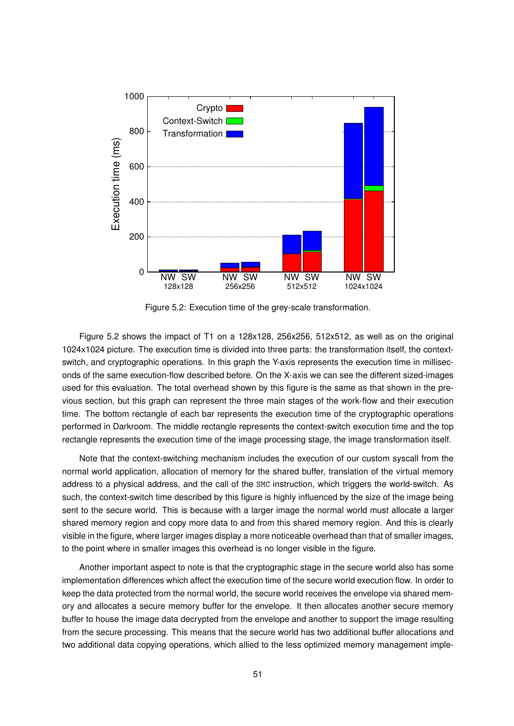

Figure 5.2: Execution time of the grey-scale transformation.

Figure 5.2 shows the impact of T1 on a 128x128, 256x256, 512x512, as well as on the original 1024x1024 picture. The execution time is divided into three parts: the transformation itself, the contextswitch, and cryptographic operations. In this graph the Y-axis represents the execution time in milliseconds of the same execution-flow described before. On the X-axis we can see the different sized-images used for this evaluation. The total overhead shown by this figure is the same as that shown in the previous section, but this graph can represent the three main stages of the work-flow and their execution time. The bottom rectangle of each bar represents the execution time of the cryptographic operations performed in Darkroom. The middle rectangle represents the context-switch execution time and the top rectangle represents the execution time of the image processing stage, the image transformation itself.

Note that the context-switching mechanism includes the execution of our custom syscall from the normal world application, allocation of memory for the shared buffer, translation of the virtual memory address to a physical address, and the call of the SMC instruction, which triggers the world-switch. As such, the context-switch time described by this figure is highly influenced by the size of the image being sent to the secure world. This is because with a larger image the normal world must allocate a larger shared memory region and copy more data to and from this shared memory region. And this is clearly visible in the figure, where larger images display a more noticeable overhead than that of smaller images, to the point where in smaller images this overhead is no longer visible in the figure.

Another important aspect to note is that the cryptographic stage in the secure world also has some implementation differences which affect the execution time of the secure world execution flow. In order to keep the data protected from the normal world, the secure world receives the envelope via shared memory and allocates a secure memory buffer for the envelope. It then allocates another secure memory buffer to house the image data decrypted from the envelope and another to support the image resulting from the secure processing. This means that the secure world has two additional buffer allocations and two additional data copying operations, which allied to the less optimized memory management imple-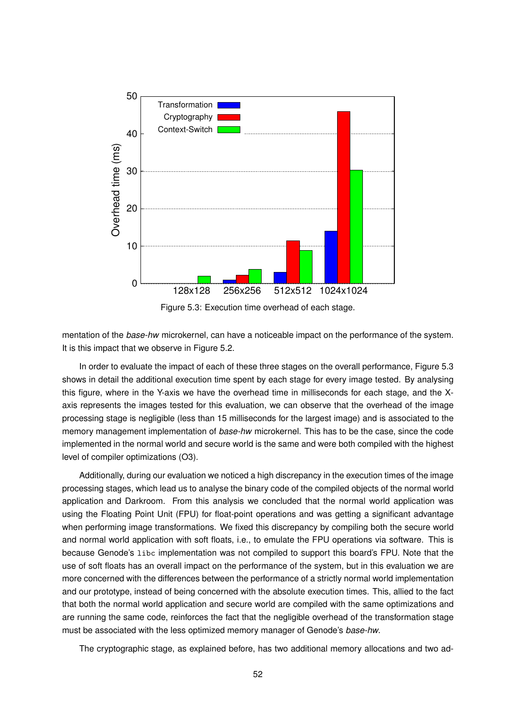

Figure 5.3: Execution time overhead of each stage.

mentation of the *base-hw* microkernel, can have a noticeable impact on the performance of the system. It is this impact that we observe in Figure 5.2.

In order to evaluate the impact of each of these three stages on the overall performance, Figure 5.3 shows in detail the additional execution time spent by each stage for every image tested. By analysing this figure, where in the Y-axis we have the overhead time in milliseconds for each stage, and the Xaxis represents the images tested for this evaluation, we can observe that the overhead of the image processing stage is negligible (less than 15 milliseconds for the largest image) and is associated to the memory management implementation of *base-hw* microkernel. This has to be the case, since the code implemented in the normal world and secure world is the same and were both compiled with the highest level of compiler optimizations (O3).

Additionally, during our evaluation we noticed a high discrepancy in the execution times of the image processing stages, which lead us to analyse the binary code of the compiled objects of the normal world application and Darkroom. From this analysis we concluded that the normal world application was using the Floating Point Unit (FPU) for float-point operations and was getting a significant advantage when performing image transformations. We fixed this discrepancy by compiling both the secure world and normal world application with soft floats, i.e., to emulate the FPU operations via software. This is because Genode's libc implementation was not compiled to support this board's FPU. Note that the use of soft floats has an overall impact on the performance of the system, but in this evaluation we are more concerned with the differences between the performance of a strictly normal world implementation and our prototype, instead of being concerned with the absolute execution times. This, allied to the fact that both the normal world application and secure world are compiled with the same optimizations and are running the same code, reinforces the fact that the negligible overhead of the transformation stage must be associated with the less optimized memory manager of Genode's *base-hw*.

The cryptographic stage, as explained before, has two additional memory allocations and two ad-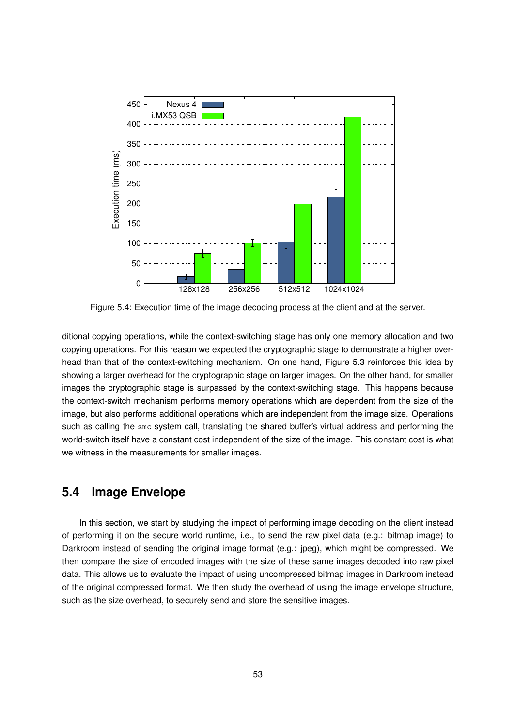

Figure 5.4: Execution time of the image decoding process at the client and at the server.

ditional copying operations, while the context-switching stage has only one memory allocation and two copying operations. For this reason we expected the cryptographic stage to demonstrate a higher overhead than that of the context-switching mechanism. On one hand, Figure 5.3 reinforces this idea by showing a larger overhead for the cryptographic stage on larger images. On the other hand, for smaller images the cryptographic stage is surpassed by the context-switching stage. This happens because the context-switch mechanism performs memory operations which are dependent from the size of the image, but also performs additional operations which are independent from the image size. Operations such as calling the smc system call, translating the shared buffer's virtual address and performing the world-switch itself have a constant cost independent of the size of the image. This constant cost is what we witness in the measurements for smaller images.

#### **5.4 Image Envelope**

In this section, we start by studying the impact of performing image decoding on the client instead of performing it on the secure world runtime, i.e., to send the raw pixel data (e.g.: bitmap image) to Darkroom instead of sending the original image format (e.g.: jpeg), which might be compressed. We then compare the size of encoded images with the size of these same images decoded into raw pixel data. This allows us to evaluate the impact of using uncompressed bitmap images in Darkroom instead of the original compressed format. We then study the overhead of using the image envelope structure, such as the size overhead, to securely send and store the sensitive images.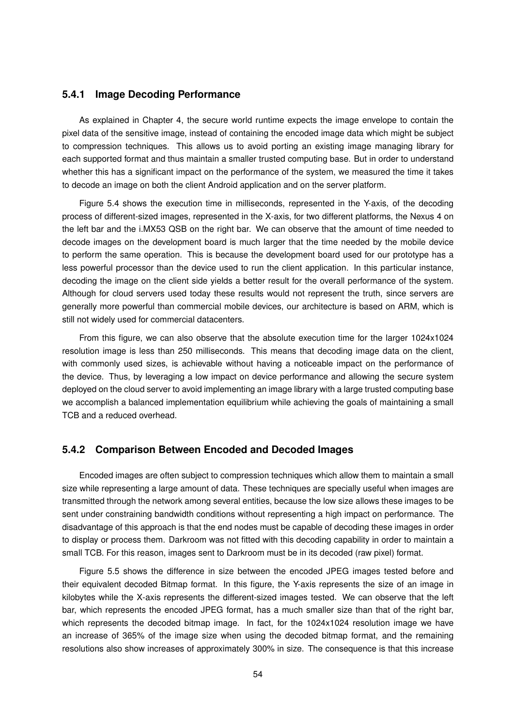#### **5.4.1 Image Decoding Performance**

As explained in Chapter 4, the secure world runtime expects the image envelope to contain the pixel data of the sensitive image, instead of containing the encoded image data which might be subject to compression techniques. This allows us to avoid porting an existing image managing library for each supported format and thus maintain a smaller trusted computing base. But in order to understand whether this has a significant impact on the performance of the system, we measured the time it takes to decode an image on both the client Android application and on the server platform.

Figure 5.4 shows the execution time in milliseconds, represented in the Y-axis, of the decoding process of different-sized images, represented in the X-axis, for two different platforms, the Nexus 4 on the left bar and the i.MX53 QSB on the right bar. We can observe that the amount of time needed to decode images on the development board is much larger that the time needed by the mobile device to perform the same operation. This is because the development board used for our prototype has a less powerful processor than the device used to run the client application. In this particular instance, decoding the image on the client side yields a better result for the overall performance of the system. Although for cloud servers used today these results would not represent the truth, since servers are generally more powerful than commercial mobile devices, our architecture is based on ARM, which is still not widely used for commercial datacenters.

From this figure, we can also observe that the absolute execution time for the larger 1024x1024 resolution image is less than 250 milliseconds. This means that decoding image data on the client, with commonly used sizes, is achievable without having a noticeable impact on the performance of the device. Thus, by leveraging a low impact on device performance and allowing the secure system deployed on the cloud server to avoid implementing an image library with a large trusted computing base we accomplish a balanced implementation equilibrium while achieving the goals of maintaining a small TCB and a reduced overhead.

#### **5.4.2 Comparison Between Encoded and Decoded Images**

Encoded images are often subject to compression techniques which allow them to maintain a small size while representing a large amount of data. These techniques are specially useful when images are transmitted through the network among several entities, because the low size allows these images to be sent under constraining bandwidth conditions without representing a high impact on performance. The disadvantage of this approach is that the end nodes must be capable of decoding these images in order to display or process them. Darkroom was not fitted with this decoding capability in order to maintain a small TCB. For this reason, images sent to Darkroom must be in its decoded (raw pixel) format.

Figure 5.5 shows the difference in size between the encoded JPEG images tested before and their equivalent decoded Bitmap format. In this figure, the Y-axis represents the size of an image in kilobytes while the X-axis represents the different-sized images tested. We can observe that the left bar, which represents the encoded JPEG format, has a much smaller size than that of the right bar, which represents the decoded bitmap image. In fact, for the 1024x1024 resolution image we have an increase of 365% of the image size when using the decoded bitmap format, and the remaining resolutions also show increases of approximately 300% in size. The consequence is that this increase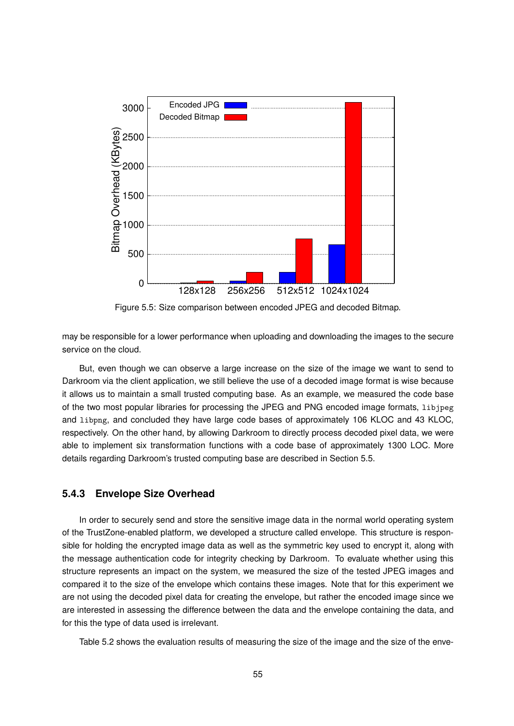

Figure 5.5: Size comparison between encoded JPEG and decoded Bitmap.

may be responsible for a lower performance when uploading and downloading the images to the secure service on the cloud.

But, even though we can observe a large increase on the size of the image we want to send to Darkroom via the client application, we still believe the use of a decoded image format is wise because it allows us to maintain a small trusted computing base. As an example, we measured the code base of the two most popular libraries for processing the JPEG and PNG encoded image formats, libjpeg and libpng, and concluded they have large code bases of approximately 106 KLOC and 43 KLOC, respectively. On the other hand, by allowing Darkroom to directly process decoded pixel data, we were able to implement six transformation functions with a code base of approximately 1300 LOC. More details regarding Darkroom's trusted computing base are described in Section 5.5.

#### **5.4.3 Envelope Size Overhead**

In order to securely send and store the sensitive image data in the normal world operating system of the TrustZone-enabled platform, we developed a structure called envelope. This structure is responsible for holding the encrypted image data as well as the symmetric key used to encrypt it, along with the message authentication code for integrity checking by Darkroom. To evaluate whether using this structure represents an impact on the system, we measured the size of the tested JPEG images and compared it to the size of the envelope which contains these images. Note that for this experiment we are not using the decoded pixel data for creating the envelope, but rather the encoded image since we are interested in assessing the difference between the data and the envelope containing the data, and for this the type of data used is irrelevant.

Table 5.2 shows the evaluation results of measuring the size of the image and the size of the enve-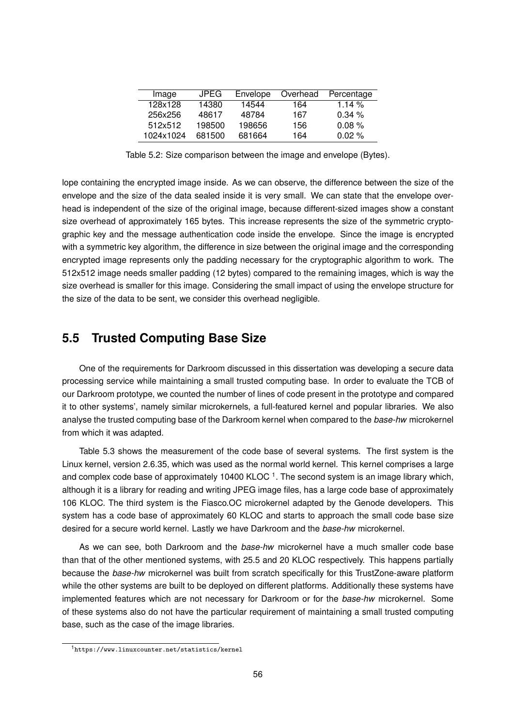| Image     | <b>JPEG</b> | Envelope | Overhead | Percentage |
|-----------|-------------|----------|----------|------------|
| 128x128   | 14380       | 14544    | 164      | 1.14 $\%$  |
| 256x256   | 48617       | 48784    | 167      | 0.34%      |
| 512x512   | 198500      | 198656   | 156      | 0.08%      |
| 1024x1024 | 681500      | 681664   | 164      | $0.02\%$   |

Table 5.2: Size comparison between the image and envelope (Bytes).

lope containing the encrypted image inside. As we can observe, the difference between the size of the envelope and the size of the data sealed inside it is very small. We can state that the envelope overhead is independent of the size of the original image, because different-sized images show a constant size overhead of approximately 165 bytes. This increase represents the size of the symmetric cryptographic key and the message authentication code inside the envelope. Since the image is encrypted with a symmetric key algorithm, the difference in size between the original image and the corresponding encrypted image represents only the padding necessary for the cryptographic algorithm to work. The 512x512 image needs smaller padding (12 bytes) compared to the remaining images, which is way the size overhead is smaller for this image. Considering the small impact of using the envelope structure for the size of the data to be sent, we consider this overhead negligible.

# **5.5 Trusted Computing Base Size**

One of the requirements for Darkroom discussed in this dissertation was developing a secure data processing service while maintaining a small trusted computing base. In order to evaluate the TCB of our Darkroom prototype, we counted the number of lines of code present in the prototype and compared it to other systems', namely similar microkernels, a full-featured kernel and popular libraries. We also analyse the trusted computing base of the Darkroom kernel when compared to the *base-hw* microkernel from which it was adapted.

Table 5.3 shows the measurement of the code base of several systems. The first system is the Linux kernel, version 2.6.35, which was used as the normal world kernel. This kernel comprises a large and complex code base of approximately 10400 KLOC<sup>1</sup>. The second system is an image library which, although it is a library for reading and writing JPEG image files, has a large code base of approximately 106 KLOC. The third system is the Fiasco.OC microkernel adapted by the Genode developers. This system has a code base of approximately 60 KLOC and starts to approach the small code base size desired for a secure world kernel. Lastly we have Darkroom and the *base-hw* microkernel.

As we can see, both Darkroom and the *base-hw* microkernel have a much smaller code base than that of the other mentioned systems, with 25.5 and 20 KLOC respectively. This happens partially because the *base-hw* microkernel was built from scratch specifically for this TrustZone-aware platform while the other systems are built to be deployed on different platforms. Additionally these systems have implemented features which are not necessary for Darkroom or for the *base-hw* microkernel. Some of these systems also do not have the particular requirement of maintaining a small trusted computing base, such as the case of the image libraries.

<sup>1</sup>https://www.linuxcounter.net/statistics/kernel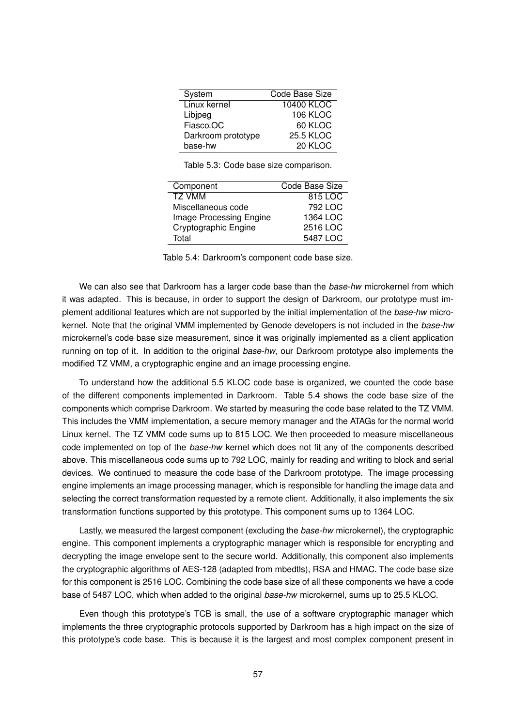| System             | Code Base Size    |
|--------------------|-------------------|
| Linux kernel       | <b>10400 KLOC</b> |
| Libjpeg            | 106 KLOC          |
| Fiasco.OC          | 60 KLOC           |
| Darkroom prototype | <b>25.5 KLOC</b>  |
| base-hw            | 20 KLOC           |

Table 5.3: Code base size comparison.

| Component               | Code Base Size |
|-------------------------|----------------|
| <b>TZ VMM</b>           | 815 LOC        |
| Miscellaneous code      | 792 LOC        |
| Image Processing Engine | 1364 LOC       |
| Cryptographic Engine    | 2516 LOC       |
| Total                   | 5487 LOC       |

Table 5.4: Darkroom's component code base size.

We can also see that Darkroom has a larger code base than the *base-hw* microkernel from which it was adapted. This is because, in order to support the design of Darkroom, our prototype must implement additional features which are not supported by the initial implementation of the *base-hw* microkernel. Note that the original VMM implemented by Genode developers is not included in the *base-hw* microkernel's code base size measurement, since it was originally implemented as a client application running on top of it. In addition to the original *base-hw*, our Darkroom prototype also implements the modified TZ VMM, a cryptographic engine and an image processing engine.

To understand how the additional 5.5 KLOC code base is organized, we counted the code base of the different components implemented in Darkroom. Table 5.4 shows the code base size of the components which comprise Darkroom. We started by measuring the code base related to the TZ VMM. This includes the VMM implementation, a secure memory manager and the ATAGs for the normal world Linux kernel. The TZ VMM code sums up to 815 LOC. We then proceeded to measure miscellaneous code implemented on top of the *base-hw* kernel which does not fit any of the components described above. This miscellaneous code sums up to 792 LOC, mainly for reading and writing to block and serial devices. We continued to measure the code base of the Darkroom prototype. The image processing engine implements an image processing manager, which is responsible for handling the image data and selecting the correct transformation requested by a remote client. Additionally, it also implements the six transformation functions supported by this prototype. This component sums up to 1364 LOC.

Lastly, we measured the largest component (excluding the *base-hw* microkernel), the cryptographic engine. This component implements a cryptographic manager which is responsible for encrypting and decrypting the image envelope sent to the secure world. Additionally, this component also implements the cryptographic algorithms of AES-128 (adapted from mbedtls), RSA and HMAC. The code base size for this component is 2516 LOC. Combining the code base size of all these components we have a code base of 5487 LOC, which when added to the original *base-hw* microkernel, sums up to 25.5 KLOC.

Even though this prototype's TCB is small, the use of a software cryptographic manager which implements the three cryptographic protocols supported by Darkroom has a high impact on the size of this prototype's code base. This is because it is the largest and most complex component present in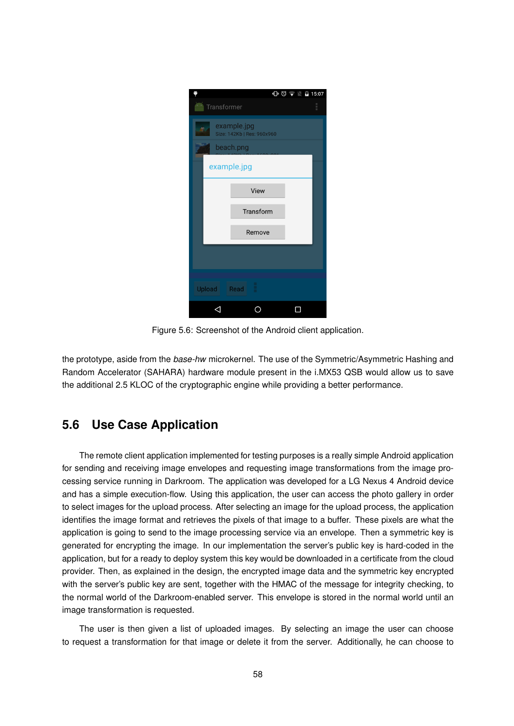|                                           |             | $\mathbb{D}$ $\heartsuit$ $\blacktriangleright$ $\mathbb{N}$ $\blacktriangleright$ 15:07 |  |  |  |  |
|-------------------------------------------|-------------|------------------------------------------------------------------------------------------|--|--|--|--|
| Transformer                               |             | ł                                                                                        |  |  |  |  |
| example.jpg<br>Size: 142Kb   Res: 960x960 |             |                                                                                          |  |  |  |  |
| beach.png                                 |             |                                                                                          |  |  |  |  |
|                                           | example.jpg |                                                                                          |  |  |  |  |
|                                           | View        |                                                                                          |  |  |  |  |
|                                           | Transform   |                                                                                          |  |  |  |  |
|                                           | Remove      |                                                                                          |  |  |  |  |
|                                           |             |                                                                                          |  |  |  |  |
|                                           |             |                                                                                          |  |  |  |  |
| Upload                                    | Read        |                                                                                          |  |  |  |  |
|                                           |             |                                                                                          |  |  |  |  |

Figure 5.6: Screenshot of the Android client application.

the prototype, aside from the *base-hw* microkernel. The use of the Symmetric/Asymmetric Hashing and Random Accelerator (SAHARA) hardware module present in the i.MX53 QSB would allow us to save the additional 2.5 KLOC of the cryptographic engine while providing a better performance.

# **5.6 Use Case Application**

The remote client application implemented for testing purposes is a really simple Android application for sending and receiving image envelopes and requesting image transformations from the image processing service running in Darkroom. The application was developed for a LG Nexus 4 Android device and has a simple execution-flow. Using this application, the user can access the photo gallery in order to select images for the upload process. After selecting an image for the upload process, the application identifies the image format and retrieves the pixels of that image to a buffer. These pixels are what the application is going to send to the image processing service via an envelope. Then a symmetric key is generated for encrypting the image. In our implementation the server's public key is hard-coded in the application, but for a ready to deploy system this key would be downloaded in a certificate from the cloud provider. Then, as explained in the design, the encrypted image data and the symmetric key encrypted with the server's public key are sent, together with the HMAC of the message for integrity checking, to the normal world of the Darkroom-enabled server. This envelope is stored in the normal world until an image transformation is requested.

The user is then given a list of uploaded images. By selecting an image the user can choose to request a transformation for that image or delete it from the server. Additionally, he can choose to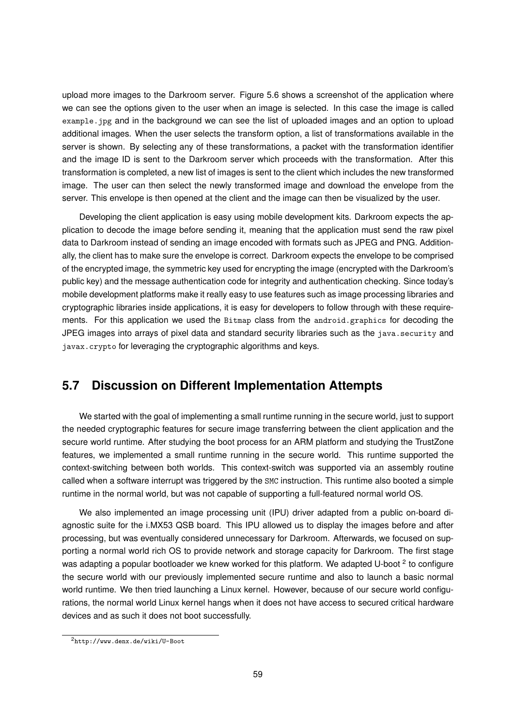upload more images to the Darkroom server. Figure 5.6 shows a screenshot of the application where we can see the options given to the user when an image is selected. In this case the image is called example.jpg and in the background we can see the list of uploaded images and an option to upload additional images. When the user selects the transform option, a list of transformations available in the server is shown. By selecting any of these transformations, a packet with the transformation identifier and the image ID is sent to the Darkroom server which proceeds with the transformation. After this transformation is completed, a new list of images is sent to the client which includes the new transformed image. The user can then select the newly transformed image and download the envelope from the server. This envelope is then opened at the client and the image can then be visualized by the user.

Developing the client application is easy using mobile development kits. Darkroom expects the application to decode the image before sending it, meaning that the application must send the raw pixel data to Darkroom instead of sending an image encoded with formats such as JPEG and PNG. Additionally, the client has to make sure the envelope is correct. Darkroom expects the envelope to be comprised of the encrypted image, the symmetric key used for encrypting the image (encrypted with the Darkroom's public key) and the message authentication code for integrity and authentication checking. Since today's mobile development platforms make it really easy to use features such as image processing libraries and cryptographic libraries inside applications, it is easy for developers to follow through with these requirements. For this application we used the Bitmap class from the android.graphics for decoding the JPEG images into arrays of pixel data and standard security libraries such as the java.security and javax.crypto for leveraging the cryptographic algorithms and keys.

# **5.7 Discussion on Different Implementation Attempts**

We started with the goal of implementing a small runtime running in the secure world, just to support the needed cryptographic features for secure image transferring between the client application and the secure world runtime. After studying the boot process for an ARM platform and studying the TrustZone features, we implemented a small runtime running in the secure world. This runtime supported the context-switching between both worlds. This context-switch was supported via an assembly routine called when a software interrupt was triggered by the SMC instruction. This runtime also booted a simple runtime in the normal world, but was not capable of supporting a full-featured normal world OS.

We also implemented an image processing unit (IPU) driver adapted from a public on-board diagnostic suite for the i.MX53 QSB board. This IPU allowed us to display the images before and after processing, but was eventually considered unnecessary for Darkroom. Afterwards, we focused on supporting a normal world rich OS to provide network and storage capacity for Darkroom. The first stage was adapting a popular bootloader we knew worked for this platform. We adapted U-boot <sup>2</sup> to configure the secure world with our previously implemented secure runtime and also to launch a basic normal world runtime. We then tried launching a Linux kernel. However, because of our secure world configurations, the normal world Linux kernel hangs when it does not have access to secured critical hardware devices and as such it does not boot successfully.

<sup>2</sup>http://www.denx.de/wiki/U-Boot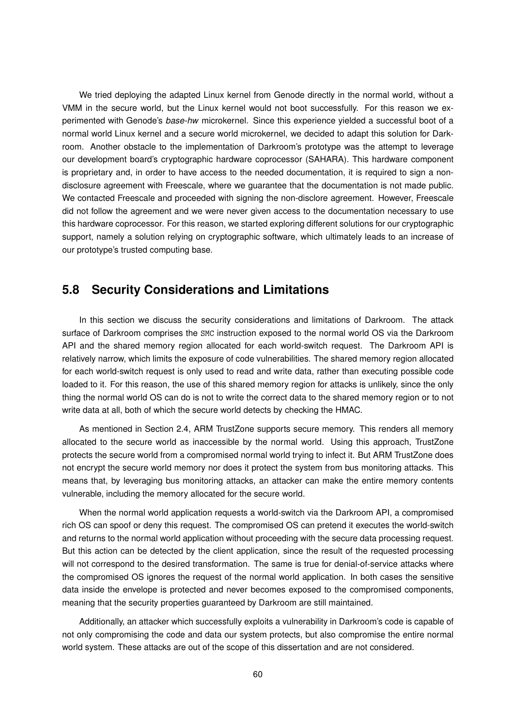We tried deploying the adapted Linux kernel from Genode directly in the normal world, without a VMM in the secure world, but the Linux kernel would not boot successfully. For this reason we experimented with Genode's *base-hw* microkernel. Since this experience yielded a successful boot of a normal world Linux kernel and a secure world microkernel, we decided to adapt this solution for Darkroom. Another obstacle to the implementation of Darkroom's prototype was the attempt to leverage our development board's cryptographic hardware coprocessor (SAHARA). This hardware component is proprietary and, in order to have access to the needed documentation, it is required to sign a nondisclosure agreement with Freescale, where we guarantee that the documentation is not made public. We contacted Freescale and proceeded with signing the non-disclore agreement. However, Freescale did not follow the agreement and we were never given access to the documentation necessary to use this hardware coprocessor. For this reason, we started exploring different solutions for our cryptographic support, namely a solution relying on cryptographic software, which ultimately leads to an increase of our prototype's trusted computing base.

#### **5.8 Security Considerations and Limitations**

In this section we discuss the security considerations and limitations of Darkroom. The attack surface of Darkroom comprises the SMC instruction exposed to the normal world OS via the Darkroom API and the shared memory region allocated for each world-switch request. The Darkroom API is relatively narrow, which limits the exposure of code vulnerabilities. The shared memory region allocated for each world-switch request is only used to read and write data, rather than executing possible code loaded to it. For this reason, the use of this shared memory region for attacks is unlikely, since the only thing the normal world OS can do is not to write the correct data to the shared memory region or to not write data at all, both of which the secure world detects by checking the HMAC.

As mentioned in Section 2.4, ARM TrustZone supports secure memory. This renders all memory allocated to the secure world as inaccessible by the normal world. Using this approach, TrustZone protects the secure world from a compromised normal world trying to infect it. But ARM TrustZone does not encrypt the secure world memory nor does it protect the system from bus monitoring attacks. This means that, by leveraging bus monitoring attacks, an attacker can make the entire memory contents vulnerable, including the memory allocated for the secure world.

When the normal world application requests a world-switch via the Darkroom API, a compromised rich OS can spoof or deny this request. The compromised OS can pretend it executes the world-switch and returns to the normal world application without proceeding with the secure data processing request. But this action can be detected by the client application, since the result of the requested processing will not correspond to the desired transformation. The same is true for denial-of-service attacks where the compromised OS ignores the request of the normal world application. In both cases the sensitive data inside the envelope is protected and never becomes exposed to the compromised components, meaning that the security properties guaranteed by Darkroom are still maintained.

Additionally, an attacker which successfully exploits a vulnerability in Darkroom's code is capable of not only compromising the code and data our system protects, but also compromise the entire normal world system. These attacks are out of the scope of this dissertation and are not considered.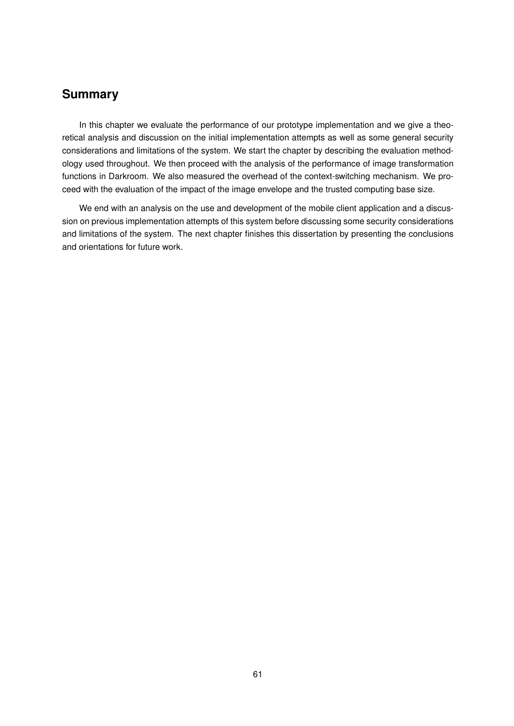### **Summary**

In this chapter we evaluate the performance of our prototype implementation and we give a theoretical analysis and discussion on the initial implementation attempts as well as some general security considerations and limitations of the system. We start the chapter by describing the evaluation methodology used throughout. We then proceed with the analysis of the performance of image transformation functions in Darkroom. We also measured the overhead of the context-switching mechanism. We proceed with the evaluation of the impact of the image envelope and the trusted computing base size.

We end with an analysis on the use and development of the mobile client application and a discussion on previous implementation attempts of this system before discussing some security considerations and limitations of the system. The next chapter finishes this dissertation by presenting the conclusions and orientations for future work.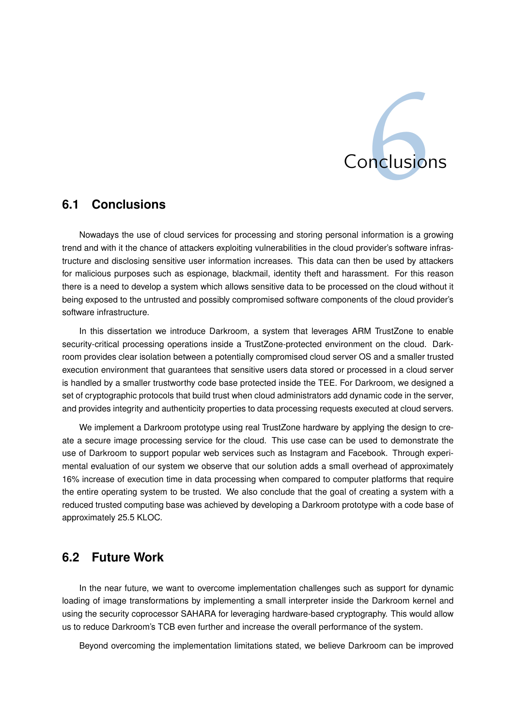

# **6.1 Conclusions**

Nowadays the use of cloud services for processing and storing personal information is a growing trend and with it the chance of attackers exploiting vulnerabilities in the cloud provider's software infrastructure and disclosing sensitive user information increases. This data can then be used by attackers for malicious purposes such as espionage, blackmail, identity theft and harassment. For this reason there is a need to develop a system which allows sensitive data to be processed on the cloud without it being exposed to the untrusted and possibly compromised software components of the cloud provider's software infrastructure.

In this dissertation we introduce Darkroom, a system that leverages ARM TrustZone to enable security-critical processing operations inside a TrustZone-protected environment on the cloud. Darkroom provides clear isolation between a potentially compromised cloud server OS and a smaller trusted execution environment that guarantees that sensitive users data stored or processed in a cloud server is handled by a smaller trustworthy code base protected inside the TEE. For Darkroom, we designed a set of cryptographic protocols that build trust when cloud administrators add dynamic code in the server, and provides integrity and authenticity properties to data processing requests executed at cloud servers.

We implement a Darkroom prototype using real TrustZone hardware by applying the design to create a secure image processing service for the cloud. This use case can be used to demonstrate the use of Darkroom to support popular web services such as Instagram and Facebook. Through experimental evaluation of our system we observe that our solution adds a small overhead of approximately 16% increase of execution time in data processing when compared to computer platforms that require the entire operating system to be trusted. We also conclude that the goal of creating a system with a reduced trusted computing base was achieved by developing a Darkroom prototype with a code base of approximately 25.5 KLOC.

# **6.2 Future Work**

In the near future, we want to overcome implementation challenges such as support for dynamic loading of image transformations by implementing a small interpreter inside the Darkroom kernel and using the security coprocessor SAHARA for leveraging hardware-based cryptography. This would allow us to reduce Darkroom's TCB even further and increase the overall performance of the system.

Beyond overcoming the implementation limitations stated, we believe Darkroom can be improved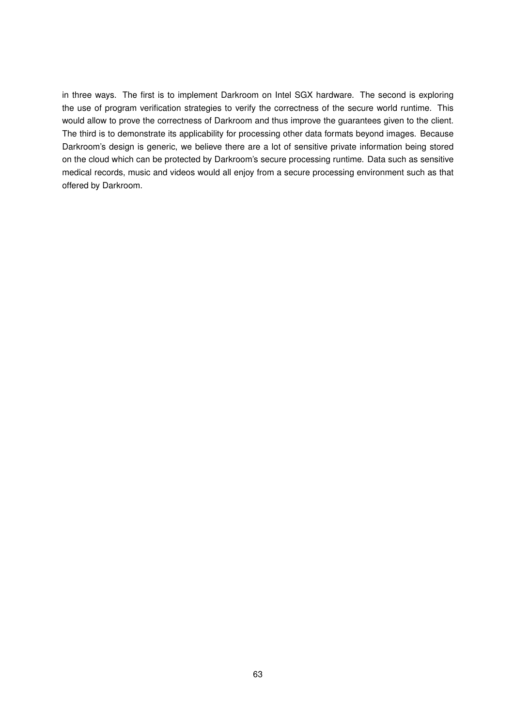in three ways. The first is to implement Darkroom on Intel SGX hardware. The second is exploring the use of program verification strategies to verify the correctness of the secure world runtime. This would allow to prove the correctness of Darkroom and thus improve the guarantees given to the client. The third is to demonstrate its applicability for processing other data formats beyond images. Because Darkroom's design is generic, we believe there are a lot of sensitive private information being stored on the cloud which can be protected by Darkroom's secure processing runtime. Data such as sensitive medical records, music and videos would all enjoy from a secure processing environment such as that offered by Darkroom.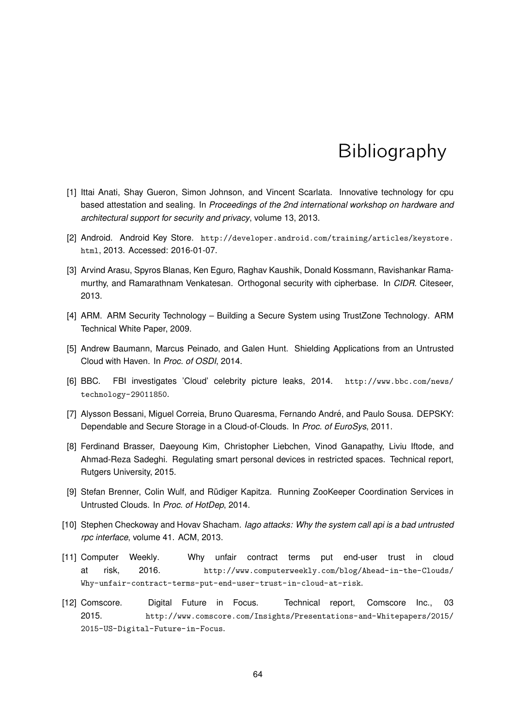# **Bibliography**

- [1] Ittai Anati, Shay Gueron, Simon Johnson, and Vincent Scarlata. Innovative technology for cpu based attestation and sealing. In *Proceedings of the 2nd international workshop on hardware and architectural support for security and privacy*, volume 13, 2013.
- [2] Android. Android Key Store. http://developer.android.com/training/articles/keystore. html, 2013. Accessed: 2016-01-07.
- [3] Arvind Arasu, Spyros Blanas, Ken Eguro, Raghav Kaushik, Donald Kossmann, Ravishankar Ramamurthy, and Ramarathnam Venkatesan. Orthogonal security with cipherbase. In *CIDR*. Citeseer, 2013.
- [4] ARM. ARM Security Technology Building a Secure System using TrustZone Technology. ARM Technical White Paper, 2009.
- [5] Andrew Baumann, Marcus Peinado, and Galen Hunt. Shielding Applications from an Untrusted Cloud with Haven. In *Proc. of OSDI*, 2014.
- [6] BBC. FBI investigates 'Cloud' celebrity picture leaks, 2014. http://www.bbc.com/news/ technology-29011850.
- [7] Alysson Bessani, Miguel Correia, Bruno Quaresma, Fernando André, and Paulo Sousa. DEPSKY: Dependable and Secure Storage in a Cloud-of-Clouds. In *Proc. of EuroSys*, 2011.
- [8] Ferdinand Brasser, Daeyoung Kim, Christopher Liebchen, Vinod Ganapathy, Liviu Iftode, and Ahmad-Reza Sadeghi. Regulating smart personal devices in restricted spaces. Technical report, Rutgers University, 2015.
- [9] Stefan Brenner, Colin Wulf, and Rüdiger Kapitza. Running ZooKeeper Coordination Services in Untrusted Clouds. In *Proc. of HotDep*, 2014.
- [10] Stephen Checkoway and Hovav Shacham. *Iago attacks: Why the system call api is a bad untrusted rpc interface*, volume 41. ACM, 2013.
- [11] Computer Weekly. Why unfair contract terms put end-user trust in cloud at risk, 2016. http://www.computerweekly.com/blog/Ahead-in-the-Clouds/ Why-unfair-contract-terms-put-end-user-trust-in-cloud-at-risk.
- [12] Comscore. Digital Future in Focus. Technical report, Comscore Inc., 03 2015. http://www.comscore.com/Insights/Presentations-and-Whitepapers/2015/ 2015-US-Digital-Future-in-Focus.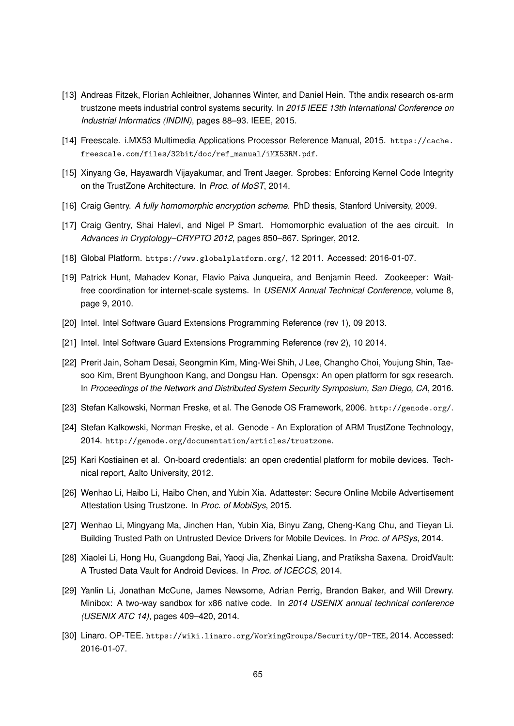- [13] Andreas Fitzek, Florian Achleitner, Johannes Winter, and Daniel Hein. Tthe andix research os-arm trustzone meets industrial control systems security. In *2015 IEEE 13th International Conference on Industrial Informatics (INDIN)*, pages 88–93. IEEE, 2015.
- [14] Freescale. i.MX53 Multimedia Applications Processor Reference Manual, 2015. https://cache. freescale.com/files/32bit/doc/ref\_manual/iMX53RM.pdf.
- [15] Xinyang Ge, Hayawardh Vijayakumar, and Trent Jaeger. Sprobes: Enforcing Kernel Code Integrity on the TrustZone Architecture. In *Proc. of MoST*, 2014.
- [16] Craig Gentry. *A fully homomorphic encryption scheme*. PhD thesis, Stanford University, 2009.
- [17] Craig Gentry, Shai Halevi, and Nigel P Smart. Homomorphic evaluation of the aes circuit. In *Advances in Cryptology–CRYPTO 2012*, pages 850–867. Springer, 2012.
- [18] Global Platform. https://www.globalplatform.org/, 12 2011. Accessed: 2016-01-07.
- [19] Patrick Hunt, Mahadev Konar, Flavio Paiva Junqueira, and Benjamin Reed. Zookeeper: Waitfree coordination for internet-scale systems. In *USENIX Annual Technical Conference*, volume 8, page 9, 2010.
- [20] Intel. Intel Software Guard Extensions Programming Reference (rev 1), 09 2013.
- [21] Intel. Intel Software Guard Extensions Programming Reference (rev 2), 10 2014.
- [22] Prerit Jain, Soham Desai, Seongmin Kim, Ming-Wei Shih, J Lee, Changho Choi, Youjung Shin, Taesoo Kim, Brent Byunghoon Kang, and Dongsu Han. Opensgx: An open platform for sgx research. In *Proceedings of the Network and Distributed System Security Symposium, San Diego, CA*, 2016.
- [23] Stefan Kalkowski, Norman Freske, et al. The Genode OS Framework, 2006. http://genode.org/.
- [24] Stefan Kalkowski, Norman Freske, et al. Genode An Exploration of ARM TrustZone Technology, 2014. http://genode.org/documentation/articles/trustzone.
- [25] Kari Kostiainen et al. On-board credentials: an open credential platform for mobile devices. Technical report, Aalto University, 2012.
- [26] Wenhao Li, Haibo Li, Haibo Chen, and Yubin Xia. Adattester: Secure Online Mobile Advertisement Attestation Using Trustzone. In *Proc. of MobiSys*, 2015.
- [27] Wenhao Li, Mingyang Ma, Jinchen Han, Yubin Xia, Binyu Zang, Cheng-Kang Chu, and Tieyan Li. Building Trusted Path on Untrusted Device Drivers for Mobile Devices. In *Proc. of APSys*, 2014.
- [28] Xiaolei Li, Hong Hu, Guangdong Bai, Yaoqi Jia, Zhenkai Liang, and Pratiksha Saxena. DroidVault: A Trusted Data Vault for Android Devices. In *Proc. of ICECCS*, 2014.
- [29] Yanlin Li, Jonathan McCune, James Newsome, Adrian Perrig, Brandon Baker, and Will Drewry. Minibox: A two-way sandbox for x86 native code. In *2014 USENIX annual technical conference (USENIX ATC 14)*, pages 409–420, 2014.
- [30] Linaro. OP-TEE. https://wiki.linaro.org/WorkingGroups/Security/OP-TEE, 2014. Accessed: 2016-01-07.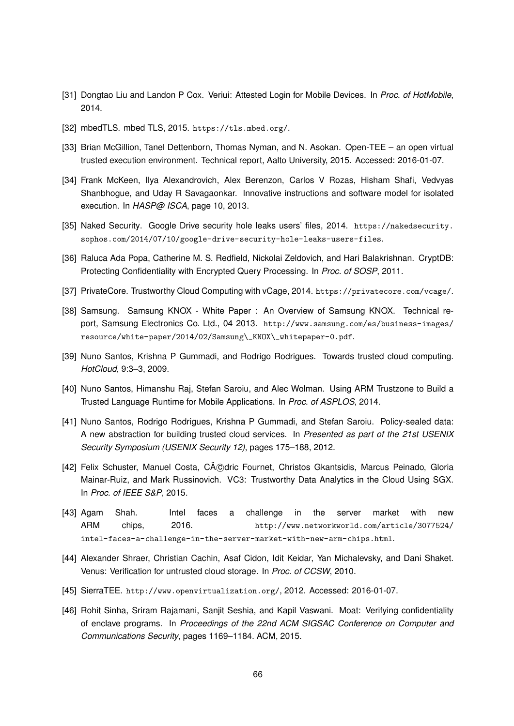- [31] Dongtao Liu and Landon P Cox. Veriui: Attested Login for Mobile Devices. In *Proc. of HotMobile*, 2014.
- [32] mbedTLS. mbed TLS, 2015. https://tls.mbed.org/.
- [33] Brian McGillion, Tanel Dettenborn, Thomas Nyman, and N. Asokan. Open-TEE an open virtual trusted execution environment. Technical report, Aalto University, 2015. Accessed: 2016-01-07.
- [34] Frank McKeen, Ilya Alexandrovich, Alex Berenzon, Carlos V Rozas, Hisham Shafi, Vedvyas Shanbhogue, and Uday R Savagaonkar. Innovative instructions and software model for isolated execution. In *HASP@ ISCA*, page 10, 2013.
- [35] Naked Security. Google Drive security hole leaks users' files, 2014. https://nakedsecurity. sophos.com/2014/07/10/google-drive-security-hole-leaks-users-files.
- [36] Raluca Ada Popa, Catherine M. S. Redfield, Nickolai Zeldovich, and Hari Balakrishnan. CryptDB: Protecting Confidentiality with Encrypted Query Processing. In *Proc. of SOSP*, 2011.
- [37] PrivateCore. Trustworthy Cloud Computing with vCage, 2014. https://privatecore.com/vcage/.
- [38] Samsung. Samsung KNOX White Paper : An Overview of Samsung KNOX. Technical report, Samsung Electronics Co. Ltd., 04 2013. http://www.samsung.com/es/business-images/ resource/white-paper/2014/02/Samsung\\_KNOX\\_whitepaper-0.pdf.
- [39] Nuno Santos, Krishna P Gummadi, and Rodrigo Rodrigues. Towards trusted cloud computing. *HotCloud*, 9:3–3, 2009.
- [40] Nuno Santos, Himanshu Raj, Stefan Saroiu, and Alec Wolman. Using ARM Trustzone to Build a Trusted Language Runtime for Mobile Applications. In *Proc. of ASPLOS*, 2014.
- [41] Nuno Santos, Rodrigo Rodrigues, Krishna P Gummadi, and Stefan Saroiu. Policy-sealed data: A new abstraction for building trusted cloud services. In *Presented as part of the 21st USENIX Security Symposium (USENIX Security 12)*, pages 175–188, 2012.
- [42] Felix Schuster, Manuel Costa, Cédric Fournet, Christos Gkantsidis, Marcus Peinado, Gloria Mainar-Ruiz, and Mark Russinovich. VC3: Trustworthy Data Analytics in the Cloud Using SGX. In *Proc. of IEEE S&P*, 2015.
- [43] Agam Shah. Intel faces a challenge in the server market with new ARM chips, 2016. http://www.networkworld.com/article/3077524/ intel-faces-a-challenge-in-the-server-market-with-new-arm-chips.html.
- [44] Alexander Shraer, Christian Cachin, Asaf Cidon, Idit Keidar, Yan Michalevsky, and Dani Shaket. Venus: Verification for untrusted cloud storage. In *Proc. of CCSW*, 2010.
- [45] SierraTEE. http://www.openvirtualization.org/, 2012. Accessed: 2016-01-07.
- [46] Rohit Sinha, Sriram Rajamani, Sanjit Seshia, and Kapil Vaswani. Moat: Verifying confidentiality of enclave programs. In *Proceedings of the 22nd ACM SIGSAC Conference on Computer and Communications Security*, pages 1169–1184. ACM, 2015.